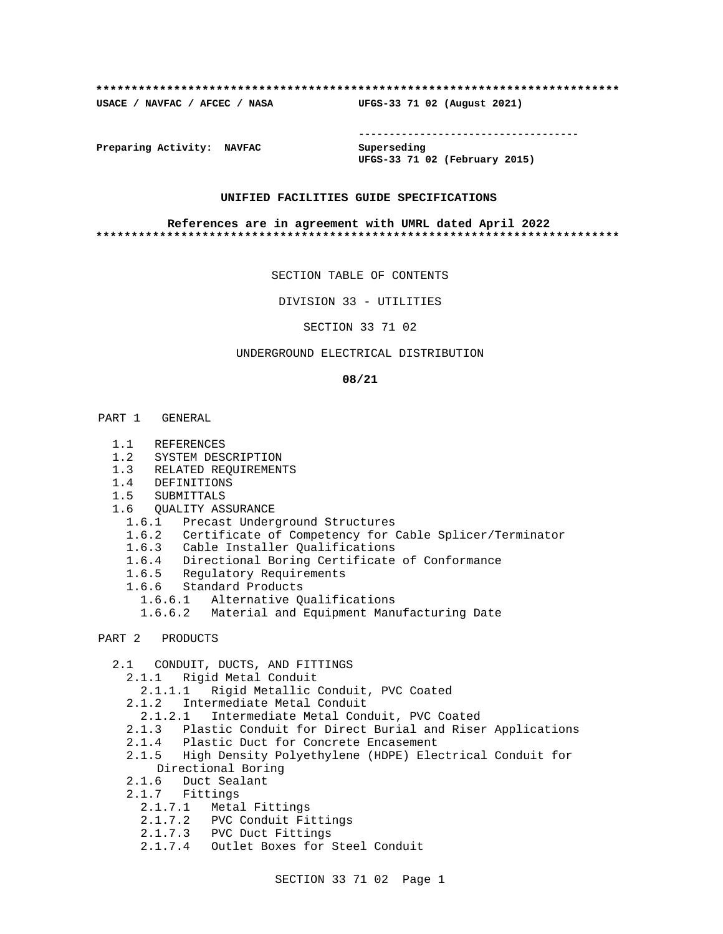### **\*\*\*\*\*\*\*\*\*\*\*\*\*\*\*\*\*\*\*\*\*\*\*\*\*\*\*\*\*\*\*\*\*\*\*\*\*\*\*\*\*\*\*\*\*\*\*\*\*\*\*\*\*\*\*\*\*\*\*\*\*\*\*\*\*\*\*\*\*\*\*\*\*\***

**USACE / NAVFAC / AFCEC / NASA UFGS-33 71 02 (August 2021)**

**------------------------------------**

**Preparing Activity: NAVFAC Superseding**

**UFGS-33 71 02 (February 2015)**

## **UNIFIED FACILITIES GUIDE SPECIFICATIONS**

### **References are in agreement with UMRL dated April 2022 \*\*\*\*\*\*\*\*\*\*\*\*\*\*\*\*\*\*\*\*\*\*\*\*\*\*\*\*\*\*\*\*\*\*\*\*\*\*\*\*\*\*\*\*\*\*\*\*\*\*\*\*\*\*\*\*\*\*\*\*\*\*\*\*\*\*\*\*\*\*\*\*\*\***

SECTION TABLE OF CONTENTS

DIVISION 33 - UTILITIES

SECTION 33 71 02

## UNDERGROUND ELECTRICAL DISTRIBUTION

### **08/21**

### PART 1 GENERAL

- 1.1 REFERENCES
- 1.2 SYSTEM DESCRIPTION
- 1.3 RELATED REQUIREMENTS
- 1.4 DEFINITIONS
- 1.5 SUBMITTALS
- 1.6 QUALITY ASSURANCE
	- 1.6.1 Precast Underground Structures
	- 1.6.2 Certificate of Competency for Cable Splicer/Terminator
	- 1.6.3 Cable Installer Qualifications
	- 1.6.4 Directional Boring Certificate of Conformance
	- 1.6.5 Regulatory Requirements
	- 1.6.6 Standard Products
	- 1.6.6.1 Alternative Qualifications
		- 1.6.6.2 Material and Equipment Manufacturing Date
- PART 2 PRODUCTS
	- 2.1 CONDUIT, DUCTS, AND FITTINGS
		- 2.1.1 Rigid Metal Conduit
		- 2.1.1.1 Rigid Metallic Conduit, PVC Coated
		- 2.1.2 Intermediate Metal Conduit
		- 2.1.2.1 Intermediate Metal Conduit, PVC Coated
		- 2.1.3 Plastic Conduit for Direct Burial and Riser Applications
		- 2.1.4 Plastic Duct for Concrete Encasement
		- 2.1.5 High Density Polyethylene (HDPE) Electrical Conduit for Directional Boring
		- 2.1.6 Duct Sealant
		- 2.1.7 Fittings
		- 2.1.7.1 Metal Fittings
		- 2.1.7.2 PVC Conduit Fittings
		- 2.1.7.3 PVC Duct Fittings
		- 2.1.7.4 Outlet Boxes for Steel Conduit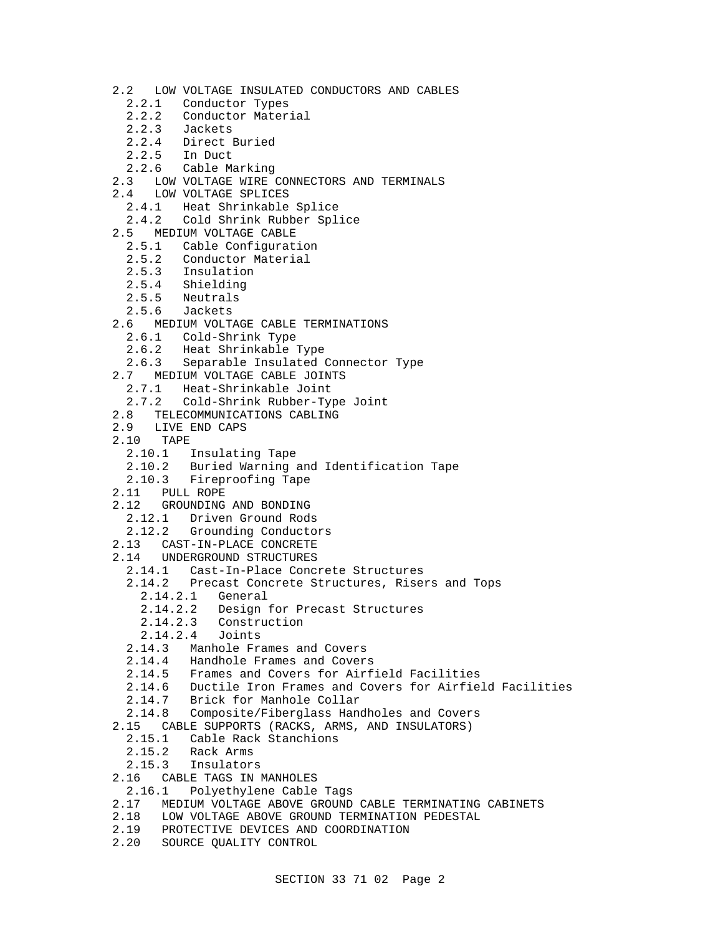- 2.2 LOW VOLTAGE INSULATED CONDUCTORS AND CABLES
	- 2.2.1 Conductor Types
	- 2.2.2 Conductor Material
	- 2.2.3 Jackets
	- 2.2.4 Direct Buried
	- 2.2.5 In Duct
	- 2.2.6 Cable Marking
- 2.3 LOW VOLTAGE WIRE CONNECTORS AND TERMINALS
- 2.4 LOW VOLTAGE SPLICES
	- 2.4.1 Heat Shrinkable Splice
	- 2.4.2 Cold Shrink Rubber Splice
- 2.5 MEDIUM VOLTAGE CABLE
	- 2.5.1 Cable Configuration
	- 2.5.2 Conductor Material
	- 2.5.3 Insulation
	- 2.5.4 Shielding
	- 2.5.5 Neutrals
	- 2.5.6 Jackets
- 2.6 MEDIUM VOLTAGE CABLE TERMINATIONS
	- 2.6.1 Cold-Shrink Type
	- 2.6.2 Heat Shrinkable Type
	- 2.6.3 Separable Insulated Connector Type
- 2.7 MEDIUM VOLTAGE CABLE JOINTS
	- 2.7.1 Heat-Shrinkable Joint
	- 2.7.2 Cold-Shrink Rubber-Type Joint
- 2.8 TELECOMMUNICATIONS CABLING
- 2.9 LIVE END CAPS
- 2.10 TAPE
	- 2.10.1 Insulating Tape
	- 2.10.2 Buried Warning and Identification Tape
	- 2.10.3 Fireproofing Tape
- 2.11 PULL ROPE
- 2.12 GROUNDING AND BONDING
	- 2.12.1 Driven Ground Rods
	- 2.12.2 Grounding Conductors
- 2.13 CAST-IN-PLACE CONCRETE
- 2.14 UNDERGROUND STRUCTURES
	- 2.14.1 Cast-In-Place Concrete Structures
	- 2.14.2 Precast Concrete Structures, Risers and Tops
		- 2.14.2.1 General
		- 2.14.2.2 Design for Precast Structures
		- 2.14.2.3 Construction
		- 2.14.2.4 Joints
	- 2.14.3 Manhole Frames and Covers
	- 2.14.4 Handhole Frames and Covers
	- 2.14.5 Frames and Covers for Airfield Facilities
	- 2.14.6 Ductile Iron Frames and Covers for Airfield Facilities
	- 2.14.7 Brick for Manhole Collar
	- 2.14.8 Composite/Fiberglass Handholes and Covers
- 2.15 CABLE SUPPORTS (RACKS, ARMS, AND INSULATORS)
	- 2.15.1 Cable Rack Stanchions<br>2.15.2 Rack Arms
	- 2.15.2 Rack Arms
	- 2.15.3 Insulators
- 2.16 CABLE TAGS IN MANHOLES
- 2.16.1 Polyethylene Cable Tags
- 2.17 MEDIUM VOLTAGE ABOVE GROUND CABLE TERMINATING CABINETS
- 2.18 LOW VOLTAGE ABOVE GROUND TERMINATION PEDESTAL
- 2.19 PROTECTIVE DEVICES AND COORDINATION
- 2.20 SOURCE QUALITY CONTROL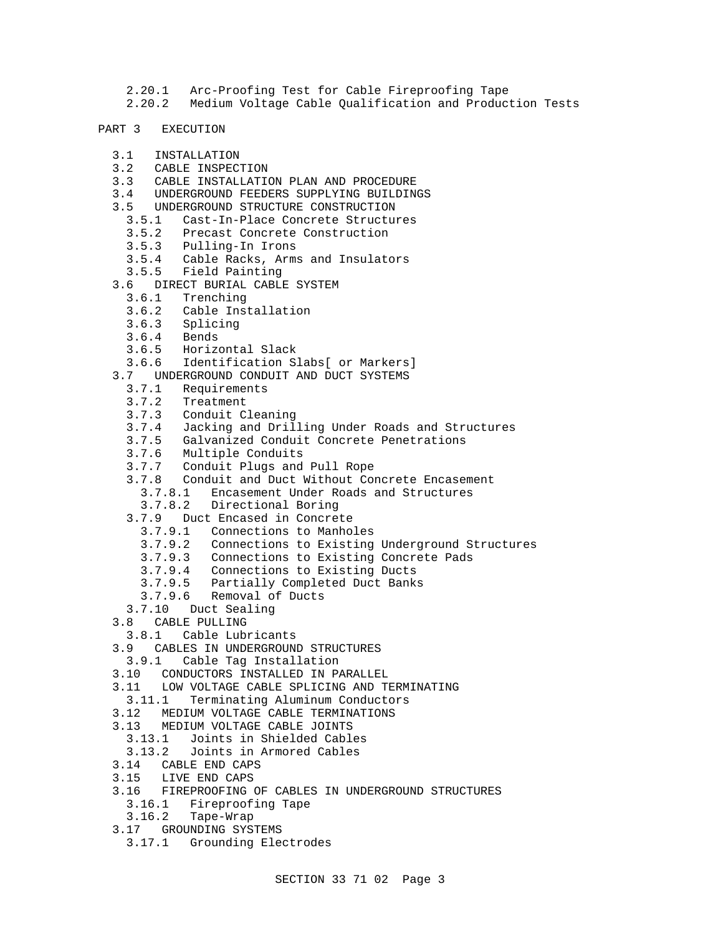- 2.20.1 Arc-Proofing Test for Cable Fireproofing Tape
- 2.20.2 Medium Voltage Cable Qualification and Production Tests
- PART 3 EXECUTION
	- 3.1 INSTALLATION
	- 3.2 CABLE INSPECTION
	- 3.3 CABLE INSTALLATION PLAN AND PROCEDURE
	- 3.4 UNDERGROUND FEEDERS SUPPLYING BUILDINGS
	- 3.5 UNDERGROUND STRUCTURE CONSTRUCTION
		- 3.5.1 Cast-In-Place Concrete Structures
		- 3.5.2 Precast Concrete Construction
		- 3.5.3 Pulling-In Irons
		- 3.5.4 Cable Racks, Arms and Insulators
		- 3.5.5 Field Painting
	- 3.6 DIRECT BURIAL CABLE SYSTEM
		- 3.6.1 Trenching
		- 3.6.2 Cable Installation
		- 3.6.3 Splicing
		- 3.6.4 Bends
		- 3.6.5 Horizontal Slack
		- 3.6.6 Identification Slabs[ or Markers]
	- 3.7 UNDERGROUND CONDUIT AND DUCT SYSTEMS
		- 3.7.1 Requirements
		- 3.7.2 Treatment
		- 3.7.3 Conduit Cleaning
		- 3.7.4 Jacking and Drilling Under Roads and Structures
		- 3.7.5 Galvanized Conduit Concrete Penetrations
		- 3.7.6 Multiple Conduits
		- 3.7.7 Conduit Plugs and Pull Rope
		- 3.7.8 Conduit and Duct Without Concrete Encasement
			- 3.7.8.1 Encasement Under Roads and Structures
		- 3.7.8.2 Directional Boring
		- 3.7.9 Duct Encased in Concrete
			- 3.7.9.1 Connections to Manholes
			- 3.7.9.2 Connections to Existing Underground Structures
			- 3.7.9.3 Connections to Existing Concrete Pads
			- 3.7.9.4 Connections to Existing Ducts
			- 3.7.9.5 Partially Completed Duct Banks
			- 3.7.9.6 Removal of Ducts
		- 3.7.10 Duct Sealing
	- 3.8 CABLE PULLING
	- 3.8.1 Cable Lubricants
	- 3.9 CABLES IN UNDERGROUND STRUCTURES
	- 3.9.1 Cable Tag Installation
	- 3.10 CONDUCTORS INSTALLED IN PARALLEL
	- 3.11 LOW VOLTAGE CABLE SPLICING AND TERMINATING
	- 3.11.1 Terminating Aluminum Conductors
	- 3.12 MEDIUM VOLTAGE CABLE TERMINATIONS
	- 3.13 MEDIUM VOLTAGE CABLE JOINTS
		- 3.13.1 Joints in Shielded Cables
		- 3.13.2 Joints in Armored Cables
	- 3.14 CABLE END CAPS
	- 3.15 LIVE END CAPS
	- 3.16 FIREPROOFING OF CABLES IN UNDERGROUND STRUCTURES
		- 3.16.1 Fireproofing Tape
	- 3.16.2 Tape-Wrap
	- 3.17 GROUNDING SYSTEMS
		- 3.17.1 Grounding Electrodes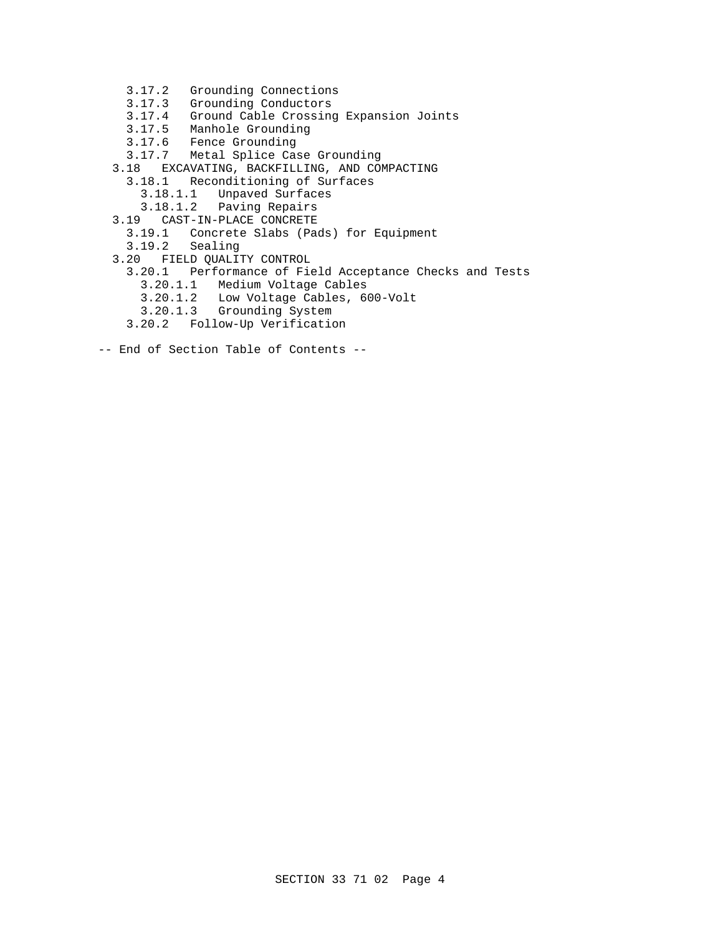- 3.17.2 Grounding Connections
- 3.17.3 Grounding Conductors
- 3.17.4 Ground Cable Crossing Expansion Joints
- 3.17.5 Manhole Grounding
- 3.17.6 Fence Grounding
- 3.17.7 Metal Splice Case Grounding
- 3.18 EXCAVATING, BACKFILLING, AND COMPACTING
	- 3.18.1 Reconditioning of Surfaces
		- 3.18.1.1 Unpaved Surfaces
		- 3.18.1.2 Paving Repairs
- 3.19 CAST-IN-PLACE CONCRETE
	- 3.19.1 Concrete Slabs (Pads) for Equipment
	- 3.19.2 Sealing
- 3.20 FIELD QUALITY CONTROL
	- 3.20.1 Performance of Field Acceptance Checks and Tests
		- 3.20.1.1 Medium Voltage Cables
- 3.20.1.2 Low Voltage Cables, 600-Volt
- 3.20.1.3 Grounding System
	- 3.20.2 Follow-Up Verification
- -- End of Section Table of Contents --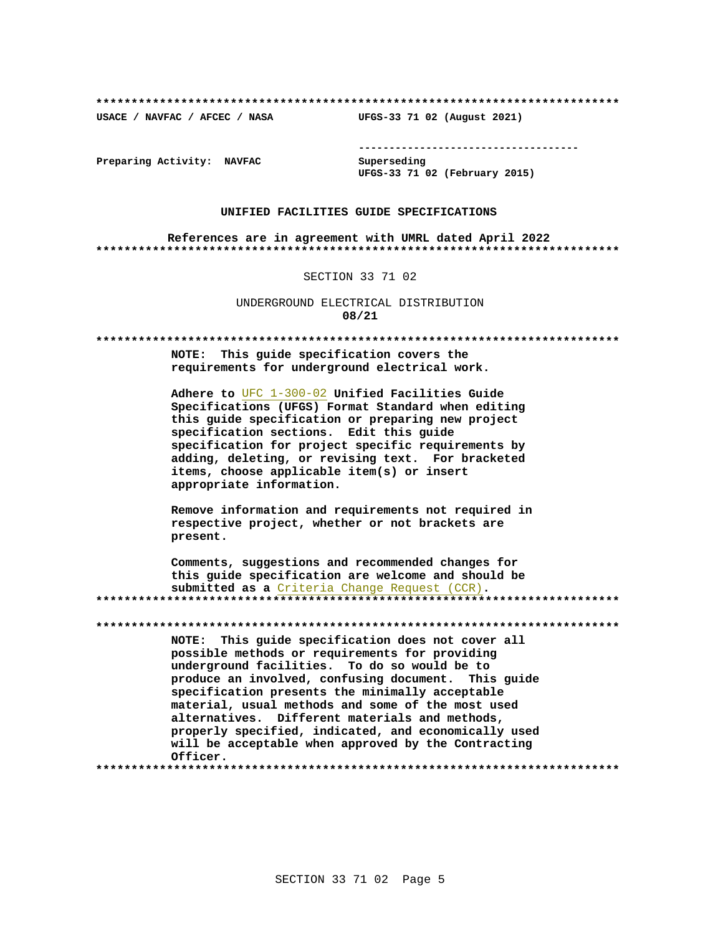USACE / NAVFAC / AFCEC / NASA

--------------------------------------

Preparing Activity: NAVFAC

Superseding UFGS-33 71 02 (February 2015)

UFGS-33 71 02 (August 2021)

## UNIFIED FACILITIES GUIDE SPECIFICATIONS

References are in agreement with UMRL dated April 2022 

### SECTION 33 71 02

UNDERGROUND ELECTRICAL DISTRIBUTION 08/21

NOTE: This quide specification covers the requirements for underground electrical work.

Adhere to UFC 1-300-02 Unified Facilities Guide Specifications (UFGS) Format Standard when editing this guide specification or preparing new project specification sections. Edit this quide specification for project specific requirements by adding, deleting, or revising text. For bracketed items, choose applicable item(s) or insert appropriate information.

Remove information and requirements not required in respective project, whether or not brackets are present.

Comments, suggestions and recommended changes for this guide specification are welcome and should be submitted as a Criteria Change Request (CCR). 

NOTE: This guide specification does not cover all possible methods or requirements for providing underground facilities. To do so would be to produce an involved, confusing document. This guide specification presents the minimally acceptable material, usual methods and some of the most used alternatives. Different materials and methods, properly specified, indicated, and economically used will be acceptable when approved by the Contracting Officer.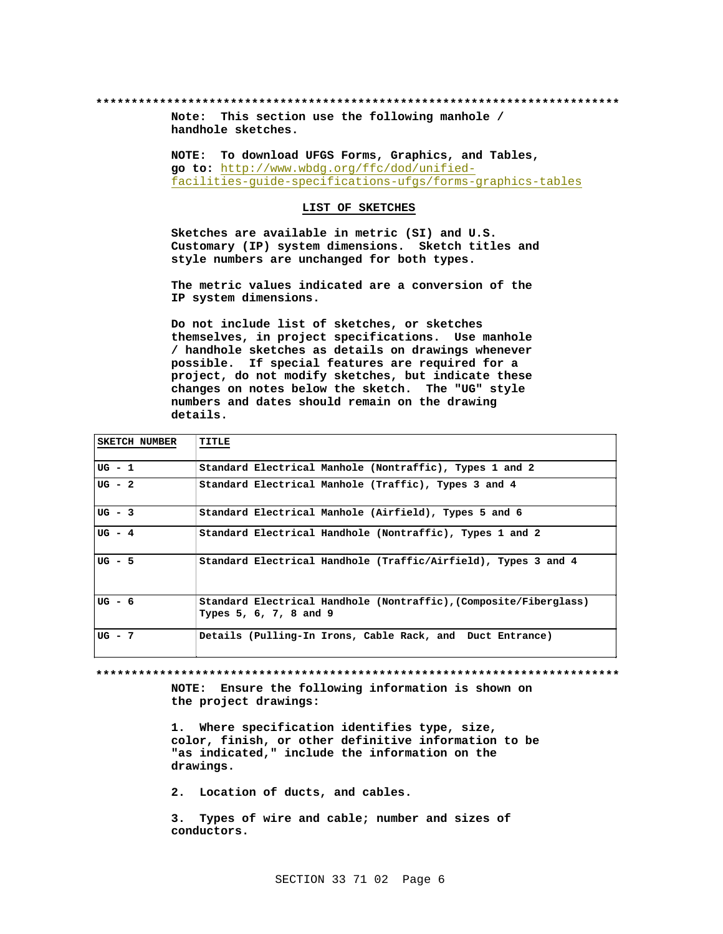Note: This section use the following manhole / handhole sketches.

NOTE: To download UFGS Forms, Graphics, and Tables, go to: http://www.wbdg.org/ffc/dod/unifiedfacilities-guide-specifications-ufgs/forms-graphics-tables

LIST OF SKETCHES

Sketches are available in metric (SI) and U.S. Customary (IP) system dimensions. Sketch titles and style numbers are unchanged for both types.

The metric values indicated are a conversion of the IP system dimensions.

Do not include list of sketches, or sketches themselves, in project specifications. Use manhole / handhole sketches as details on drawings whenever possible. If special features are required for a project, do not modify sketches, but indicate these changes on notes below the sketch. The "UG" style numbers and dates should remain on the drawing details.

| SKETCH NUMBER |                                                                                             |
|---------------|---------------------------------------------------------------------------------------------|
| $UG - 1$      | Standard Electrical Manhole (Nontraffic), Types 1 and 2                                     |
| $UG - 2$      | Standard Electrical Manhole (Traffic), Types 3 and 4                                        |
| $UG - 3$      | Standard Electrical Manhole (Airfield), Types 5 and 6                                       |
| $UG - 4$      | Standard Electrical Handhole (Nontraffic), Types 1 and 2                                    |
| $UG - 5$      | Standard Electrical Handhole (Traffic/Airfield), Types 3 and 4                              |
| $UG - 6$      | Standard Electrical Handhole (Nontraffic), (Composite/Fiberglass)<br>Types 5, 6, 7, 8 and 9 |
| $UG - 7$      | Details (Pulling-In Irons, Cable Rack, and Duct Entrance)                                   |

NOTE: Ensure the following information is shown on the project drawings:

1. Where specification identifies type, size, color, finish, or other definitive information to be "as indicated," include the information on the drawings.

2. Location of ducts, and cables.

Types of wire and cable; number and sizes of  $3.$ conductors.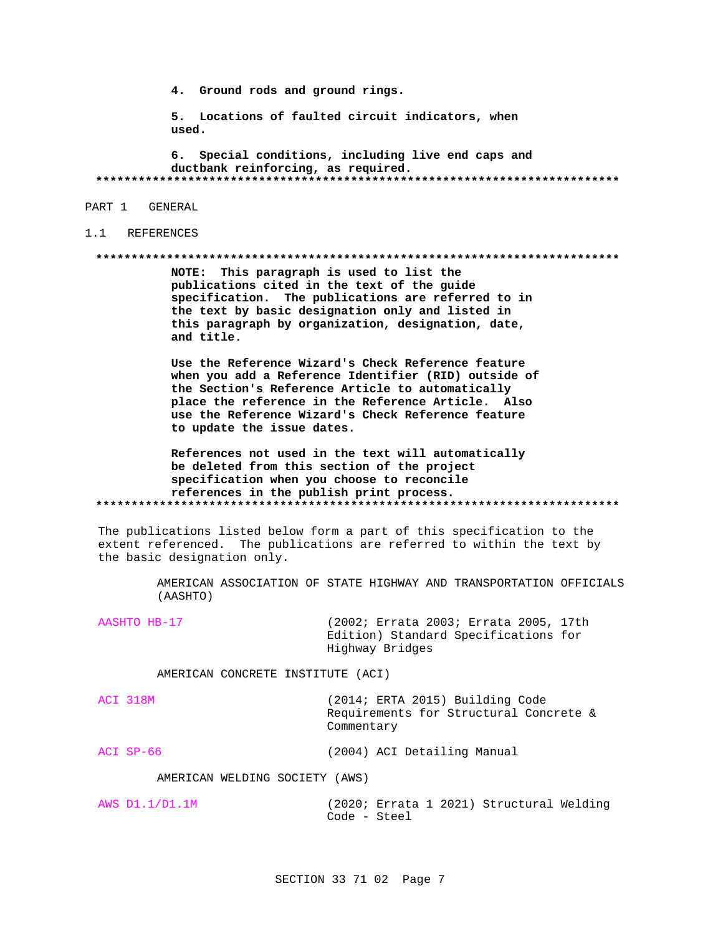4. Ground rods and ground rings.

5. Locations of faulted circuit indicators, when used.

6. Special conditions, including live end caps and ductbank reinforcing, as required. 

PART 1 GENERAL

## 1.1 REFERENCES

### 

NOTE: This paragraph is used to list the publications cited in the text of the guide specification. The publications are referred to in the text by basic designation only and listed in this paragraph by organization, designation, date, and title.

Use the Reference Wizard's Check Reference feature when you add a Reference Identifier (RID) outside of the Section's Reference Article to automatically place the reference in the Reference Article. Also use the Reference Wizard's Check Reference feature to update the issue dates.

References not used in the text will automatically be deleted from this section of the project specification when you choose to reconcile references in the publish print process. 

The publications listed below form a part of this specification to the extent referenced. The publications are referred to within the text by the basic designation only.

> AMERICAN ASSOCIATION OF STATE HIGHWAY AND TRANSPORTATION OFFICIALS (AASHTO)

AASHTO HB-17

(2002; Errata 2003; Errata 2005, 17th Edition) Standard Specifications for Highway Bridges

AMERICAN CONCRETE INSTITUTE (ACI)

ACI 318M (2014; ERTA 2015) Building Code Requirements for Structural Concrete & Commentary

 $ACI$   $SP-66$ (2004) ACI Detailing Manual

AMERICAN WELDING SOCIETY (AWS)

AWS D1.1/D1.1M (2020; Errata 1 2021) Structural Welding Code - Steel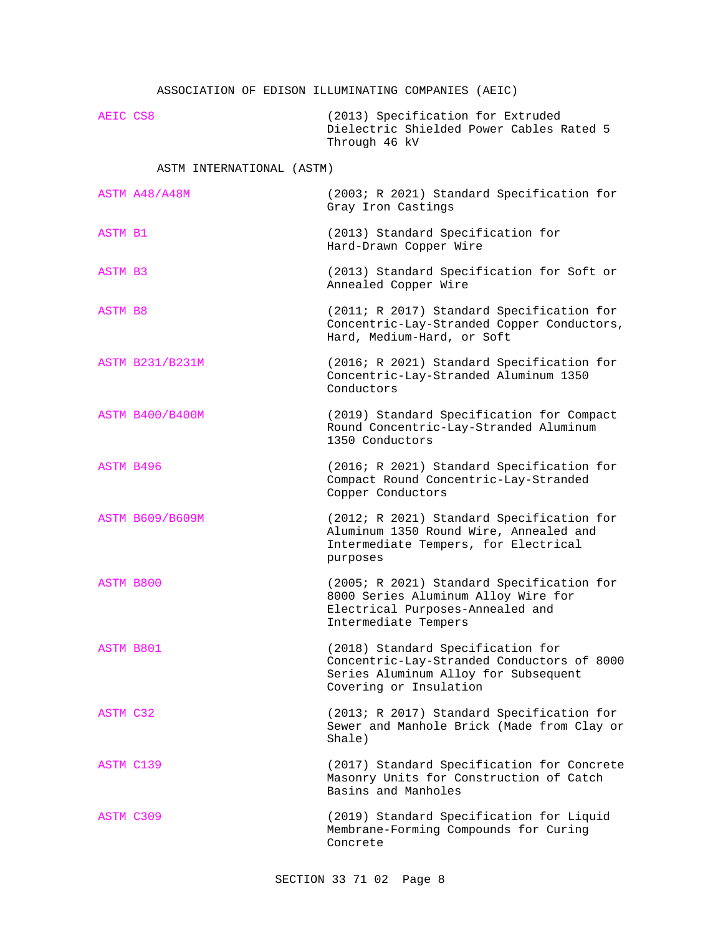## ASSOCIATION OF EDISON ILLUMINATING COMPANIES (AEIC)

AEIC CS8 (2013) Specification for Extruded Dielectric Shielded Power Cables Rated 5 Through 46 kV

## ASTM INTERNATIONAL (ASTM)

|                  | ASTM A48/A48M          | (2003; R 2021) Standard Specification for<br>Gray Iron Castings                                                                                   |
|------------------|------------------------|---------------------------------------------------------------------------------------------------------------------------------------------------|
| ASTM B1          |                        | (2013) Standard Specification for<br>Hard-Drawn Copper Wire                                                                                       |
| <b>ASTM B3</b>   |                        | (2013) Standard Specification for Soft or<br>Annealed Copper Wire                                                                                 |
| ASTM B8          |                        | (2011; R 2017) Standard Specification for<br>Concentric-Lay-Stranded Copper Conductors,<br>Hard, Medium-Hard, or Soft                             |
|                  | <b>ASTM B231/B231M</b> | (2016; R 2021) Standard Specification for<br>Concentric-Lay-Stranded Aluminum 1350<br>Conductors                                                  |
|                  | <b>ASTM B400/B400M</b> | (2019) Standard Specification for Compact<br>Round Concentric-Lay-Stranded Aluminum<br>1350 Conductors                                            |
| <b>ASTM B496</b> |                        | (2016; R 2021) Standard Specification for<br>Compact Round Concentric-Lay-Stranded<br>Copper Conductors                                           |
|                  | <b>ASTM B609/B609M</b> | (2012; R 2021) Standard Specification for<br>Aluminum 1350 Round Wire, Annealed and<br>Intermediate Tempers, for Electrical<br>purposes           |
| ASTM B800        |                        | (2005; R 2021) Standard Specification for<br>8000 Series Aluminum Alloy Wire for<br>Electrical Purposes-Annealed and<br>Intermediate Tempers      |
| ASTM B801        |                        | (2018) Standard Specification for<br>Concentric-Lay-Stranded Conductors of 8000<br>Series Aluminum Alloy for Subsequent<br>Covering or Insulation |
| ASTM C32         |                        | (2013; R 2017) Standard Specification for<br>Sewer and Manhole Brick (Made from Clay or<br>Shale)                                                 |
| ASTM C139        |                        | (2017) Standard Specification for Concrete<br>Masonry Units for Construction of Catch<br>Basins and Manholes                                      |
| ASTM C309        |                        | (2019) Standard Specification for Liquid<br>Membrane-Forming Compounds for Curing<br>Concrete                                                     |
|                  |                        |                                                                                                                                                   |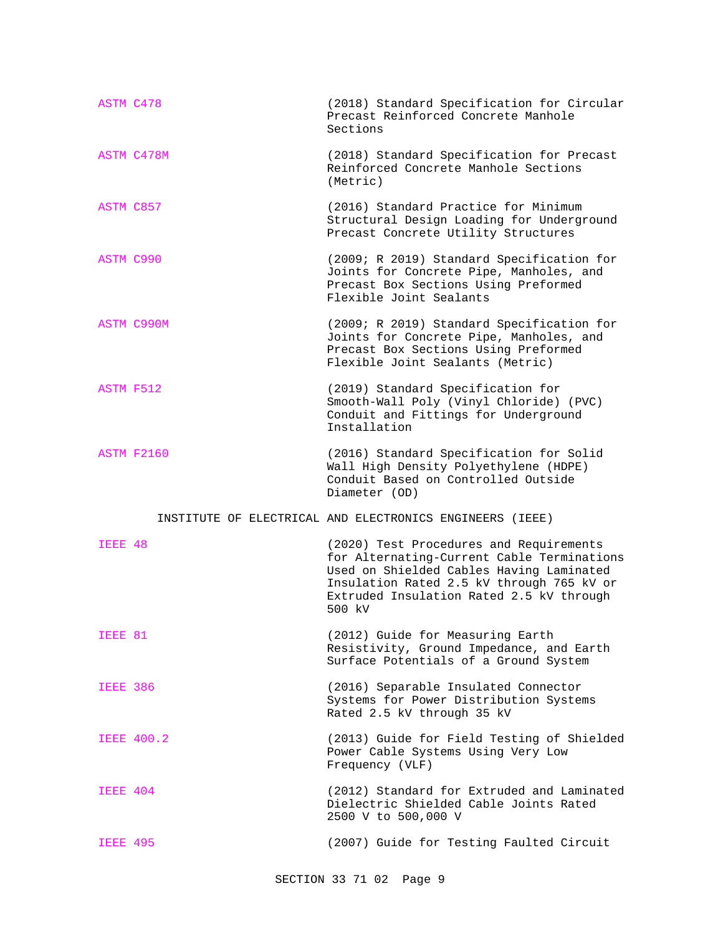| ASTM C478       |                   | (2018) Standard Specification for Circular<br>Precast Reinforced Concrete Manhole<br>Sections                                                                                                                                        |
|-----------------|-------------------|--------------------------------------------------------------------------------------------------------------------------------------------------------------------------------------------------------------------------------------|
|                 | ASTM C478M        | (2018) Standard Specification for Precast<br>Reinforced Concrete Manhole Sections<br>(Metric)                                                                                                                                        |
| ASTM C857       |                   | (2016) Standard Practice for Minimum<br>Structural Design Loading for Underground<br>Precast Concrete Utility Structures                                                                                                             |
| ASTM C990       |                   | (2009; R 2019) Standard Specification for<br>Joints for Concrete Pipe, Manholes, and<br>Precast Box Sections Using Preformed<br>Flexible Joint Sealants                                                                              |
|                 | ASTM C990M        | (2009; R 2019) Standard Specification for<br>Joints for Concrete Pipe, Manholes, and<br>Precast Box Sections Using Preformed<br>Flexible Joint Sealants (Metric)                                                                     |
| ASTM F512       |                   | (2019) Standard Specification for<br>Smooth-Wall Poly (Vinyl Chloride) (PVC)<br>Conduit and Fittings for Underground<br>Installation                                                                                                 |
|                 | <b>ASTM F2160</b> | (2016) Standard Specification for Solid<br>Wall High Density Polyethylene (HDPE)<br>Conduit Based on Controlled Outside                                                                                                              |
|                 |                   | Diameter (OD)                                                                                                                                                                                                                        |
|                 |                   | INSTITUTE OF ELECTRICAL AND ELECTRONICS ENGINEERS (IEEE)                                                                                                                                                                             |
| IEEE 48         |                   | (2020) Test Procedures and Requirements<br>for Alternating-Current Cable Terminations<br>Used on Shielded Cables Having Laminated<br>Insulation Rated 2.5 kV through 765 kV or<br>Extruded Insulation Rated 2.5 kV through<br>500 kV |
| IEEE 81         |                   | (2012) Guide for Measuring Earth<br>Resistivity, Ground Impedance, and Earth<br>Surface Potentials of a Ground System                                                                                                                |
| <b>IEEE 386</b> |                   | (2016) Separable Insulated Connector<br>Systems for Power Distribution Systems<br>Rated 2.5 kV through 35 kV                                                                                                                         |
|                 | <b>IEEE 400.2</b> | (2013) Guide for Field Testing of Shielded<br>Power Cable Systems Using Very Low<br>Frequency (VLF)                                                                                                                                  |
| IEEE 404        |                   | (2012) Standard for Extruded and Laminated<br>Dielectric Shielded Cable Joints Rated<br>2500 V to 500,000 V                                                                                                                          |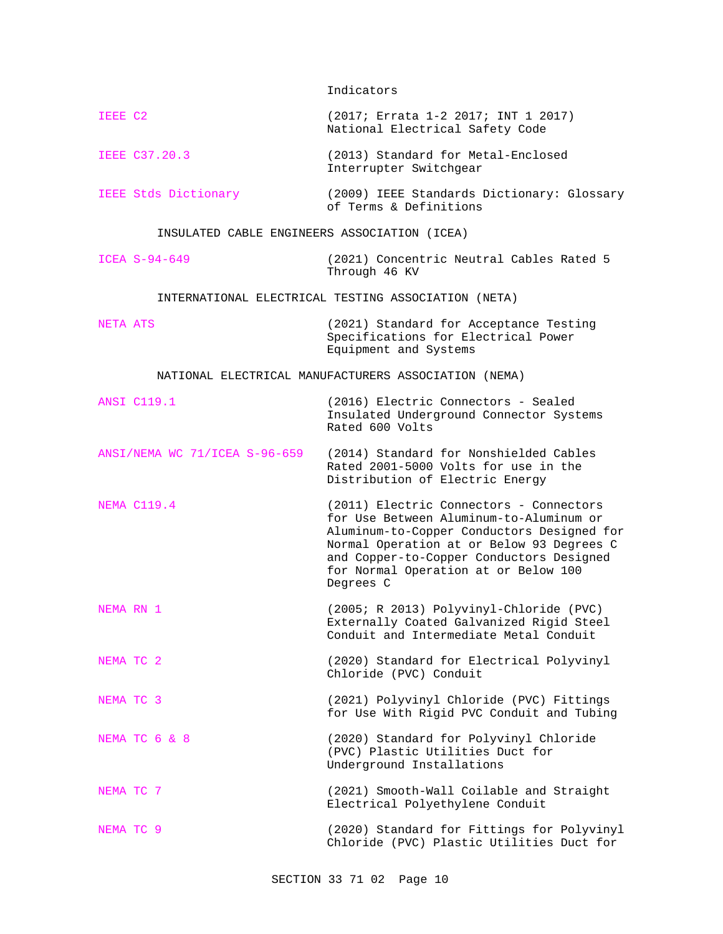Indicators

| IEEE C2                                      | (2017; Errata 1-2 2017; INT 1 2017)<br>National Electrical Safety Code                                                                                                                                                                                                         |
|----------------------------------------------|--------------------------------------------------------------------------------------------------------------------------------------------------------------------------------------------------------------------------------------------------------------------------------|
| <b>IEEE C37.20.3</b>                         | (2013) Standard for Metal-Enclosed<br>Interrupter Switchgear                                                                                                                                                                                                                   |
| IEEE Stds Dictionary                         | (2009) IEEE Standards Dictionary: Glossary<br>of Terms & Definitions                                                                                                                                                                                                           |
| INSULATED CABLE ENGINEERS ASSOCIATION (ICEA) |                                                                                                                                                                                                                                                                                |
| ICEA S-94-649                                | (2021) Concentric Neutral Cables Rated 5<br>Through 46 KV                                                                                                                                                                                                                      |
|                                              | INTERNATIONAL ELECTRICAL TESTING ASSOCIATION (NETA)                                                                                                                                                                                                                            |
| NETA ATS                                     | (2021) Standard for Acceptance Testing<br>Specifications for Electrical Power<br>Equipment and Systems                                                                                                                                                                         |
|                                              | NATIONAL ELECTRICAL MANUFACTURERS ASSOCIATION (NEMA)                                                                                                                                                                                                                           |
| <b>ANSI C119.1</b>                           | (2016) Electric Connectors - Sealed<br>Insulated Underground Connector Systems<br>Rated 600 Volts                                                                                                                                                                              |
| ANSI/NEMA WC 71/ICEA S-96-659                | (2014) Standard for Nonshielded Cables<br>Rated 2001-5000 Volts for use in the<br>Distribution of Electric Energy                                                                                                                                                              |
| <b>NEMA C119.4</b>                           | (2011) Electric Connectors - Connectors<br>for Use Between Aluminum-to-Aluminum or<br>Aluminum-to-Copper Conductors Designed for<br>Normal Operation at or Below 93 Degrees C<br>and Copper-to-Copper Conductors Designed<br>for Normal Operation at or Below 100<br>Degrees C |
| NEMA RN 1                                    | (2005; R 2013) Polyvinyl-Chloride (PVC)<br>Externally Coated Galvanized Rigid Steel<br>Conduit and Intermediate Metal Conduit                                                                                                                                                  |
| NEMA TC 2                                    | (2020) Standard for Electrical Polyvinyl<br>Chloride (PVC) Conduit                                                                                                                                                                                                             |
| NEMA TC 3                                    | (2021) Polyvinyl Chloride (PVC) Fittings<br>for Use With Rigid PVC Conduit and Tubing                                                                                                                                                                                          |
| NEMA TC 6 & 8                                | (2020) Standard for Polyvinyl Chloride<br>(PVC) Plastic Utilities Duct for<br>Underground Installations                                                                                                                                                                        |
| NEMA TC 7                                    | (2021) Smooth-Wall Coilable and Straight<br>Electrical Polyethylene Conduit                                                                                                                                                                                                    |
| NEMA TC 9                                    | (2020) Standard for Fittings for Polyvinyl<br>Chloride (PVC) Plastic Utilities Duct for                                                                                                                                                                                        |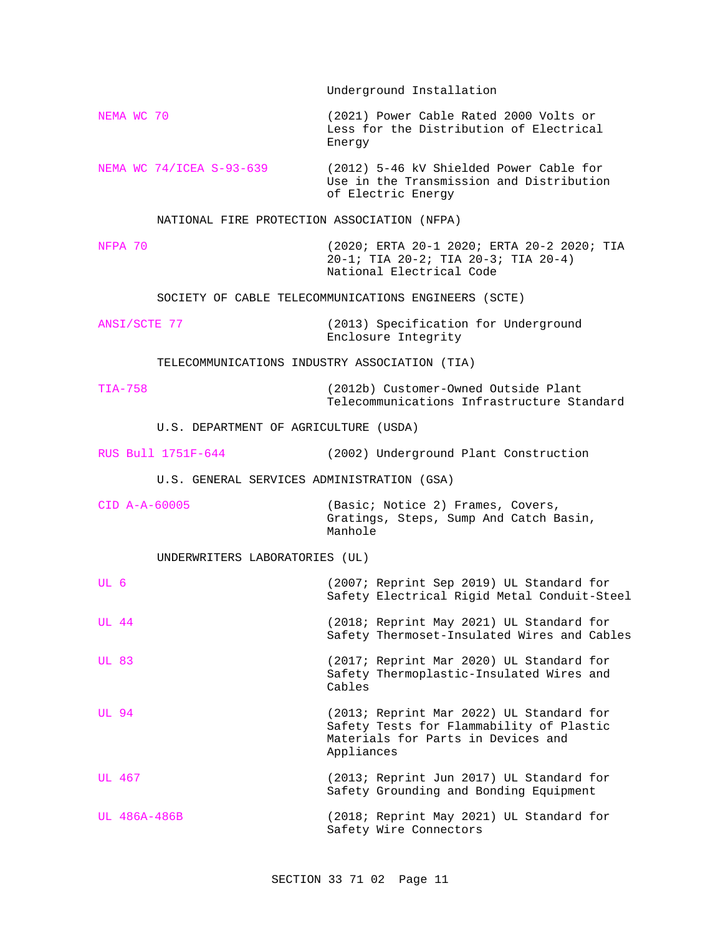Underground Installation NEMA WC 70 (2021) Power Cable Rated 2000 Volts or Less for the Distribution of Electrical Energy NEMA WC 74/ICEA S-93-639 (2012) 5-46 kV Shielded Power Cable for Use in the Transmission and Distribution of Electric Energy NATIONAL FIRE PROTECTION ASSOCIATION (NFPA) NFPA 70 (2020; ERTA 20-1 2020; ERTA 20-2 2020; TIA 20-1; TIA 20-2; TIA 20-3; TIA 20-4) National Electrical Code SOCIETY OF CABLE TELECOMMUNICATIONS ENGINEERS (SCTE) ANSI/SCTE 77 (2013) Specification for Underground Enclosure Integrity TELECOMMUNICATIONS INDUSTRY ASSOCIATION (TIA) TIA-758 (2012b) Customer-Owned Outside Plant Telecommunications Infrastructure Standard U.S. DEPARTMENT OF AGRICULTURE (USDA) RUS Bull 1751F-644 (2002) Underground Plant Construction U.S. GENERAL SERVICES ADMINISTRATION (GSA) CID A-A-60005 (Basic; Notice 2) Frames, Covers, Gratings, Steps, Sump And Catch Basin, Manhole UNDERWRITERS LABORATORIES (UL) UL 6 (2007; Reprint Sep 2019) UL Standard for Safety Electrical Rigid Metal Conduit-Steel UL 44 (2018; Reprint May 2021) UL Standard for Safety Thermoset-Insulated Wires and Cables UL 83 (2017; Reprint Mar 2020) UL Standard for Safety Thermoplastic-Insulated Wires and Cables UL 94 (2013; Reprint Mar 2022) UL Standard for Safety Tests for Flammability of Plastic Materials for Parts in Devices and Appliances UL 467 (2013; Reprint Jun 2017) UL Standard for Safety Grounding and Bonding Equipment UL 486A-486B (2018; Reprint May 2021) UL Standard for Safety Wire Connectors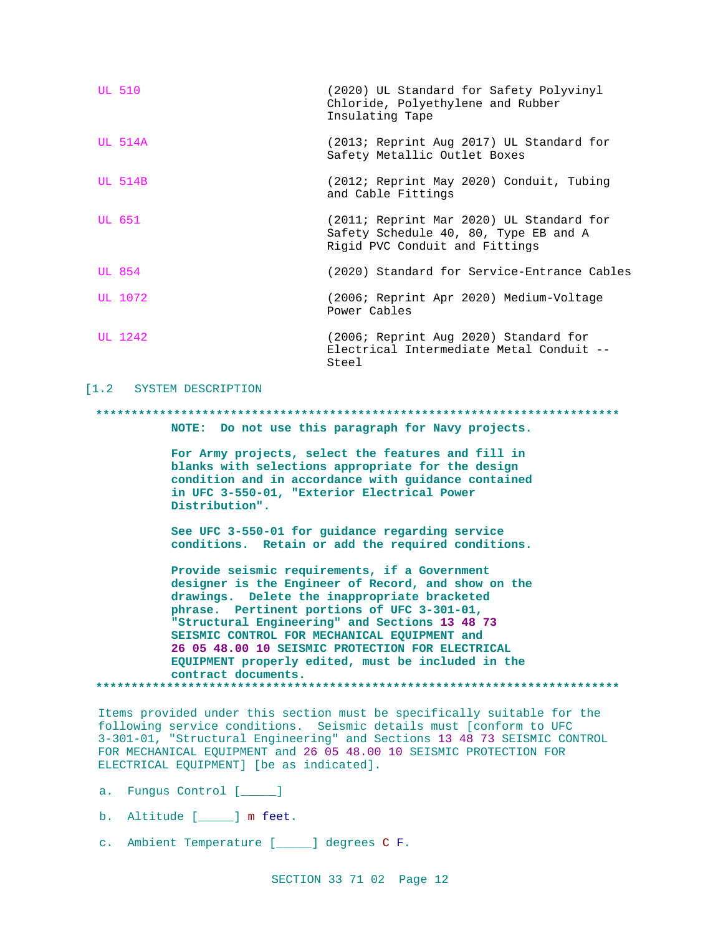| <b>UL 510</b>  | (2020) UL Standard for Safety Polyvinyl<br>Chloride, Polyethylene and Rubber<br>Insulating Tape                     |
|----------------|---------------------------------------------------------------------------------------------------------------------|
| <b>UL 514A</b> | (2013; Reprint Aug 2017) UL Standard for<br>Safety Metallic Outlet Boxes                                            |
| $UL$ 514B      | (2012; Reprint May 2020) Conduit, Tubing<br>and Cable Fittings                                                      |
| UL 651         | (2011; Reprint Mar 2020) UL Standard for<br>Safety Schedule 40, 80, Type EB and A<br>Rigid PVC Conduit and Fittings |
| UL 854         | (2020) Standard for Service-Entrance Cables                                                                         |
| UL 1072        | (2006; Reprint Apr 2020) Medium-Voltage<br>Power Cables                                                             |
| UL 1242        | (2006; Reprint Aug 2020) Standard for<br>Electrical Intermediate Metal Conduit --<br>Steel                          |

### [1.2 SYSTEM DESCRIPTION

### 

NOTE: Do not use this paragraph for Navy projects.

For Army projects, select the features and fill in blanks with selections appropriate for the design condition and in accordance with guidance contained in UFC 3-550-01, "Exterior Electrical Power Distribution".

See UFC 3-550-01 for guidance regarding service conditions. Retain or add the required conditions.

Provide seismic requirements, if a Government designer is the Engineer of Record, and show on the drawings. Delete the inappropriate bracketed phrase. Pertinent portions of UFC 3-301-01, "Structural Engineering" and Sections 13 48 73 SEISMIC CONTROL FOR MECHANICAL EQUIPMENT and 26 05 48.00 10 SEISMIC PROTECTION FOR ELECTRICAL EQUIPMENT properly edited, must be included in the contract documents. 

Items provided under this section must be specifically suitable for the following service conditions. Seismic details must [conform to UFC 3-301-01, "Structural Engineering" and Sections 13 48 73 SEISMIC CONTROL FOR MECHANICAL EQUIPMENT and 26 05 48.00 10 SEISMIC PROTECTION FOR ELECTRICAL EQUIPMENT] [be as indicated].

- a. Fungus Control [1888]
- b. Altitude [\_\_\_\_\_] m feet.
- c. Ambient Temperature [\_\_\_\_] degrees C F.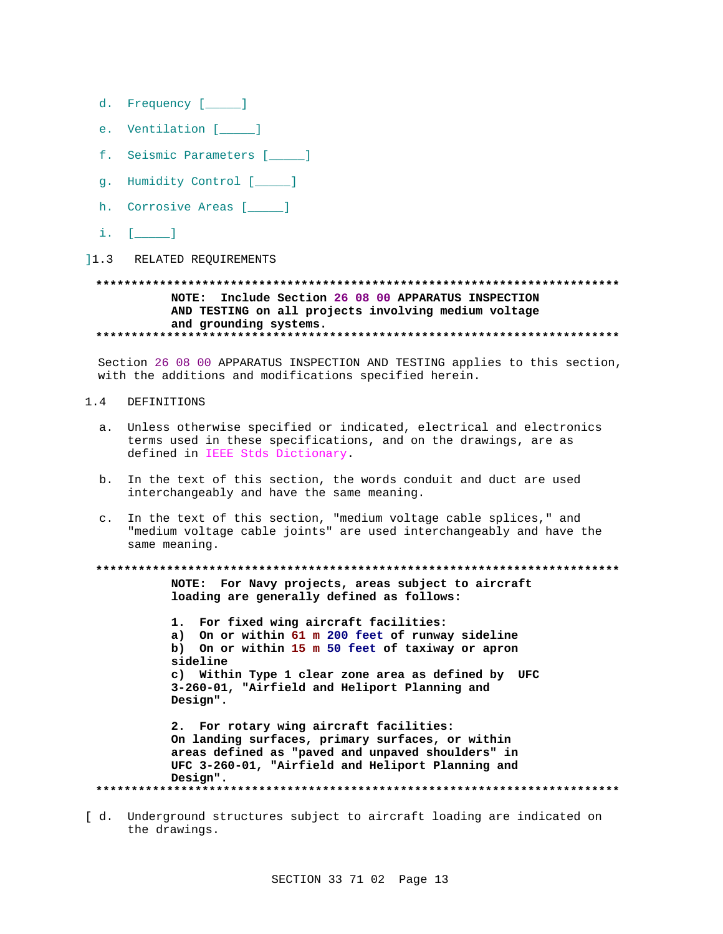- d. Frequency [\_\_\_\_\_]
- e. Ventilation [\_\_\_\_\_]
- f. Seismic Parameters [*\_\_\_\_*]
- g. Humidity Control [\_\_\_\_]
- h. Corrosive Areas [\_\_\_\_\_]
- $i.$  [ $\qquad$ ]
- 11.3 RELATED REQUIREMENTS

## NOTE: Include Section 26 08 00 APPARATUS INSPECTION AND TESTING on all projects involving medium voltage and grounding systems.

Section 26 08 00 APPARATUS INSPECTION AND TESTING applies to this section, with the additions and modifications specified herein.

- $1.4$ DEFINITIONS
	- a. Unless otherwise specified or indicated, electrical and electronics terms used in these specifications, and on the drawings, are as defined in IEEE Stds Dictionary.
	- b. In the text of this section, the words conduit and duct are used interchangeably and have the same meaning.
	- c. In the text of this section, "medium voltage cable splices," and "medium voltage cable joints" are used interchangeably and have the same meaning.

NOTE: For Navy projects, areas subject to aircraft loading are generally defined as follows:

1. For fixed wing aircraft facilities: a) On or within 61 m 200 feet of runway sideline On or within 15 m 50 feet of taxiway or apron  $b)$ sideline c) Within Type 1 clear zone area as defined by UFC 3-260-01, "Airfield and Heliport Planning and Design".

2. For rotary wing aircraft facilities: On landing surfaces, primary surfaces, or within areas defined as "paved and unpaved shoulders" in UFC 3-260-01, "Airfield and Heliport Planning and Design". 

[ d. Underground structures subject to aircraft loading are indicated on the drawings.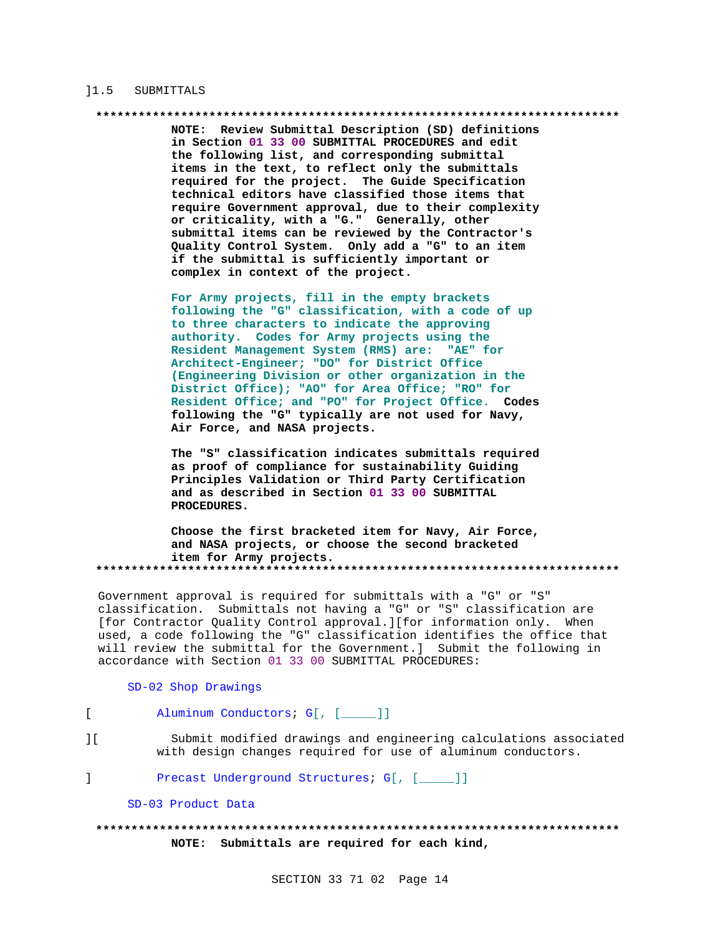### 11.5 SUBMITTALS

### \*\*\*\*\*\*\*\*\*\*\*\*\*\*\*\*\*\*\*\*\*\*\*\*\*\*\*\*\*\*\*\*\*

NOTE: Review Submittal Description (SD) definitions in Section 01 33 00 SUBMITTAL PROCEDURES and edit the following list, and corresponding submittal items in the text, to reflect only the submittals required for the project. The Guide Specification technical editors have classified those items that require Government approval, due to their complexity or criticality, with a "G." Generally, other submittal items can be reviewed by the Contractor's Quality Control System. Only add a "G" to an item if the submittal is sufficiently important or complex in context of the project.

For Army projects, fill in the empty brackets following the "G" classification, with a code of up to three characters to indicate the approving authority. Codes for Army projects using the Resident Management System (RMS) are: "AE" for Architect-Engineer; "DO" for District Office (Engineering Division or other organization in the District Office); "AO" for Area Office; "RO" for Resident Office; and "PO" for Project Office. Codes following the "G" typically are not used for Navy, Air Force, and NASA projects.

The "S" classification indicates submittals required as proof of compliance for sustainability Guiding Principles Validation or Third Party Certification and as described in Section 01 33 00 SUBMITTAL PROCEDURES.

Choose the first bracketed item for Navy, Air Force, and NASA projects, or choose the second bracketed item for Army projects. 

Government approval is required for submittals with a "G" or "S" classification. Submittals not having a "G" or "S" classification are [for Contractor Quality Control approval.][for information only. When used, a code following the "G" classification identifies the office that will review the submittal for the Government.] Submit the following in accordance with Section 01 33 00 SUBMITTAL PROCEDURES:

### SD-02 Shop Drawings

- $\Gamma$ Aluminum Conductors; G[, [\_\_\_\_]]
- $\overline{1}$  [ Submit modified drawings and engineering calculations associated with design changes required for use of aluminum conductors.
- $\mathbf{I}$ Precast Underground Structures; G[, [\_\_\_\_]]
	- SD-03 Product Data

## NOTE: Submittals are required for each kind,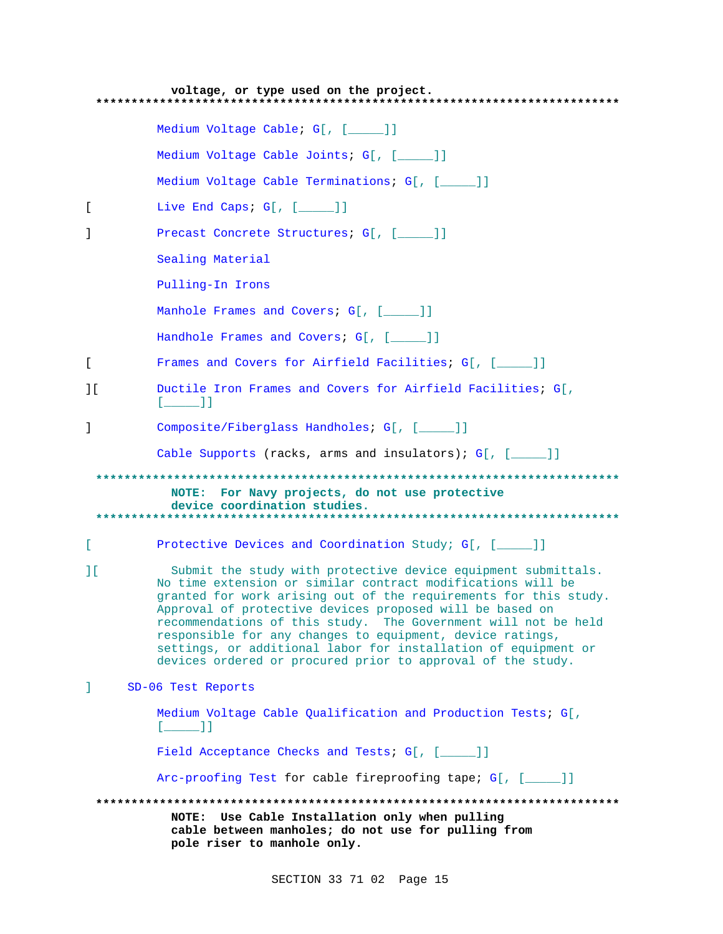| voltage, or type used on the project.                                                                                                |                                                                                                                                                                                                                                                                                                                                                                                                                                                                                                                              |  |
|--------------------------------------------------------------------------------------------------------------------------------------|------------------------------------------------------------------------------------------------------------------------------------------------------------------------------------------------------------------------------------------------------------------------------------------------------------------------------------------------------------------------------------------------------------------------------------------------------------------------------------------------------------------------------|--|
|                                                                                                                                      | Medium Voltage Cable; G[, [____]]                                                                                                                                                                                                                                                                                                                                                                                                                                                                                            |  |
|                                                                                                                                      | Medium Voltage Cable Joints; G[, [____]]                                                                                                                                                                                                                                                                                                                                                                                                                                                                                     |  |
|                                                                                                                                      | Medium Voltage Cable Terminations; G[, [____]]                                                                                                                                                                                                                                                                                                                                                                                                                                                                               |  |
| L                                                                                                                                    | Live End Caps: $G[ , [ ] ]$                                                                                                                                                                                                                                                                                                                                                                                                                                                                                                  |  |
| 1                                                                                                                                    | Precast Concrete Structures; G[, [____]]                                                                                                                                                                                                                                                                                                                                                                                                                                                                                     |  |
|                                                                                                                                      | Sealing Material                                                                                                                                                                                                                                                                                                                                                                                                                                                                                                             |  |
|                                                                                                                                      | Pulling-In Irons                                                                                                                                                                                                                                                                                                                                                                                                                                                                                                             |  |
|                                                                                                                                      | Manhole Frames and Covers; G[, [____]]                                                                                                                                                                                                                                                                                                                                                                                                                                                                                       |  |
|                                                                                                                                      | Handhole Frames and Covers; G[, [____]]                                                                                                                                                                                                                                                                                                                                                                                                                                                                                      |  |
| L                                                                                                                                    | Frames and Covers for Airfield Facilities; G[, [_____]]                                                                                                                                                                                                                                                                                                                                                                                                                                                                      |  |
| 1 <sup>1</sup>                                                                                                                       | Ductile Iron Frames and Covers for Airfield Facilities; G[,<br>$[\_$ $\_$ $]$                                                                                                                                                                                                                                                                                                                                                                                                                                                |  |
| 1                                                                                                                                    | Composite/Fiberglass Handholes; G[, [____]]                                                                                                                                                                                                                                                                                                                                                                                                                                                                                  |  |
|                                                                                                                                      | Cable Supports (racks, arms and insulators); $G[$ , $[$ _____]]                                                                                                                                                                                                                                                                                                                                                                                                                                                              |  |
|                                                                                                                                      | NOTE: For Navy projects, do not use protective<br>device coordination studies.                                                                                                                                                                                                                                                                                                                                                                                                                                               |  |
| L                                                                                                                                    | Protective Devices and Coordination Study; G[, [____]]                                                                                                                                                                                                                                                                                                                                                                                                                                                                       |  |
| ПE                                                                                                                                   | Submit the study with protective device equipment submittals.<br>No time extension or similar contract modifications will be<br>granted for work arising out of the requirements for this study.<br>Approval of protective devices proposed will be based on<br>recommendations of this study. The Government will not be held<br>responsible for any changes to equipment, device ratings,<br>settings, or additional labor for installation of equipment or<br>devices ordered or procured prior to approval of the study. |  |
| I.                                                                                                                                   | SD-06 Test Reports                                                                                                                                                                                                                                                                                                                                                                                                                                                                                                           |  |
|                                                                                                                                      | Medium Voltage Cable Qualification and Production Tests; G[,<br>$[$ $]$ $]$ $]$                                                                                                                                                                                                                                                                                                                                                                                                                                              |  |
|                                                                                                                                      | Field Acceptance Checks and Tests; G[, [____]]                                                                                                                                                                                                                                                                                                                                                                                                                                                                               |  |
|                                                                                                                                      | Arc-proofing Test for cable fireproofing tape; G[, [____]]                                                                                                                                                                                                                                                                                                                                                                                                                                                                   |  |
| NOTE: Use Cable Installation only when pulling<br>cable between manholes; do not use for pulling from<br>pole riser to manhole only. |                                                                                                                                                                                                                                                                                                                                                                                                                                                                                                                              |  |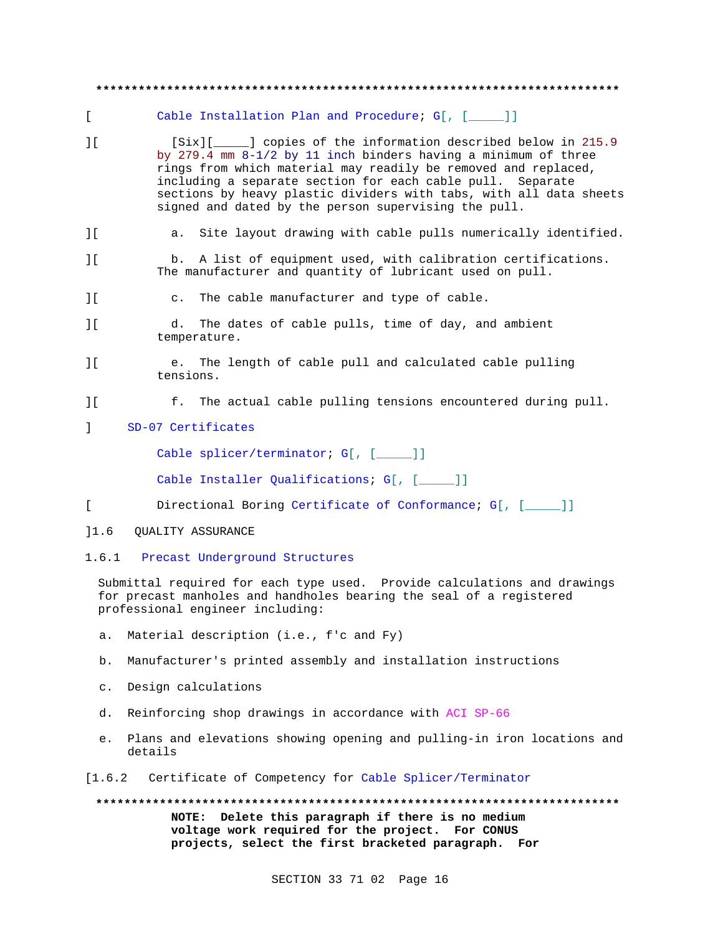# **\*\*\*\*\*\*\*\*\*\*\*\*\*\*\*\*\*\*\*\*\*\*\*\*\*\*\*\*\*\*\*\*\*\*\*\*\*\*\*\*\*\*\*\*\*\*\*\*\*\*\*\*\*\*\*\*\*\*\*\*\*\*\*\*\*\*\*\*\*\*\*\*\*\*** [ Cable Installation Plan and Procedure; G[, [\_\_\_\_\_]] ][ [Six][\_\_\_\_\_] copies of the information described below in 215.9 by 279.4 mm 8-1/2 by 11 inch binders having a minimum of three rings from which material may readily be removed and replaced, including a separate section for each cable pull. Separate sections by heavy plastic dividers with tabs, with all data sheets signed and dated by the person supervising the pull. ][ a. Site layout drawing with cable pulls numerically identified. ][ b. A list of equipment used, with calibration certifications. The manufacturer and quantity of lubricant used on pull. ][ c. The cable manufacturer and type of cable. ][ d. The dates of cable pulls, time of day, and ambient temperature. ][ e. The length of cable pull and calculated cable pulling tensions. ][ f. The actual cable pulling tensions encountered during pull. ] SD-07 Certificates Cable splicer/terminator; G[, [\_\_\_\_]] Cable Installer Qualifications; G[, [ \_\_\_\_]] [ Directional Boring Certificate of Conformance; G[, [\_\_\_\_\_]] ]1.6 QUALITY ASSURANCE 1.6.1 Precast Underground Structures Submittal required for each type used. Provide calculations and drawings

for precast manholes and handholes bearing the seal of a registered professional engineer including:

- a. Material description (i.e., f'c and Fy)
- b. Manufacturer's printed assembly and installation instructions
- c. Design calculations
- d. Reinforcing shop drawings in accordance with ACI SP-66
- e. Plans and elevations showing opening and pulling-in iron locations and details
- [1.6.2 Certificate of Competency for Cable Splicer/Terminator

**\*\*\*\*\*\*\*\*\*\*\*\*\*\*\*\*\*\*\*\*\*\*\*\*\*\*\*\*\*\*\*\*\*\*\*\*\*\*\*\*\*\*\*\*\*\*\*\*\*\*\*\*\*\*\*\*\*\*\*\*\*\*\*\*\*\*\*\*\*\*\*\*\*\* NOTE: Delete this paragraph if there is no medium voltage work required for the project. For CONUS projects, select the first bracketed paragraph. For**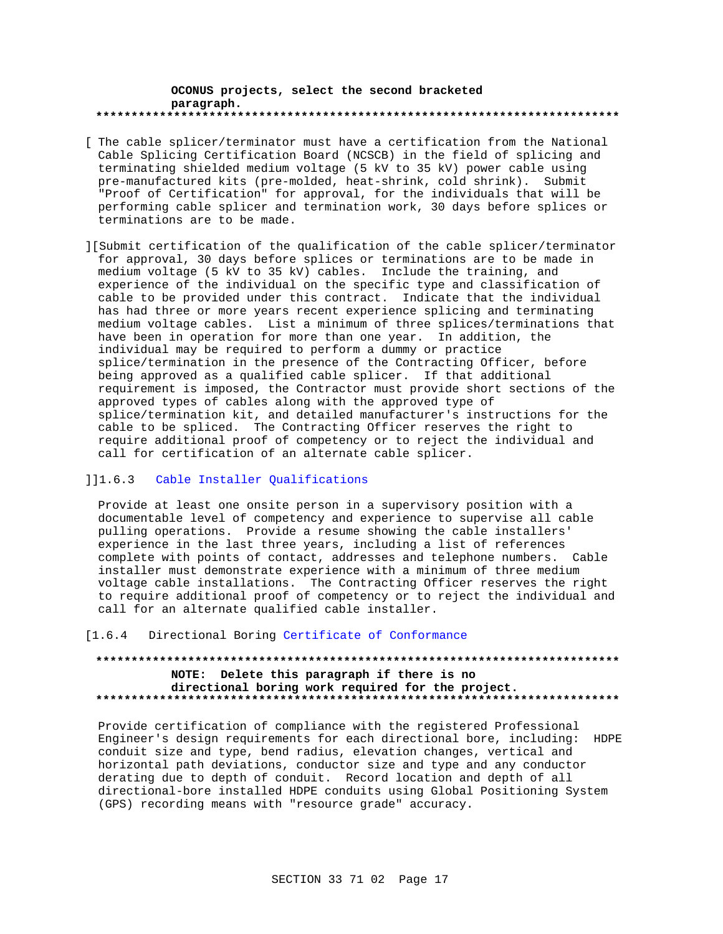### **OCONUS projects, select the second bracketed paragraph. \*\*\*\*\*\*\*\*\*\*\*\*\*\*\*\*\*\*\*\*\*\*\*\*\*\*\*\*\*\*\*\*\*\*\*\*\*\*\*\*\*\*\*\*\*\*\*\*\*\*\*\*\*\*\*\*\*\*\*\*\*\*\*\*\*\*\*\*\*\*\*\*\*\***

- [ The cable splicer/terminator must have a certification from the National Cable Splicing Certification Board (NCSCB) in the field of splicing and terminating shielded medium voltage (5 kV to 35 kV) power cable using pre-manufactured kits (pre-molded, heat-shrink, cold shrink). Submit "Proof of Certification" for approval, for the individuals that will be performing cable splicer and termination work, 30 days before splices or terminations are to be made.
- ][Submit certification of the qualification of the cable splicer/terminator for approval, 30 days before splices or terminations are to be made in medium voltage (5 kV to 35 kV) cables. Include the training, and experience of the individual on the specific type and classification of cable to be provided under this contract. Indicate that the individual has had three or more years recent experience splicing and terminating medium voltage cables. List a minimum of three splices/terminations that have been in operation for more than one year. In addition, the individual may be required to perform a dummy or practice splice/termination in the presence of the Contracting Officer, before being approved as a qualified cable splicer. If that additional requirement is imposed, the Contractor must provide short sections of the approved types of cables along with the approved type of splice/termination kit, and detailed manufacturer's instructions for the cable to be spliced. The Contracting Officer reserves the right to require additional proof of competency or to reject the individual and call for certification of an alternate cable splicer.

## ]]1.6.3 Cable Installer Qualifications

Provide at least one onsite person in a supervisory position with a documentable level of competency and experience to supervise all cable pulling operations. Provide a resume showing the cable installers' experience in the last three years, including a list of references complete with points of contact, addresses and telephone numbers. Cable installer must demonstrate experience with a minimum of three medium voltage cable installations. The Contracting Officer reserves the right to require additional proof of competency or to reject the individual and call for an alternate qualified cable installer.

## [1.6.4 Directional Boring Certificate of Conformance

## **\*\*\*\*\*\*\*\*\*\*\*\*\*\*\*\*\*\*\*\*\*\*\*\*\*\*\*\*\*\*\*\*\*\*\*\*\*\*\*\*\*\*\*\*\*\*\*\*\*\*\*\*\*\*\*\*\*\*\*\*\*\*\*\*\*\*\*\*\*\*\*\*\*\* NOTE: Delete this paragraph if there is no directional boring work required for the project. \*\*\*\*\*\*\*\*\*\*\*\*\*\*\*\*\*\*\*\*\*\*\*\*\*\*\*\*\*\*\*\*\*\*\*\*\*\*\*\*\*\*\*\*\*\*\*\*\*\*\*\*\*\*\*\*\*\*\*\*\*\*\*\*\*\*\*\*\*\*\*\*\*\***

Provide certification of compliance with the registered Professional Engineer's design requirements for each directional bore, including: HDPE conduit size and type, bend radius, elevation changes, vertical and horizontal path deviations, conductor size and type and any conductor derating due to depth of conduit. Record location and depth of all directional-bore installed HDPE conduits using Global Positioning System (GPS) recording means with "resource grade" accuracy.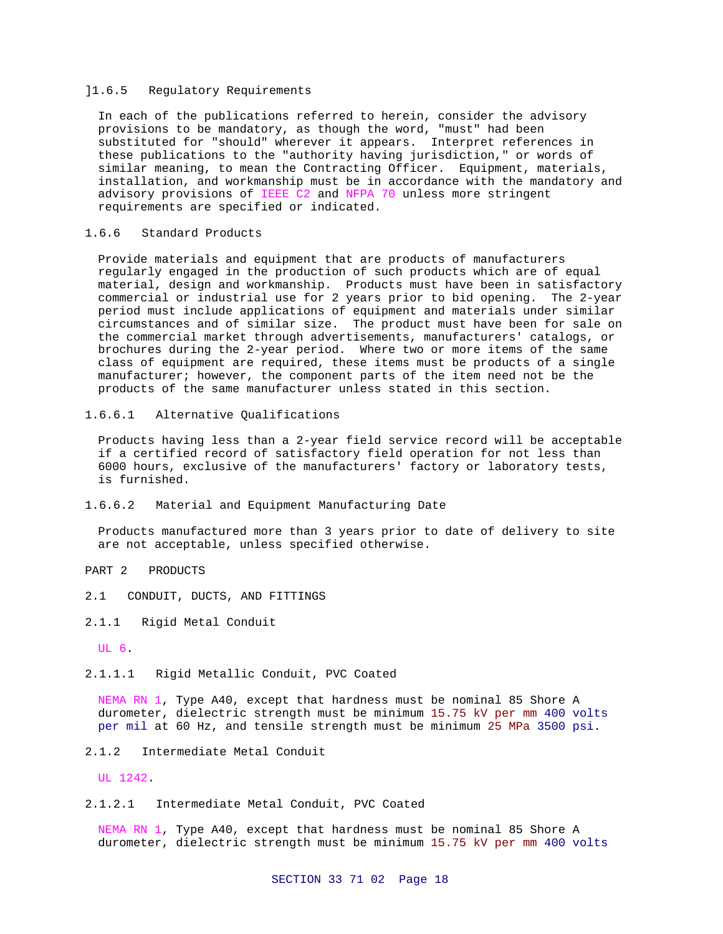## ]1.6.5 Regulatory Requirements

In each of the publications referred to herein, consider the advisory provisions to be mandatory, as though the word, "must" had been substituted for "should" wherever it appears. Interpret references in these publications to the "authority having jurisdiction," or words of similar meaning, to mean the Contracting Officer. Equipment, materials, installation, and workmanship must be in accordance with the mandatory and advisory provisions of IEEE C2 and NFPA 70 unless more stringent requirements are specified or indicated.

## 1.6.6 Standard Products

Provide materials and equipment that are products of manufacturers regularly engaged in the production of such products which are of equal material, design and workmanship. Products must have been in satisfactory commercial or industrial use for 2 years prior to bid opening. The 2-year period must include applications of equipment and materials under similar circumstances and of similar size. The product must have been for sale on the commercial market through advertisements, manufacturers' catalogs, or brochures during the 2-year period. Where two or more items of the same class of equipment are required, these items must be products of a single manufacturer; however, the component parts of the item need not be the products of the same manufacturer unless stated in this section.

## 1.6.6.1 Alternative Qualifications

Products having less than a 2-year field service record will be acceptable if a certified record of satisfactory field operation for not less than 6000 hours, exclusive of the manufacturers' factory or laboratory tests, is furnished.

## 1.6.6.2 Material and Equipment Manufacturing Date

Products manufactured more than 3 years prior to date of delivery to site are not acceptable, unless specified otherwise.

## PART 2 PRODUCTS

- 2.1 CONDUIT, DUCTS, AND FITTINGS
- 2.1.1 Rigid Metal Conduit

## UL 6.

2.1.1.1 Rigid Metallic Conduit, PVC Coated

NEMA RN 1, Type A40, except that hardness must be nominal 85 Shore A durometer, dielectric strength must be minimum 15.75 kV per mm 400 volts per mil at 60 Hz, and tensile strength must be minimum 25 MPa 3500 psi.

## 2.1.2 Intermediate Metal Conduit

UL 1242.

2.1.2.1 Intermediate Metal Conduit, PVC Coated

NEMA RN 1, Type A40, except that hardness must be nominal 85 Shore A durometer, dielectric strength must be minimum 15.75 kV per mm 400 volts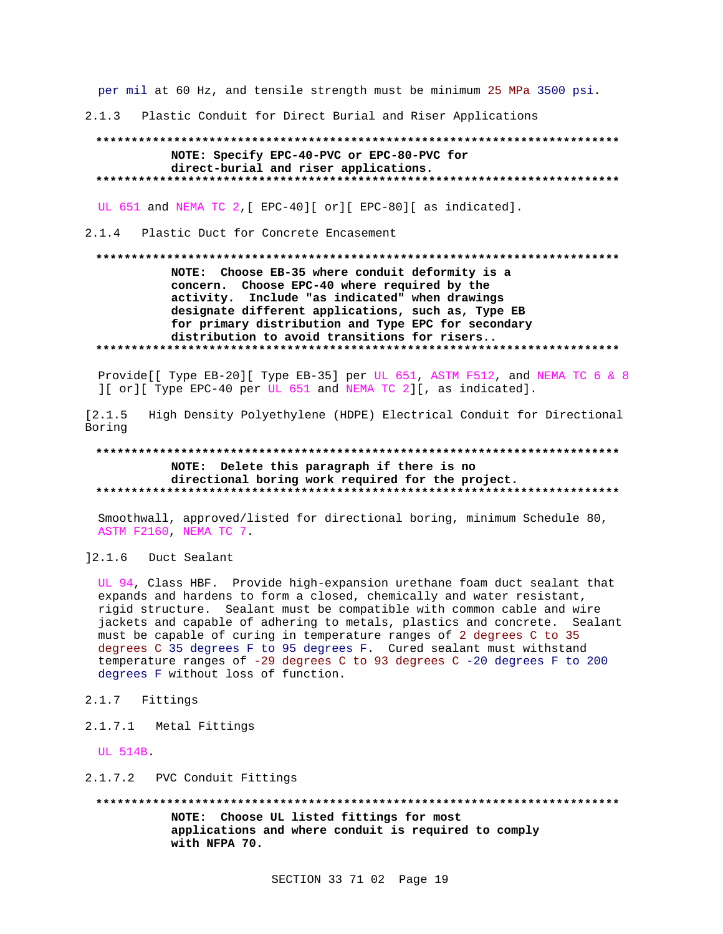per mil at 60 Hz, and tensile strength must be minimum 25 MPa 3500 psi.

2.1.3 Plastic Conduit for Direct Burial and Riser Applications

## NOTE: Specify EPC-40-PVC or EPC-80-PVC for direct-burial and riser applications.

UL 651 and NEMA TC 2, [ EPC-40] [ or ] [ EPC-80] [ as indicated].

## 2.1.4 Plastic Duct for Concrete Encasement

## NOTE: Choose EB-35 where conduit deformity is a concern. Choose EPC-40 where required by the activity. Include "as indicated" when drawings designate different applications, such as, Type EB for primary distribution and Type EPC for secondary distribution to avoid transitions for risers..

Provide[[ Type EB-20][ Type EB-35] per UL 651, ASTM F512, and NEMA TC 6 & 8 ][ or][ Type EPC-40 per UL 651 and NEMA TC 2][, as indicated].

 $[2.1.5]$ High Density Polyethylene (HDPE) Electrical Conduit for Directional Boring

## NOTE: Delete this paragraph if there is no directional boring work required for the project.

Smoothwall, approved/listed for directional boring, minimum Schedule 80, ASTM F2160, NEMA TC 7.

 $] 2.1.6$ Duct Sealant

UL 94, Class HBF. Provide high-expansion urethane foam duct sealant that expands and hardens to form a closed, chemically and water resistant, rigid structure. Sealant must be compatible with common cable and wire jackets and capable of adhering to metals, plastics and concrete. Sealant must be capable of curing in temperature ranges of 2 degrees C to 35 degrees C 35 degrees F to 95 degrees F. Cured sealant must withstand temperature ranges of -29 degrees C to 93 degrees C -20 degrees F to 200 degrees F without loss of function.

- 2.1.7 Fittings
- 2.1.7.1 Metal Fittings

UL 514B.

2.1.7.2 PVC Conduit Fittings

NOTE: Choose UL listed fittings for most applications and where conduit is required to comply with NFPA 70.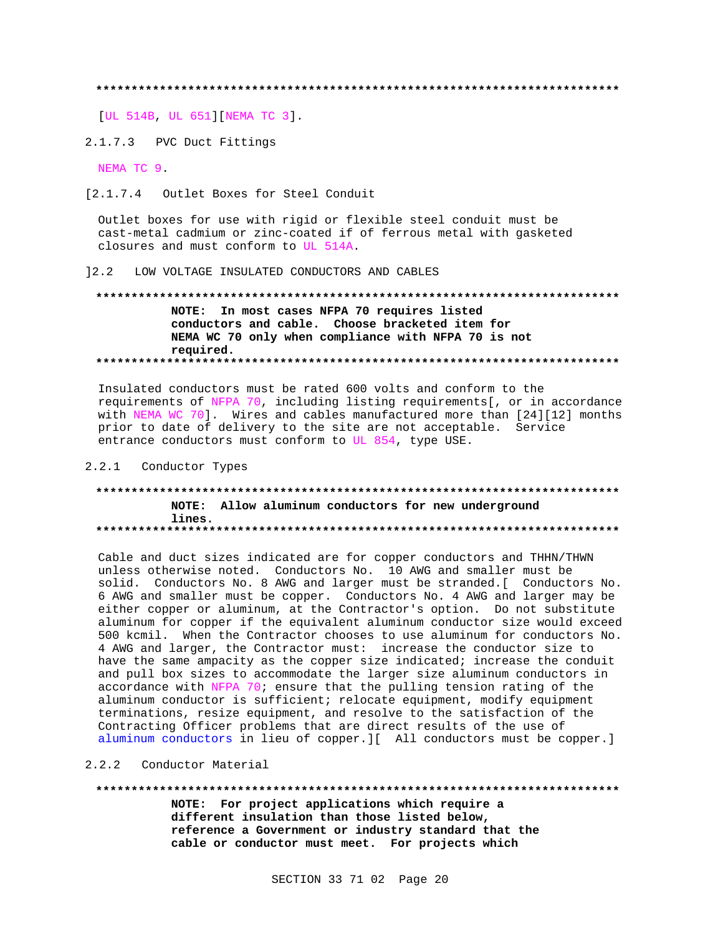[UL 514B, UL 651] [NEMA TC 3].

2.1.7.3 PVC Duct Fittings

NEMA TC 9

[2.1.7.4 Outlet Boxes for Steel Conduit

Outlet boxes for use with rigid or flexible steel conduit must be cast-metal cadmium or zinc-coated if of ferrous metal with gasketed closures and must conform to UL 514A.

12.2 LOW VOLTAGE INSULATED CONDUCTORS AND CABLES

## NOTE: In most cases NFPA 70 requires listed conductors and cable. Choose bracketed item for NEMA WC 70 only when compliance with NFPA 70 is not required.

Insulated conductors must be rated 600 volts and conform to the requirements of NFPA 70, including listing requirements[, or in accordance with NEMA WC 70]. Wires and cables manufactured more than [24][12] months prior to date of delivery to the site are not acceptable. Service entrance conductors must conform to UL 854, type USE.

### 2.2.1 Conductor Types

## NOTE: Allow aluminum conductors for new underground lines.

Cable and duct sizes indicated are for copper conductors and THHN/THWN unless otherwise noted. Conductors No. 10 AWG and smaller must be solid. Conductors No. 8 AWG and larger must be stranded. [ Conductors No. 6 AWG and smaller must be copper. Conductors No. 4 AWG and larger may be either copper or aluminum, at the Contractor's option. Do not substitute aluminum for copper if the equivalent aluminum conductor size would exceed 500 kcmil. When the Contractor chooses to use aluminum for conductors No. 4 AWG and larger, the Contractor must: increase the conductor size to have the same ampacity as the copper size indicated; increase the conduit and pull box sizes to accommodate the larger size aluminum conductors in accordance with NFPA 70; ensure that the pulling tension rating of the aluminum conductor is sufficient; relocate equipment, modify equipment terminations, resize equipment, and resolve to the satisfaction of the Contracting Officer problems that are direct results of the use of aluminum conductors in lieu of copper. I[ All conductors must be copper.]

## 2.2.2 Conductor Material

### 

NOTE: For project applications which require a different insulation than those listed below, reference a Government or industry standard that the cable or conductor must meet. For projects which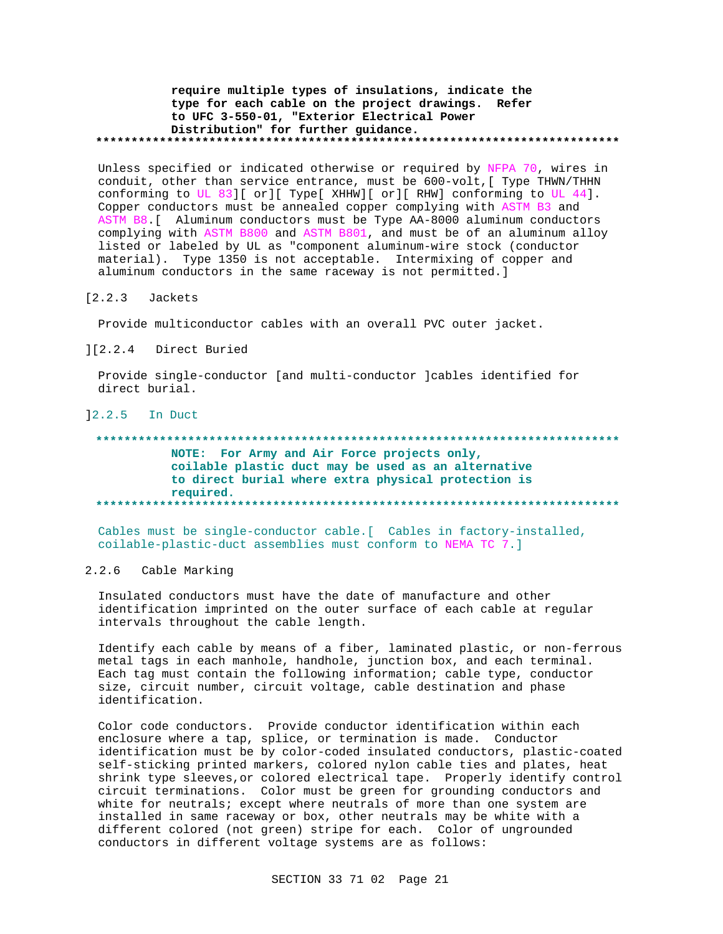## require multiple types of insulations, indicate the type for each cable on the project drawings. Refer to UFC 3-550-01, "Exterior Electrical Power Distribution" for further guidance.

Unless specified or indicated otherwise or required by NFPA 70, wires in conduit, other than service entrance, must be 600-volt, [ Type THWN/THHN conforming to UL 83][ or][ Type[ XHHW][ or][ RHW] conforming to UL 44]. Copper conductors must be annealed copper complying with ASTM B3 and ASTM B8. [ Aluminum conductors must be Type AA-8000 aluminum conductors complying with ASTM B800 and ASTM B801, and must be of an aluminum alloy listed or labeled by UL as "component aluminum-wire stock (conductor material). Type 1350 is not acceptable. Intermixing of copper and aluminum conductors in the same raceway is not permitted.]

#### $[2.2.3]$ Jackets

Provide multiconductor cables with an overall PVC outer jacket.

#### $] [2.2.4]$ Direct Buried

Provide single-conductor [and multi-conductor ]cables identified for direct burial.

## $12.2.5$  In Duct

## NOTE: For Army and Air Force projects only, coilable plastic duct may be used as an alternative to direct burial where extra physical protection is required.

Cables must be single-conductor cable. [ Cables in factory-installed, coilable-plastic-duct assemblies must conform to NEMA TC 7.]

#### $2.2.6$ Cable Marking

Insulated conductors must have the date of manufacture and other identification imprinted on the outer surface of each cable at regular intervals throughout the cable length.

Identify each cable by means of a fiber, laminated plastic, or non-ferrous metal tags in each manhole, handhole, junction box, and each terminal. Each tag must contain the following information; cable type, conductor size, circuit number, circuit voltage, cable destination and phase identification.

Color code conductors. Provide conductor identification within each enclosure where a tap, splice, or termination is made. Conductor identification must be by color-coded insulated conductors, plastic-coated self-sticking printed markers, colored nylon cable ties and plates, heat shrink type sleeves, or colored electrical tape. Properly identify control circuit terminations. Color must be green for grounding conductors and white for neutrals; except where neutrals of more than one system are installed in same raceway or box, other neutrals may be white with a different colored (not green) stripe for each. Color of ungrounded conductors in different voltage systems are as follows: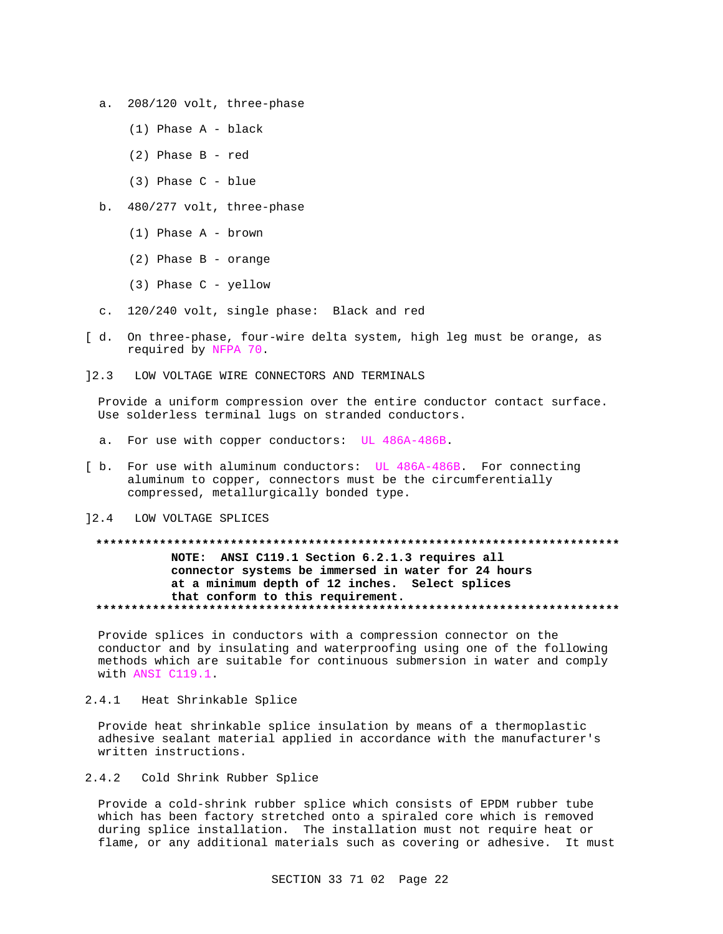- a. 208/120 volt, three-phase
	- (1) Phase A black
	- (2) Phase B red
	- (3) Phase C blue
- b. 480/277 volt, three-phase
	- (1) Phase A brown
	- (2) Phase B orange
	- (3) Phase C yellow
- c. 120/240 volt, single phase: Black and red
- [ d. On three-phase, four-wire delta system, high leg must be orange, as required by NFPA 70.
- ]2.3 LOW VOLTAGE WIRE CONNECTORS AND TERMINALS

Provide a uniform compression over the entire conductor contact surface. Use solderless terminal lugs on stranded conductors.

- a. For use with copper conductors: UL 486A-486B.
- [ b. For use with aluminum conductors: UL 486A-486B. For connecting aluminum to copper, connectors must be the circumferentially compressed, metallurgically bonded type.
- ]2.4 LOW VOLTAGE SPLICES

## **\*\*\*\*\*\*\*\*\*\*\*\*\*\*\*\*\*\*\*\*\*\*\*\*\*\*\*\*\*\*\*\*\*\*\*\*\*\*\*\*\*\*\*\*\*\*\*\*\*\*\*\*\*\*\*\*\*\*\*\*\*\*\*\*\*\*\*\*\*\*\*\*\*\* NOTE: ANSI C119.1 Section 6.2.1.3 requires all connector systems be immersed in water for 24 hours at a minimum depth of 12 inches. Select splices that conform to this requirement. \*\*\*\*\*\*\*\*\*\*\*\*\*\*\*\*\*\*\*\*\*\*\*\*\*\*\*\*\*\*\*\*\*\*\*\*\*\*\*\*\*\*\*\*\*\*\*\*\*\*\*\*\*\*\*\*\*\*\*\*\*\*\*\*\*\*\*\*\*\*\*\*\*\***

Provide splices in conductors with a compression connector on the conductor and by insulating and waterproofing using one of the following methods which are suitable for continuous submersion in water and comply with ANSI C119.1.

2.4.1 Heat Shrinkable Splice

Provide heat shrinkable splice insulation by means of a thermoplastic adhesive sealant material applied in accordance with the manufacturer's written instructions.

2.4.2 Cold Shrink Rubber Splice

Provide a cold-shrink rubber splice which consists of EPDM rubber tube which has been factory stretched onto a spiraled core which is removed during splice installation. The installation must not require heat or flame, or any additional materials such as covering or adhesive. It must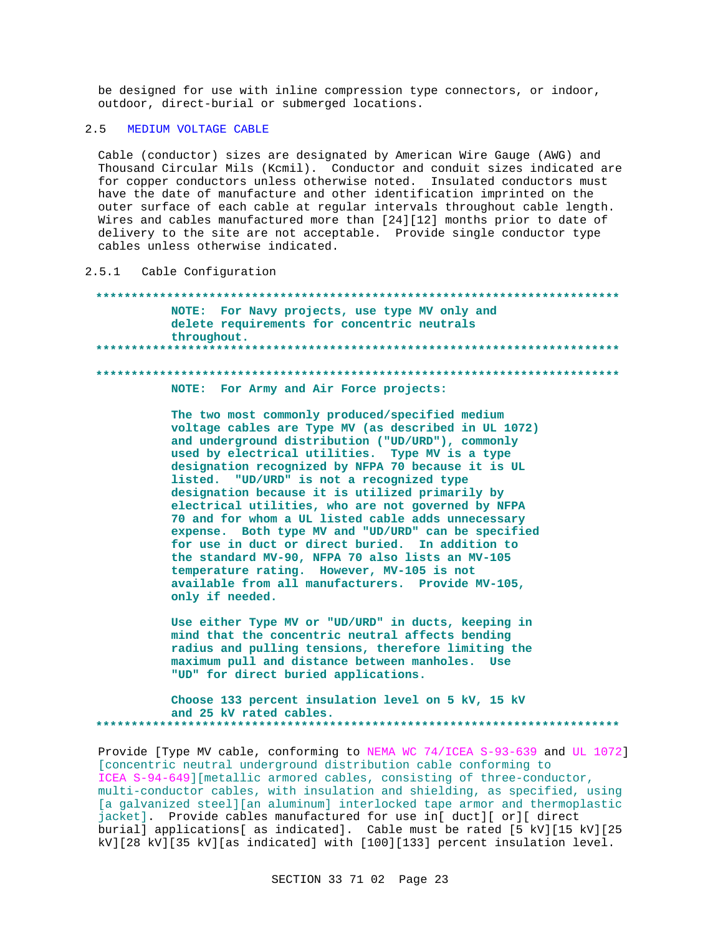be designed for use with inline compression type connectors, or indoor, outdoor, direct-burial or submerged locations.

#### $2.5$ MEDIUM VOLTAGE CABLE

Cable (conductor) sizes are designated by American Wire Gauge (AWG) and Thousand Circular Mils (Kcmil). Conductor and conduit sizes indicated are for copper conductors unless otherwise noted. Insulated conductors must have the date of manufacture and other identification imprinted on the outer surface of each cable at regular intervals throughout cable length. Wires and cables manufactured more than [24][12] months prior to date of delivery to the site are not acceptable. Provide single conductor type cables unless otherwise indicated.

Cable Configuration  $2.5.1$ 

NOTE: For Navy projects, use type MV only and delete requirements for concentric neutrals throughout. \*\*\*\*\*\*\*\*\*\*\*\*\*\*\*\*\*\*\*\*\* NOTE: For Army and Air Force projects:

> The two most commonly produced/specified medium voltage cables are Type MV (as described in UL 1072) and underground distribution ("UD/URD"), commonly used by electrical utilities. Type MV is a type designation recognized by NFPA 70 because it is UL listed. "UD/URD" is not a recognized type designation because it is utilized primarily by electrical utilities, who are not governed by NFPA 70 and for whom a UL listed cable adds unnecessary expense. Both type MV and "UD/URD" can be specified for use in duct or direct buried. In addition to the standard MV-90, NFPA 70 also lists an MV-105 temperature rating. However, MV-105 is not available from all manufacturers. Provide MV-105, only if needed.

Use either Type MV or "UD/URD" in ducts, keeping in mind that the concentric neutral affects bending radius and pulling tensions, therefore limiting the maximum pull and distance between manholes. Use "UD" for direct buried applications.

Choose 133 percent insulation level on 5 kV, 15 kV and 25 kV rated cables. 

Provide [Type MV cable, conforming to NEMA WC 74/ICEA S-93-639 and UL 1072] [concentric neutral underground distribution cable conforming to ICEA S-94-649] [metallic armored cables, consisting of three-conductor, multi-conductor cables, with insulation and shielding, as specified, using [a galvanized steel] [an aluminum] interlocked tape armor and thermoplastic jacket]. Provide cables manufactured for use in[ duct][ or][ direct burial] applications[ as indicated]. Cable must be rated [5 kV][15 kV][25 kV][28 kV][35 kV][as indicated] with [100][133] percent insulation level.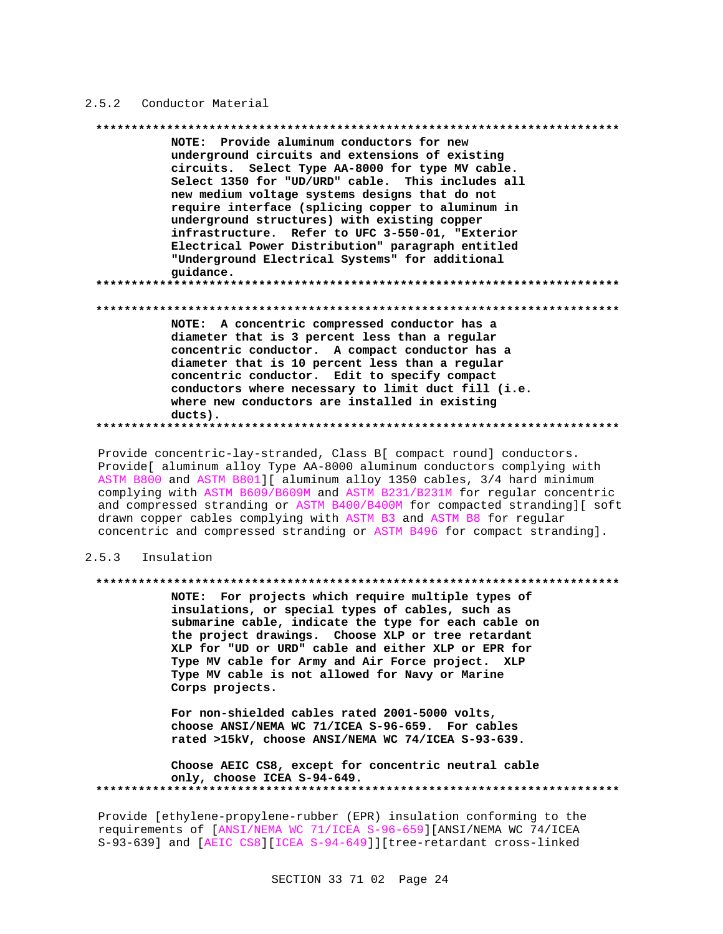## 2.5.2 Conductor Material

### 

NOTE: Provide aluminum conductors for new underground circuits and extensions of existing circuits. Select Type AA-8000 for type MV cable. Select 1350 for "UD/URD" cable. This includes all new medium voltage systems designs that do not require interface (splicing copper to aluminum in underground structures) with existing copper infrastructure. Refer to UFC 3-550-01, "Exterior Electrical Power Distribution" paragraph entitled "Underground Electrical Systems" for additional guidance. NOTE: A concentric compressed conductor has a diameter that is 3 percent less than a regular concentric conductor. A compact conductor has a diameter that is 10 percent less than a regular concentric conductor. Edit to specify compact conductors where necessary to limit duct fill (i.e. where new conductors are installed in existing  $ducts)$ .

Provide concentric-lay-stranded, Class B[ compact round] conductors. Provide[ aluminum alloy Type AA-8000 aluminum conductors complying with ASTM B800 and ASTM B801][ aluminum alloy 1350 cables, 3/4 hard minimum complying with ASTM B609/B609M and ASTM B231/B231M for regular concentric and compressed stranding or ASTM B400/B400M for compacted stranding][ soft drawn copper cables complying with ASTM B3 and ASTM B8 for regular concentric and compressed stranding or ASTM B496 for compact stranding].

#### $2.5.3$ Insulation

### 

NOTE: For projects which require multiple types of insulations, or special types of cables, such as submarine cable, indicate the type for each cable on the project drawings. Choose XLP or tree retardant XLP for "UD or URD" cable and either XLP or EPR for Type MV cable for Army and Air Force project. XLP Type MV cable is not allowed for Navy or Marine Corps projects.

For non-shielded cables rated 2001-5000 volts, choose ANSI/NEMA WC 71/ICEA S-96-659. For cables rated >15kV, choose ANSI/NEMA WC 74/ICEA S-93-639.

Choose AEIC CS8, except for concentric neutral cable only, choose ICEA S-94-649. 

Provide [ethylene-propylene-rubber (EPR) insulation conforming to the requirements of [ANSI/NEMA WC 71/ICEA S-96-659][ANSI/NEMA WC 74/ICEA S-93-639] and [AEIC CS8][ICEA S-94-649]][tree-retardant cross-linked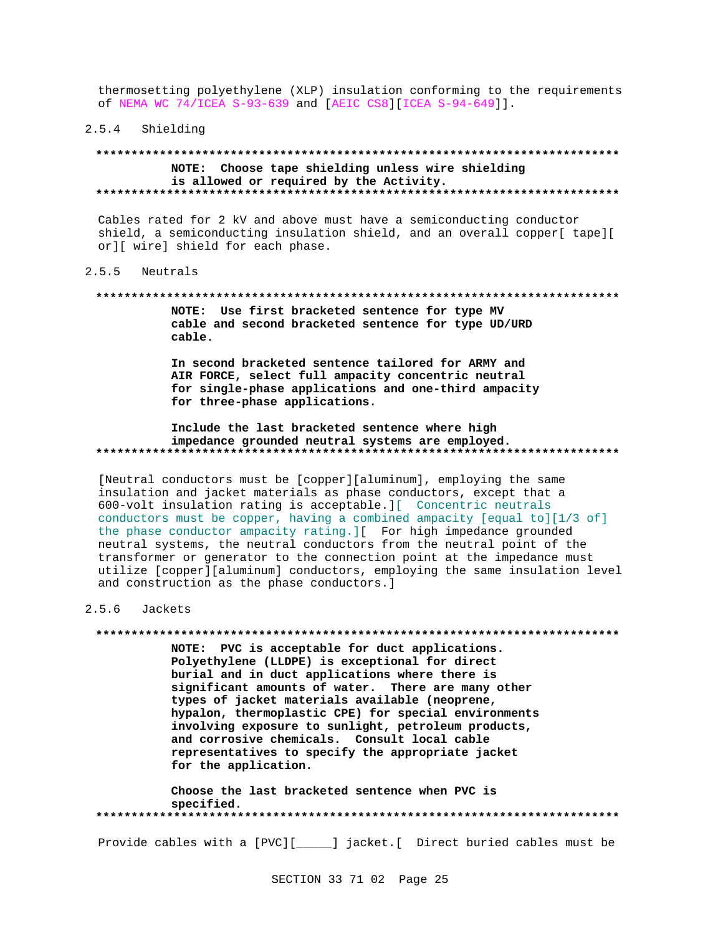thermosetting polyethylene (XLP) insulation conforming to the requirements of NEMA WC 74/ICEA S-93-639 and [AEIC CS8][ICEA S-94-649]].

## 2.5.4 Shielding

## NOTE: Choose tape shielding unless wire shielding is allowed or required by the Activity.

Cables rated for 2 kV and above must have a semiconducting conductor shield, a semiconducting insulation shield, and an overall copper[ tape][ or][ wire] shield for each phase.

#### $2.5.5$ Neutrals

### 

NOTE: Use first bracketed sentence for type MV cable and second bracketed sentence for type UD/URD cable.

In second bracketed sentence tailored for ARMY and AIR FORCE, select full ampacity concentric neutral for single-phase applications and one-third ampacity for three-phase applications.

### Include the last bracketed sentence where high impedance grounded neutral systems are employed.

[Neutral conductors must be [copper][aluminum], employing the same insulation and jacket materials as phase conductors, except that a 600-volt insulation rating is acceptable. J[ Concentric neutrals conductors must be copper, having a combined ampacity [equal to][1/3 of] the phase conductor ampacity rating. I For high impedance grounded neutral systems, the neutral conductors from the neutral point of the transformer or generator to the connection point at the impedance must utilize [copper][aluminum] conductors, employing the same insulation level and construction as the phase conductors.]

#### $2.5.6$ Jackets

NOTE: PVC is acceptable for duct applications. Polyethylene (LLDPE) is exceptional for direct burial and in duct applications where there is significant amounts of water. There are many other types of jacket materials available (neoprene, hypalon, thermoplastic CPE) for special environments involving exposure to sunlight, petroleum products, and corrosive chemicals. Consult local cable representatives to specify the appropriate jacket for the application.

Choose the last bracketed sentence when PVC is specified. 

Provide cables with a [PVC][\_\_\_\_\_] jacket.[ Direct buried cables must be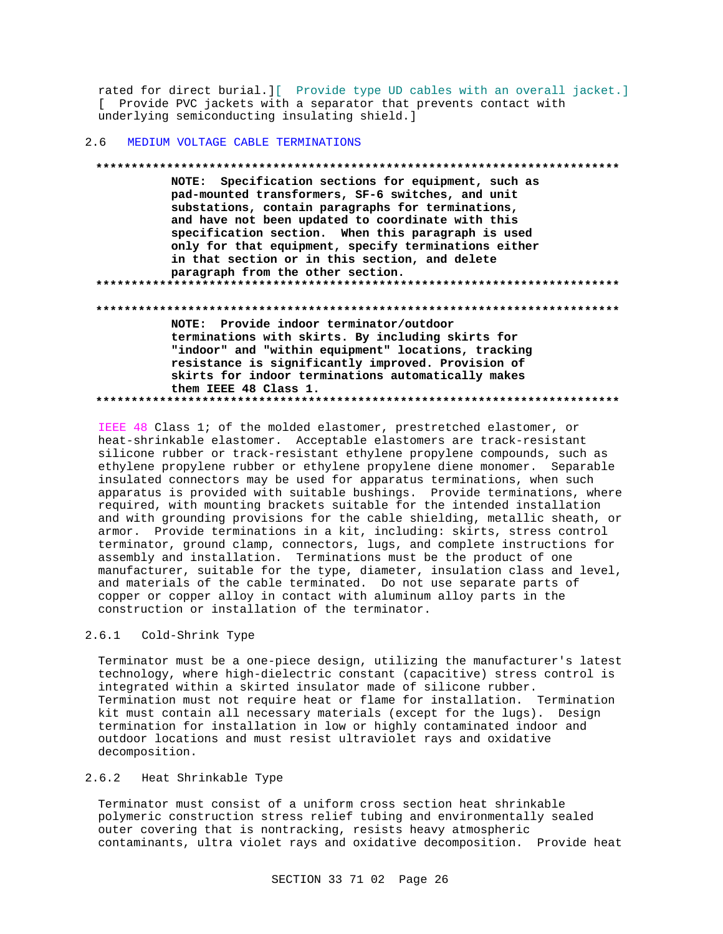rated for direct burial. I Provide type UD cables with an overall jacket. [ Provide PVC jackets with a separator that prevents contact with underlying semiconducting insulating shield.]

#### MEDIUM VOLTAGE CABLE TERMINATIONS  $2.6$

NOTE: Specification sections for equipment, such as pad-mounted transformers, SF-6 switches, and unit substations, contain paragraphs for terminations, and have not been updated to coordinate with this specification section. When this paragraph is used only for that equipment, specify terminations either in that section or in this section, and delete paragraph from the other section. NOTE: Provide indoor terminator/outdoor terminations with skirts. By including skirts for "indoor" and "within equipment" locations, tracking resistance is significantly improved. Provision of skirts for indoor terminations automatically makes them IEEE 48 Class 1. 

IEEE 48 Class 1; of the molded elastomer, prestretched elastomer, or heat-shrinkable elastomer. Acceptable elastomers are track-resistant silicone rubber or track-resistant ethylene propylene compounds, such as ethylene propylene rubber or ethylene propylene diene monomer. Separable insulated connectors may be used for apparatus terminations, when such apparatus is provided with suitable bushings. Provide terminations, where required, with mounting brackets suitable for the intended installation and with grounding provisions for the cable shielding, metallic sheath, or armor. Provide terminations in a kit, including: skirts, stress control terminator, ground clamp, connectors, lugs, and complete instructions for assembly and installation. Terminations must be the product of one manufacturer, suitable for the type, diameter, insulation class and level, and materials of the cable terminated. Do not use separate parts of copper or copper alloy in contact with aluminum alloy parts in the construction or installation of the terminator.

#### $2.6.1$ Cold-Shrink Type

Terminator must be a one-piece design, utilizing the manufacturer's latest technology, where high-dielectric constant (capacitive) stress control is integrated within a skirted insulator made of silicone rubber. Termination must not require heat or flame for installation. Termination kit must contain all necessary materials (except for the lugs). Design termination for installation in low or highly contaminated indoor and outdoor locations and must resist ultraviolet rays and oxidative decomposition.

#### $2.6.2$ Heat Shrinkable Type

Terminator must consist of a uniform cross section heat shrinkable polymeric construction stress relief tubing and environmentally sealed outer covering that is nontracking, resists heavy atmospheric contaminants, ultra violet rays and oxidative decomposition. Provide heat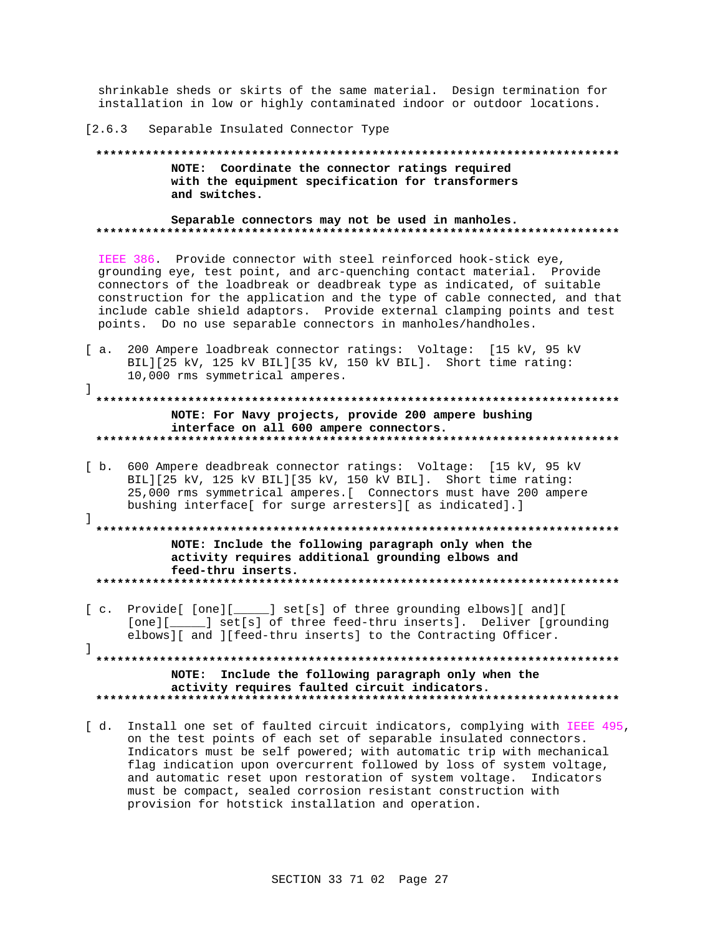shrinkable sheds or skirts of the same material. Design termination for installation in low or highly contaminated indoor or outdoor locations.

### [2.6.3 Separable Insulated Connector Type

1

 $\mathbf{1}$ 

## NOTE: Coordinate the connector ratings required with the equipment specification for transformers and switches.

Separable connectors may not be used in manholes. 

IEEE 386. Provide connector with steel reinforced hook-stick eye, grounding eye, test point, and arc-quenching contact material. Provide connectors of the loadbreak or deadbreak type as indicated, of suitable construction for the application and the type of cable connected, and that include cable shield adaptors. Provide external clamping points and test points. Do no use separable connectors in manholes/handholes.

- [ a. 200 Ampere loadbreak connector ratings: Voltage: [15 kV, 95 kV BIL][25 kV, 125 kV BIL][35 kV, 150 kV BIL]. Short time rating: 10,000 rms symmetrical amperes.
- NOTE: For Navy projects, provide 200 ampere bushing interface on all 600 ampere connectors.
- [ b. 600 Ampere deadbreak connector ratings: Voltage: [15 kV, 95 kV BIL][25 kV, 125 kV BIL][35 kV, 150 kV BIL]. Short time rating: 25,000 rms symmetrical amperes. [ Connectors must have 200 ampere bushing interface[ for surge arresters][ as indicated].]

NOTE: Include the following paragraph only when the activity requires additional grounding elbows and feed-thru inserts. 

[c. Provide[ [one][\_\_\_\_\_] set[s] of three grounding elbows][ and][ [one][\_\_\_\_\_] set[s] of three feed-thru inserts]. Deliver [grounding elbows][ and ][feed-thru inserts] to the Contracting Officer.  $\mathbf{1}$ 

NOTE: Include the following paragraph only when the activity requires faulted circuit indicators. 

[ d. Install one set of faulted circuit indicators, complying with IEEE 495, on the test points of each set of separable insulated connectors. Indicators must be self powered; with automatic trip with mechanical flag indication upon overcurrent followed by loss of system voltage, and automatic reset upon restoration of system voltage. Indicators must be compact, sealed corrosion resistant construction with provision for hotstick installation and operation.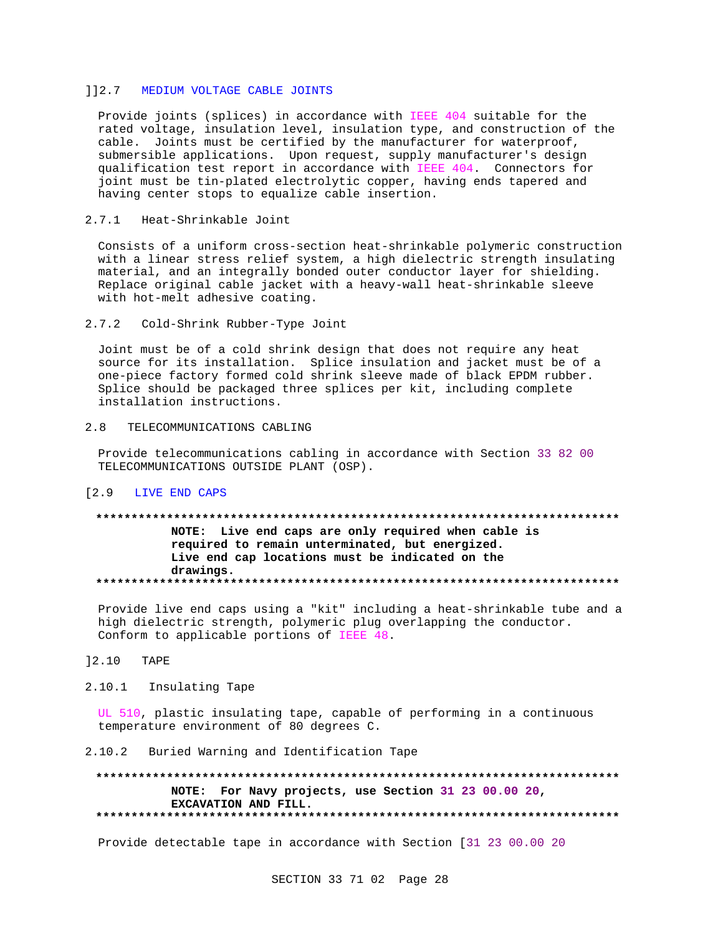## 112.7 MEDIUM VOLTAGE CABLE JOINTS

Provide joints (splices) in accordance with IEEE 404 suitable for the rated voltage, insulation level, insulation type, and construction of the cable. Joints must be certified by the manufacturer for waterproof, submersible applications. Upon request, supply manufacturer's design<br>qualification test report in accordance with IEEE 404. Connectors for joint must be tin-plated electrolytic copper, having ends tapered and having center stops to equalize cable insertion.

#### $2.7.1$ Heat-Shrinkable Joint

Consists of a uniform cross-section heat-shrinkable polymeric construction with a linear stress relief system, a high dielectric strength insulating material, and an integrally bonded outer conductor layer for shielding. Replace original cable jacket with a heavy-wall heat-shrinkable sleeve with hot-melt adhesive coating.

#### $2.7.2$ Cold-Shrink Rubber-Type Joint

Joint must be of a cold shrink design that does not require any heat source for its installation. Splice insulation and jacket must be of a one-piece factory formed cold shrink sleeve made of black EPDM rubber. Splice should be packaged three splices per kit, including complete installation instructions.

#### TELECOMMUNICATIONS CABLING  $2.8$

Provide telecommunications cabling in accordance with Section 33 82 00 TELECOMMUNICATIONS OUTSIDE PLANT (OSP).

## [2.9 LIVE END CAPS

## NOTE: Live end caps are only required when cable is required to remain unterminated, but energized. Live end cap locations must be indicated on the drawings.

Provide live end caps using a "kit" including a heat-shrinkable tube and a high dielectric strength, polymeric plug overlapping the conductor. Conform to applicable portions of IEEE 48.

#### $] 2.10$ TAPE

## 2.10.1 Insulating Tape

UL 510, plastic insulating tape, capable of performing in a continuous temperature environment of 80 degrees C.

## 2.10.2 Buried Warning and Identification Tape

NOTE: For Navy projects, use Section 31 23 00.00 20, EXCAVATION AND FILL. 

Provide detectable tape in accordance with Section [31 23 00.00 20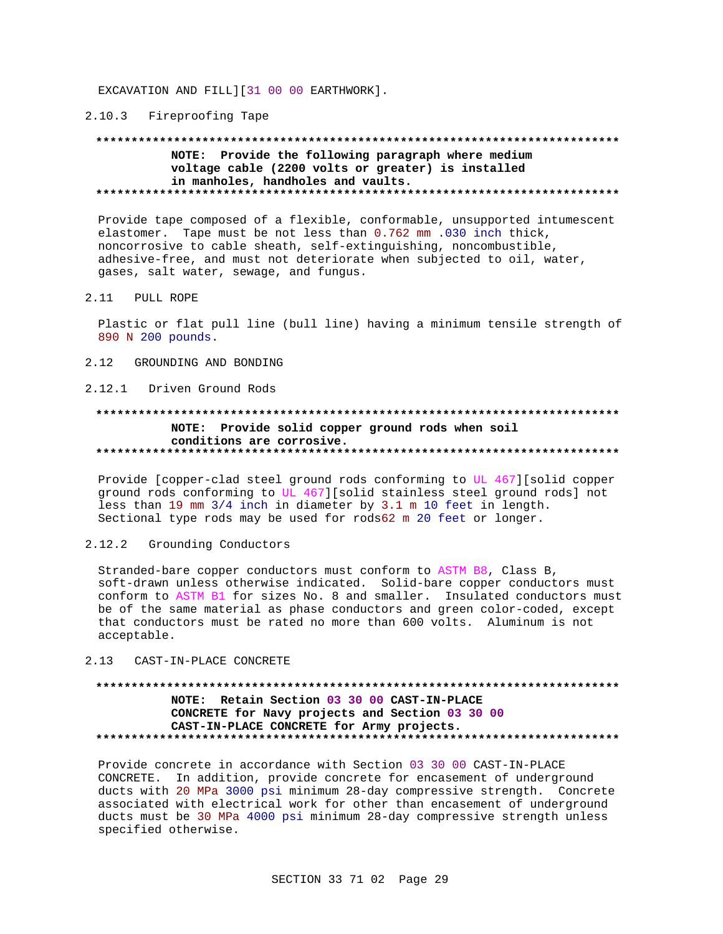EXCAVATION AND FILL][31 00 00 EARTHWORK].

## 2.10.3 Fireproofing Tape

## NOTE: Provide the following paragraph where medium voltage cable (2200 volts or greater) is installed in manholes, handholes and vaults.

Provide tape composed of a flexible, conformable, unsupported intumescent elastomer. Tape must be not less than 0.762 mm .030 inch thick, noncorrosive to cable sheath, self-extinguishing, noncombustible, adhesive-free, and must not deteriorate when subjected to oil, water, gases, salt water, sewage, and fungus.

#### $2.11$ PULL ROPE

Plastic or flat pull line (bull line) having a minimum tensile strength of 890 N 200 pounds.

- 2.12 GROUNDING AND BONDING
- 2.12.1 Driven Ground Rods

## NOTE: Provide solid copper ground rods when soil conditions are corrosive.

Provide [copper-clad steel ground rods conforming to UL 467][solid copper ground rods conforming to UL 467][solid stainless steel ground rods] not less than 19 mm 3/4 inch in diameter by 3.1 m 10 feet in length. Sectional type rods may be used for rods62 m 20 feet or longer.

 $2.12.2$ Grounding Conductors

Stranded-bare copper conductors must conform to ASTM B8, Class B, soft-drawn unless otherwise indicated. Solid-bare copper conductors must conform to ASTM B1 for sizes No. 8 and smaller. Insulated conductors must be of the same material as phase conductors and green color-coded, except that conductors must be rated no more than 600 volts. Aluminum is not acceptable.

#### 2.13 CAST-IN-PLACE CONCRETE

## NOTE: Retain Section 03 30 00 CAST-IN-PLACE CONCRETE for Navy projects and Section 03 30 00 CAST-IN-PLACE CONCRETE for Army projects.

Provide concrete in accordance with Section 03 30 00 CAST-IN-PLACE CONCRETE. In addition, provide concrete for encasement of underground ducts with 20 MPa 3000 psi minimum 28-day compressive strength. Concrete associated with electrical work for other than encasement of underground ducts must be 30 MPa 4000 psi minimum 28-day compressive strength unless specified otherwise.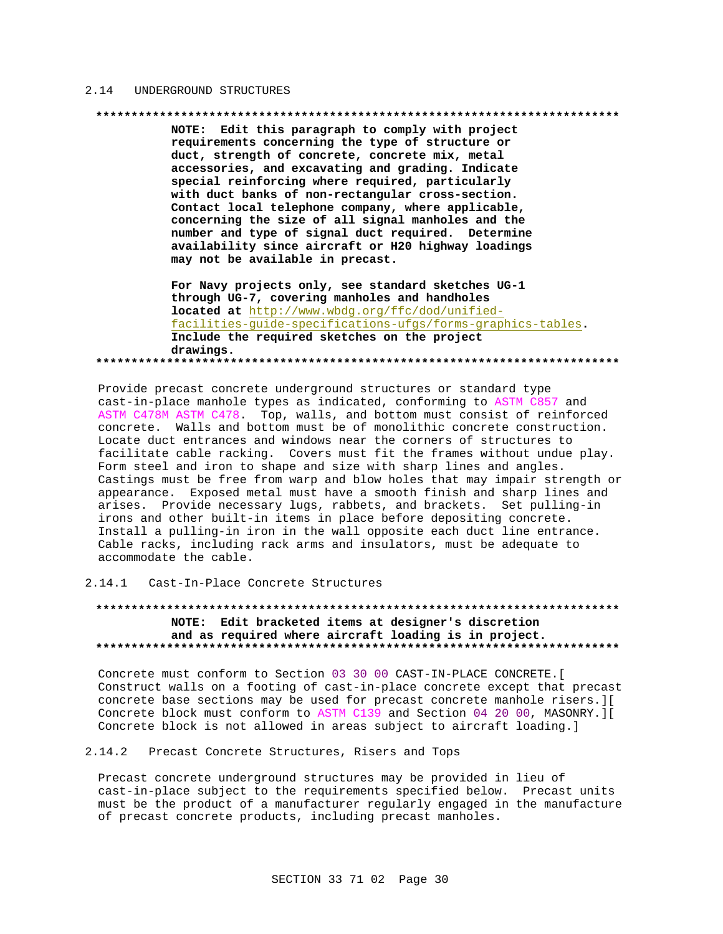## 2.14 UNDERGROUND STRUCTURES

### 

NOTE: Edit this paragraph to comply with project requirements concerning the type of structure or duct, strength of concrete, concrete mix, metal accessories, and excavating and grading. Indicate special reinforcing where required, particularly with duct banks of non-rectangular cross-section. Contact local telephone company, where applicable, concerning the size of all signal manholes and the number and type of signal duct required. Determine availability since aircraft or H20 highway loadings may not be available in precast.

For Navy projects only, see standard sketches UG-1 through UG-7, covering manholes and handholes located at http://www.wbdg.org/ffc/dod/unifiedfacilities-guide-specifications-ufgs/forms-graphics-tables. Include the required sketches on the project drawings. 

Provide precast concrete underground structures or standard type cast-in-place manhole types as indicated, conforming to ASTM C857 and ASTM C478M ASTM C478. Top, walls, and bottom must consist of reinforced concrete. Walls and bottom must be of monolithic concrete construction. Locate duct entrances and windows near the corners of structures to facilitate cable racking. Covers must fit the frames without undue play. Form steel and iron to shape and size with sharp lines and angles. Castings must be free from warp and blow holes that may impair strength or appearance. Exposed metal must have a smooth finish and sharp lines and arises. Provide necessary lugs, rabbets, and brackets. Set pulling-in irons and other built-in items in place before depositing concrete. Install a pulling-in iron in the wall opposite each duct line entrance. Cable racks, including rack arms and insulators, must be adequate to accommodate the cable.

## 2.14.1 Cast-In-Place Concrete Structures

## NOTE: Edit bracketed items at designer's discretion and as required where aircraft loading is in project.

Concrete must conform to Section 03 30 00 CAST-IN-PLACE CONCRETE. [ Construct walls on a footing of cast-in-place concrete except that precast concrete base sections may be used for precast concrete manhole risers. ][ Concrete block must conform to ASTM C139 and Section 04 20 00, MASONRY. ] [ Concrete block is not allowed in areas subject to aircraft loading.]

## 2.14.2 Precast Concrete Structures, Risers and Tops

Precast concrete underground structures may be provided in lieu of cast-in-place subject to the requirements specified below. Precast units must be the product of a manufacturer regularly engaged in the manufacture of precast concrete products, including precast manholes.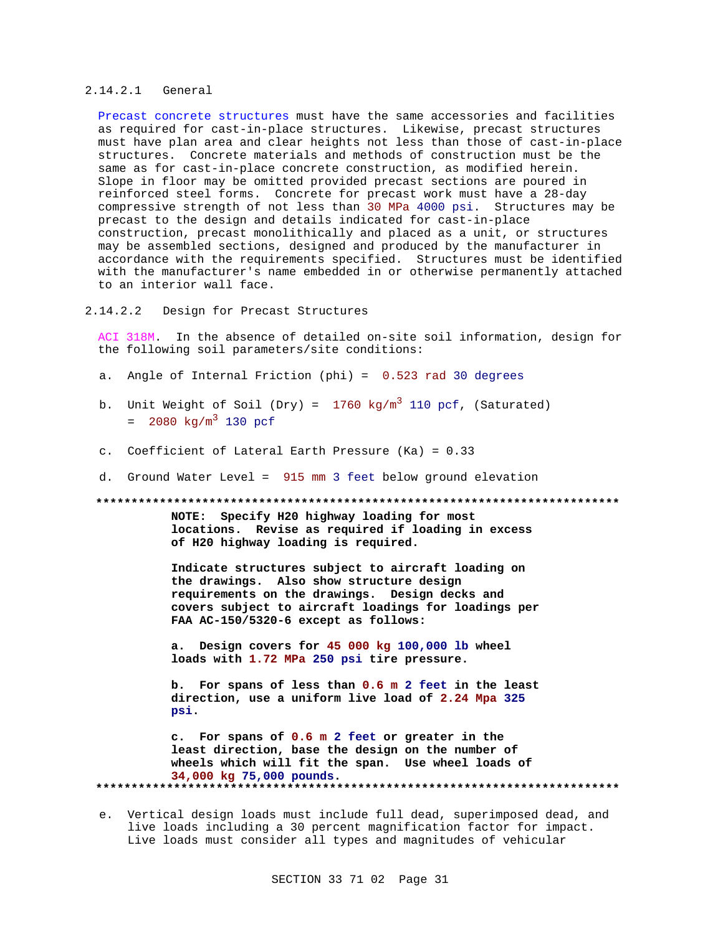## 2.14.2.1 General

Precast concrete structures must have the same accessories and facilities as required for cast-in-place structures. Likewise, precast structures must have plan area and clear heights not less than those of cast-in-place structures. Concrete materials and methods of construction must be the same as for cast-in-place concrete construction, as modified herein. Slope in floor may be omitted provided precast sections are poured in reinforced steel forms. Concrete for precast work must have a 28-day compressive strength of not less than 30 MPa 4000 psi. Structures may be precast to the design and details indicated for cast-in-place construction, precast monolithically and placed as a unit, or structures may be assembled sections, designed and produced by the manufacturer in accordance with the requirements specified. Structures must be identified with the manufacturer's name embedded in or otherwise permanently attached to an interior wall face.

2.14.2.2 Design for Precast Structures

ACI 318M. In the absence of detailed on-site soil information, design for the following soil parameters/site conditions:

- a. Angle of Internal Friction (phi) = 0.523 rad 30 degrees
- b. Unit Weight of Soil (Dry) =  $1760 \text{ kg/m}^3$  110 pcf, (Saturated)  $= 2080 \text{ kg/m}^3$  130 pcf
- c. Coefficient of Lateral Earth Pressure (Ka) = 0.33
- d. Ground Water Level = 915 mm 3 feet below ground elevation

**\*\*\*\*\*\*\*\*\*\*\*\*\*\*\*\*\*\*\*\*\*\*\*\*\*\*\*\*\*\*\*\*\*\*\*\*\*\*\*\*\*\*\*\*\*\*\*\*\*\*\*\*\*\*\*\*\*\*\*\*\*\*\*\*\*\*\*\*\*\*\*\*\*\***

**NOTE: Specify H20 highway loading for most locations. Revise as required if loading in excess of H20 highway loading is required.**

**Indicate structures subject to aircraft loading on the drawings. Also show structure design requirements on the drawings. Design decks and covers subject to aircraft loadings for loadings per FAA AC-150/5320-6 except as follows:**

**a. Design covers for 45 000 kg 100,000 lb wheel loads with 1.72 MPa 250 psi tire pressure.**

**b. For spans of less than 0.6 m 2 feet in the least direction, use a uniform live load of 2.24 Mpa 325 psi.**

**c. For spans of 0.6 m 2 feet or greater in the least direction, base the design on the number of wheels which will fit the span. Use wheel loads of 34,000 kg 75,000 pounds. \*\*\*\*\*\*\*\*\*\*\*\*\*\*\*\*\*\*\*\*\*\*\*\*\*\*\*\*\*\*\*\*\*\*\*\*\*\*\*\*\*\*\*\*\*\*\*\*\*\*\*\*\*\*\*\*\*\*\*\*\*\*\*\*\*\*\*\*\*\*\*\*\*\***

e. Vertical design loads must include full dead, superimposed dead, and live loads including a 30 percent magnification factor for impact. Live loads must consider all types and magnitudes of vehicular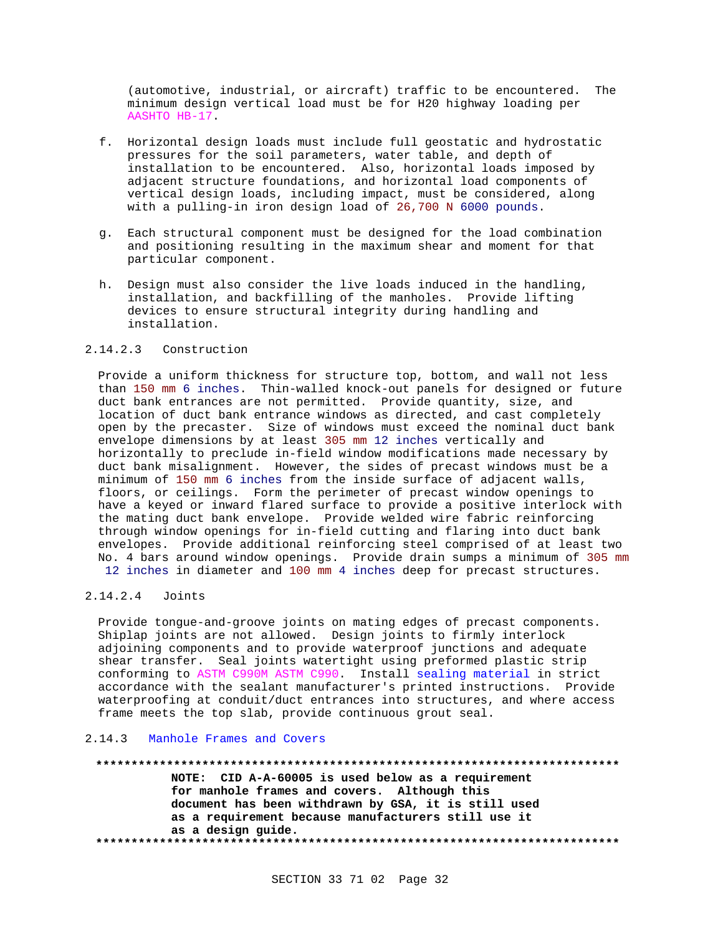(automotive, industrial, or aircraft) traffic to be encountered. The minimum design vertical load must be for H20 highway loading per AASHTO HB-17.

- f. Horizontal design loads must include full geostatic and hydrostatic pressures for the soil parameters, water table, and depth of installation to be encountered. Also, horizontal loads imposed by adjacent structure foundations, and horizontal load components of vertical design loads, including impact, must be considered, along with a pulling-in iron design load of 26,700 N 6000 pounds.
- g. Each structural component must be designed for the load combination and positioning resulting in the maximum shear and moment for that particular component.
- h. Design must also consider the live loads induced in the handling, installation, and backfilling of the manholes. Provide lifting devices to ensure structural integrity during handling and installation.

## 2.14.2.3 Construction

Provide a uniform thickness for structure top, bottom, and wall not less than 150 mm 6 inches. Thin-walled knock-out panels for designed or future duct bank entrances are not permitted. Provide quantity, size, and location of duct bank entrance windows as directed, and cast completely open by the precaster. Size of windows must exceed the nominal duct bank envelope dimensions by at least 305 mm 12 inches vertically and horizontally to preclude in-field window modifications made necessary by duct bank misalignment. However, the sides of precast windows must be a minimum of 150 mm 6 inches from the inside surface of adjacent walls, floors, or ceilings. Form the perimeter of precast window openings to have a keyed or inward flared surface to provide a positive interlock with the mating duct bank envelope. Provide welded wire fabric reinforcing through window openings for in-field cutting and flaring into duct bank envelopes. Provide additional reinforcing steel comprised of at least two No. 4 bars around window openings. Provide drain sumps a minimum of 305 mm 12 inches in diameter and 100 mm 4 inches deep for precast structures.

## 2.14.2.4 Joints

Provide tongue-and-groove joints on mating edges of precast components. Shiplap joints are not allowed. Design joints to firmly interlock adjoining components and to provide waterproof junctions and adequate shear transfer. Seal joints watertight using preformed plastic strip conforming to ASTM C990M ASTM C990. Install sealing material in strict accordance with the sealant manufacturer's printed instructions. Provide waterproofing at conduit/duct entrances into structures, and where access frame meets the top slab, provide continuous grout seal.

## 2.14.3 Manhole Frames and Covers

## **\*\*\*\*\*\*\*\*\*\*\*\*\*\*\*\*\*\*\*\*\*\*\*\*\*\*\*\*\*\*\*\*\*\*\*\*\*\*\*\*\*\*\*\*\*\*\*\*\*\*\*\*\*\*\*\*\*\*\*\*\*\*\*\*\*\*\*\*\*\*\*\*\*\***

**NOTE: CID A-A-60005 is used below as a requirement for manhole frames and covers. Although this document has been withdrawn by GSA, it is still used as a requirement because manufacturers still use it as a design guide. \*\*\*\*\*\*\*\*\*\*\*\*\*\*\*\*\*\*\*\*\*\*\*\*\*\*\*\*\*\*\*\*\*\*\*\*\*\*\*\*\*\*\*\*\*\*\*\*\*\*\*\*\*\*\*\*\*\*\*\*\*\*\*\*\*\*\*\*\*\*\*\*\*\***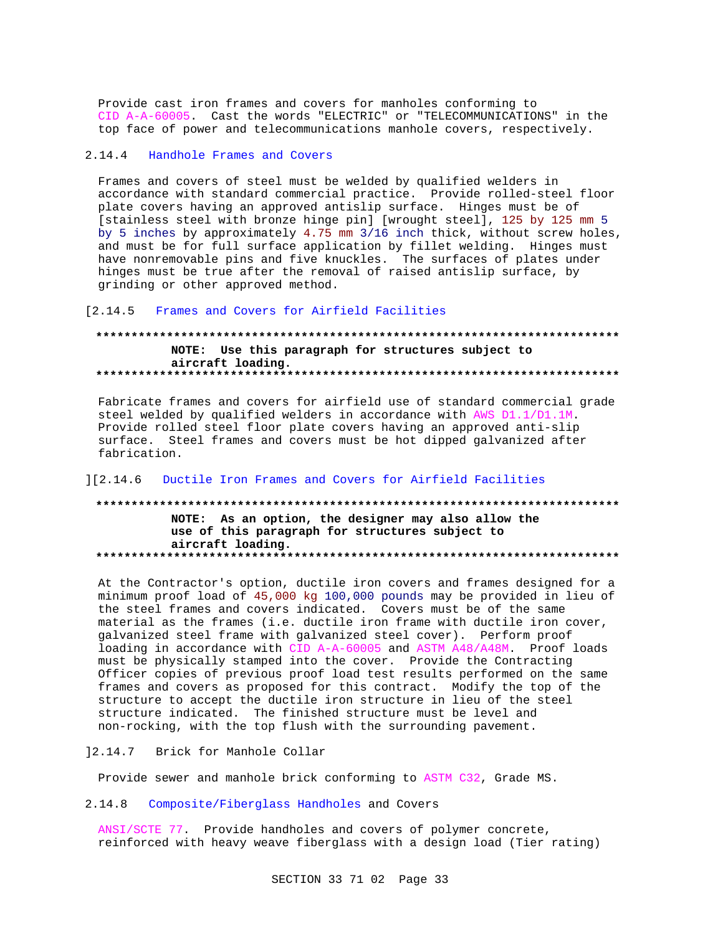Provide cast iron frames and covers for manholes conforming to CID A-A-60005. Cast the words "ELECTRIC" or "TELECOMMUNICATIONS" in the top face of power and telecommunications manhole covers, respectively.

#### $2.14.4$ Handhole Frames and Covers

Frames and covers of steel must be welded by qualified welders in accordance with standard commercial practice. Provide rolled-steel floor plate covers having an approved antislip surface. Hinges must be of [stainless steel with bronze hinge pin] [wrought steel], 125 by 125 mm 5 by 5 inches by approximately 4.75 mm 3/16 inch thick, without screw holes, and must be for full surface application by fillet welding. Hinges must have nonremovable pins and five knuckles. The surfaces of plates under hinges must be true after the removal of raised antislip surface, by grinding or other approved method.

#### $[2.14.5]$ Frames and Covers for Airfield Facilities

## NOTE: Use this paragraph for structures subject to aircraft loading.

Fabricate frames and covers for airfield use of standard commercial grade steel welded by qualified welders in accordance with AWS D1.1/D1.1M. Provide rolled steel floor plate covers having an approved anti-slip surface. Steel frames and covers must be hot dipped galvanized after fabrication.

#### Ductile Iron Frames and Covers for Airfield Facilities  $112.146$

## NOTE: As an option, the designer may also allow the use of this paragraph for structures subject to aircraft loading.

At the Contractor's option, ductile iron covers and frames designed for a minimum proof load of 45,000 kg 100,000 pounds may be provided in lieu of the steel frames and covers indicated. Covers must be of the same material as the frames (i.e. ductile iron frame with ductile iron cover, galvanized steel frame with galvanized steel cover). Perform proof loading in accordance with CID A-A-60005 and ASTM A48/A48M. Proof loads must be physically stamped into the cover. Provide the Contracting Officer copies of previous proof load test results performed on the same frames and covers as proposed for this contract. Modify the top of the structure to accept the ductile iron structure in lieu of the steel structure indicated. The finished structure must be level and non-rocking, with the top flush with the surrounding pavement.

 $] 2.14.7$ Brick for Manhole Collar

Provide sewer and manhole brick conforming to ASTM C32, Grade MS.

 $2.14.8$ Composite/Fiberglass Handholes and Covers

ANSI/SCTE 77 Provide handholes and covers of polymer concrete, reinforced with heavy weave fiberglass with a design load (Tier rating)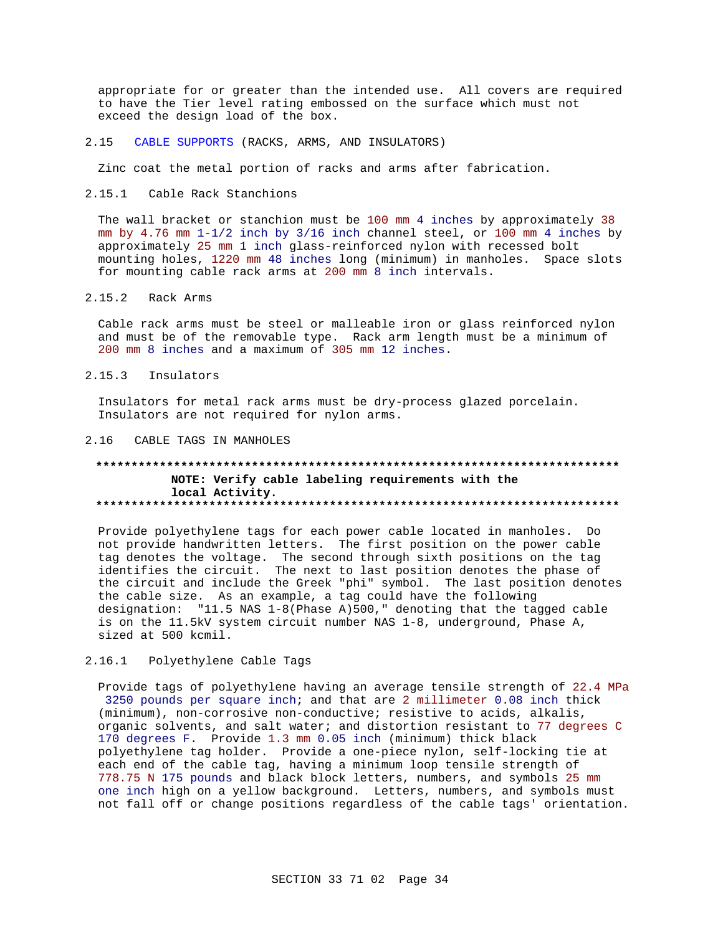appropriate for or greater than the intended use. All covers are required to have the Tier level rating embossed on the surface which must not exceed the design load of the box.

 $2.15$ CABLE SUPPORTS (RACKS, ARMS, AND INSULATORS)

Zinc coat the metal portion of racks and arms after fabrication.

2.15.1 Cable Rack Stanchions

The wall bracket or stanchion must be 100 mm 4 inches by approximately 38 mm by  $4.76$  mm  $1-1/2$  inch by  $3/16$  inch channel steel, or 100 mm 4 inches by approximately 25 mm 1 inch glass-reinforced nylon with recessed bolt mounting holes, 1220 mm 48 inches long (minimum) in manholes. Space slots for mounting cable rack arms at 200 mm 8 inch intervals.

#### $2.15.2$ Rack Arms

Cable rack arms must be steel or malleable iron or glass reinforced nylon and must be of the removable type. Rack arm length must be a minimum of 200 mm 8 inches and a maximum of 305 mm 12 inches.

2.15.3 Insulators

Insulators for metal rack arms must be dry-process glazed porcelain. Insulators are not required for nylon arms.

## 2.16 CABLE TAGS IN MANHOLES

## NOTE: Verify cable labeling requirements with the local Activity.

Provide polyethylene tags for each power cable located in manholes. Do not provide handwritten letters. The first position on the power cable tag denotes the voltage. The second through sixth positions on the tag identifies the circuit. The next to last position denotes the phase of the circuit and include the Greek "phi" symbol. The last position denotes the cable size. As an example, a tag could have the following designation: "11.5 NAS 1-8(Phase A)500," denoting that the tagged cable is on the 11.5kV system circuit number NAS 1-8, underground, Phase A, sized at 500 kcmil.

#### $2.16.1$ Polyethylene Cable Tags

Provide tags of polyethylene having an average tensile strength of 22.4 MPa 3250 pounds per square inch; and that are 2 millimeter 0.08 inch thick (minimum), non-corrosive non-conductive; resistive to acids, alkalis, organic solvents, and salt water; and distortion resistant to 77 degrees C 170 degrees F. Provide 1.3 mm 0.05 inch (minimum) thick black polyethylene tag holder. Provide a one-piece nylon, self-locking tie at each end of the cable tag, having a minimum loop tensile strength of 778.75 N 175 pounds and black block letters, numbers, and symbols 25 mm one inch high on a yellow background. Letters, numbers, and symbols must not fall off or change positions regardless of the cable tags' orientation.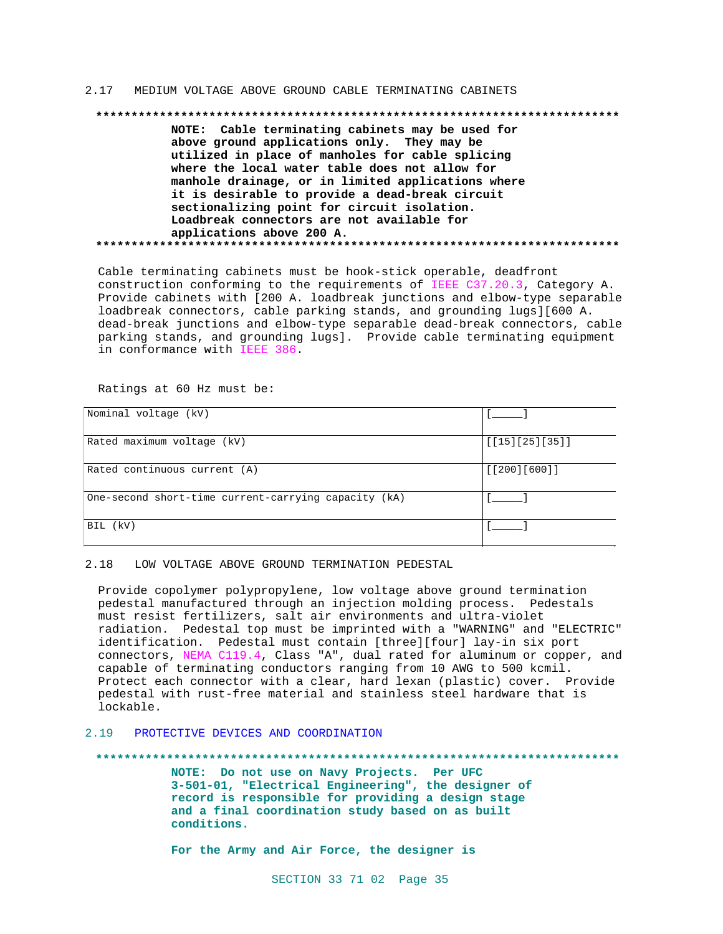### 2.17 MEDIUM VOLTAGE ABOVE GROUND CABLE TERMINATING CABINETS

### **\*\*\*\*\*\*\*\*\*\*\*\*\*\*\*\*\*\*\*\*\*\*\*\*\*\*\*\*\*\*\*\*\*\*\*\*\*\*\*\*\*\*\*\*\*\*\*\*\*\*\*\*\*\*\*\*\*\*\*\*\*\*\*\*\*\*\*\*\*\*\*\*\*\***

**NOTE: Cable terminating cabinets may be used for above ground applications only. They may be utilized in place of manholes for cable splicing where the local water table does not allow for manhole drainage, or in limited applications where it is desirable to provide a dead-break circuit sectionalizing point for circuit isolation. Loadbreak connectors are not available for applications above 200 A. \*\*\*\*\*\*\*\*\*\*\*\*\*\*\*\*\*\*\*\*\*\*\*\*\*\*\*\*\*\*\*\*\*\*\*\*\*\*\*\*\*\*\*\*\*\*\*\*\*\*\*\*\*\*\*\*\*\*\*\*\*\*\*\*\*\*\*\*\*\*\*\*\*\***

Cable terminating cabinets must be hook-stick operable, deadfront construction conforming to the requirements of IEEE C37.20.3, Category A. Provide cabinets with [200 A. loadbreak junctions and elbow-type separable loadbreak connectors, cable parking stands, and grounding lugs][600 A. dead-break junctions and elbow-type separable dead-break connectors, cable parking stands, and grounding lugs]. Provide cable terminating equipment in conformance with IEEE 386.

Ratings at 60 Hz must be:

| Nominal voltage (kV)                                 |                |
|------------------------------------------------------|----------------|
| Rated maximum voltage (kV)                           | [15][25][35]]  |
| Rated continuous current (A)                         | [ [200] [600]] |
| One-second short-time current-carrying capacity (kA) |                |
| BIL (kV)                                             |                |

### 2.18 LOW VOLTAGE ABOVE GROUND TERMINATION PEDESTAL

Provide copolymer polypropylene, low voltage above ground termination pedestal manufactured through an injection molding process. Pedestals must resist fertilizers, salt air environments and ultra-violet radiation. Pedestal top must be imprinted with a "WARNING" and "ELECTRIC" identification. Pedestal must contain [three][four] lay-in six port connectors, NEMA C119.4, Class "A", dual rated for aluminum or copper, and capable of terminating conductors ranging from 10 AWG to 500 kcmil. Protect each connector with a clear, hard lexan (plastic) cover. Provide pedestal with rust-free material and stainless steel hardware that is lockable.

## 2.19 PROTECTIVE DEVICES AND COORDINATION

**\*\*\*\*\*\*\*\*\*\*\*\*\*\*\*\*\*\*\*\*\*\*\*\*\*\*\*\*\*\*\*\*\*\*\*\*\*\*\*\*\*\*\*\*\*\*\*\*\*\*\*\*\*\*\*\*\*\*\*\*\*\*\*\*\*\*\*\*\*\*\*\*\*\***

**NOTE: Do not use on Navy Projects. Per UFC 3-501-01, "Electrical Engineering", the designer of record is responsible for providing a design stage and a final coordination study based on as built conditions.**

**For the Army and Air Force, the designer is**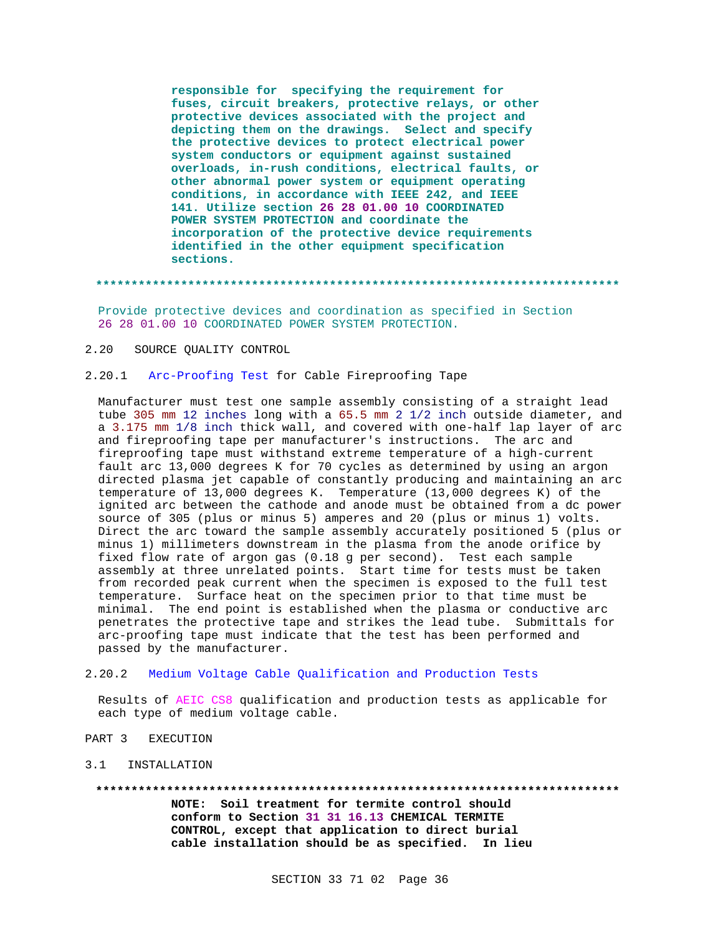**responsible for specifying the requirement for fuses, circuit breakers, protective relays, or other protective devices associated with the project and depicting them on the drawings. Select and specify the protective devices to protect electrical power system conductors or equipment against sustained overloads, in-rush conditions, electrical faults, or other abnormal power system or equipment operating conditions, in accordance with IEEE 242, and IEEE 141. Utilize section 26 28 01.00 10 COORDINATED POWER SYSTEM PROTECTION and coordinate the incorporation of the protective device requirements identified in the other equipment specification sections.**

### **\*\*\*\*\*\*\*\*\*\*\*\*\*\*\*\*\*\*\*\*\*\*\*\*\*\*\*\*\*\*\*\*\*\*\*\*\*\*\*\*\*\*\*\*\*\*\*\*\*\*\*\*\*\*\*\*\*\*\*\*\*\*\*\*\*\*\*\*\*\*\*\*\*\***

Provide protective devices and coordination as specified in Section 26 28 01.00 10 COORDINATED POWER SYSTEM PROTECTION.

2.20 SOURCE QUALITY CONTROL

## 2.20.1 Arc-Proofing Test for Cable Fireproofing Tape

Manufacturer must test one sample assembly consisting of a straight lead tube 305 mm 12 inches long with a 65.5 mm 2 1/2 inch outside diameter, and a 3.175 mm 1/8 inch thick wall, and covered with one-half lap layer of arc and fireproofing tape per manufacturer's instructions. The arc and fireproofing tape must withstand extreme temperature of a high-current fault arc 13,000 degrees K for 70 cycles as determined by using an argon directed plasma jet capable of constantly producing and maintaining an arc temperature of 13,000 degrees K. Temperature (13,000 degrees K) of the ignited arc between the cathode and anode must be obtained from a dc power source of 305 (plus or minus 5) amperes and 20 (plus or minus 1) volts. Direct the arc toward the sample assembly accurately positioned 5 (plus or minus 1) millimeters downstream in the plasma from the anode orifice by fixed flow rate of argon gas (0.18 g per second). Test each sample assembly at three unrelated points. Start time for tests must be taken from recorded peak current when the specimen is exposed to the full test temperature. Surface heat on the specimen prior to that time must be minimal. The end point is established when the plasma or conductive arc penetrates the protective tape and strikes the lead tube. Submittals for arc-proofing tape must indicate that the test has been performed and passed by the manufacturer.

## 2.20.2 Medium Voltage Cable Qualification and Production Tests

Results of AEIC CS8 qualification and production tests as applicable for each type of medium voltage cable.

- PART 3 EXECUTION
- 3.1 INSTALLATION

### **\*\*\*\*\*\*\*\*\*\*\*\*\*\*\*\*\*\*\*\*\*\*\*\*\*\*\*\*\*\*\*\*\*\*\*\*\*\*\*\*\*\*\*\*\*\*\*\*\*\*\*\*\*\*\*\*\*\*\*\*\*\*\*\*\*\*\*\*\*\*\*\*\*\***

**NOTE: Soil treatment for termite control should conform to Section 31 31 16.13 CHEMICAL TERMITE CONTROL, except that application to direct burial cable installation should be as specified. In lieu**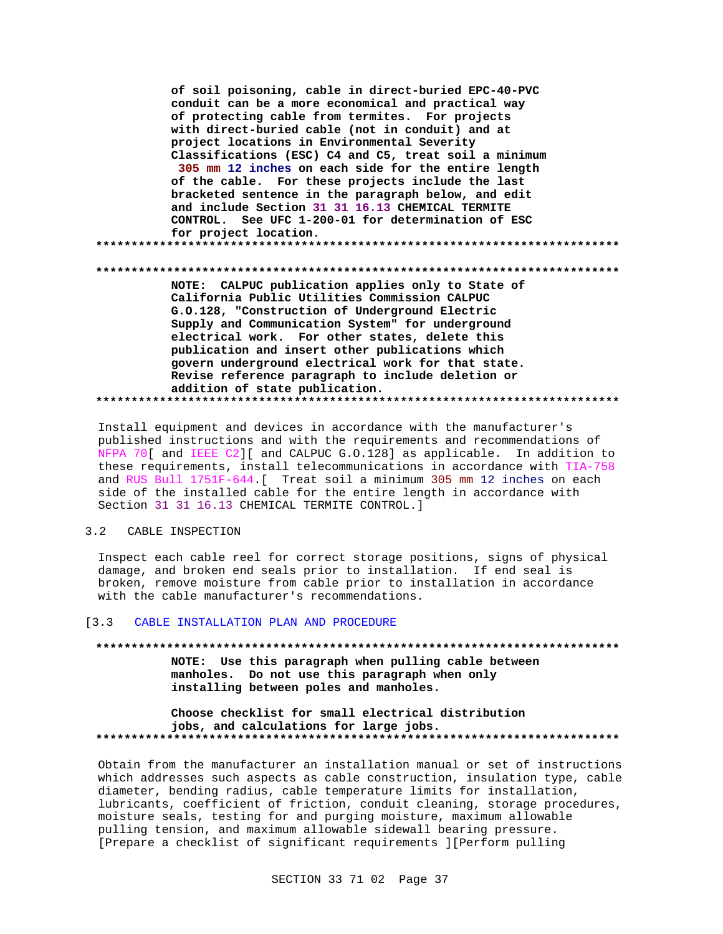of soil poisoning, cable in direct-buried EPC-40-PVC conduit can be a more economical and practical way of protecting cable from termites. For projects with direct-buried cable (not in conduit) and at project locations in Environmental Severity Classifications (ESC) C4 and C5, treat soil a minimum 305 mm 12 inches on each side for the entire length of the cable. For these projects include the last bracketed sentence in the paragraph below, and edit and include Section 31 31 16.13 CHEMICAL TERMITE CONTROL. See UFC 1-200-01 for determination of ESC for project location. NOTE: CALPUC publication applies only to State of California Public Utilities Commission CALPUC G.0.128, "Construction of Underground Electric Supply and Communication System" for underground electrical work. For other states, delete this publication and insert other publications which govern underground electrical work for that state. Revise reference paragraph to include deletion or addition of state publication. 

Install equipment and devices in accordance with the manufacturer's published instructions and with the requirements and recommendations of NFPA 70[ and IEEE C2][ and CALPUC G.O.128] as applicable. In addition to these requirements, install telecommunications in accordance with TIA-758 and RUS Bull 1751F-644. [ Treat soil a minimum 305 mm 12 inches on each side of the installed cable for the entire length in accordance with Section 31 31 16.13 CHEMICAL TERMITE CONTROL.]

#### $3.2$ CABLE INSPECTION

Inspect each cable reel for correct storage positions, signs of physical damage, and broken end seals prior to installation. If end seal is broken, remove moisture from cable prior to installation in accordance with the cable manufacturer's recommendations.

#### $[3.3]$ CABLE INSTALLATION PLAN AND PROCEDURE

NOTE: Use this paragraph when pulling cable between manholes. Do not use this paragraph when only installing between poles and manholes.

Choose checklist for small electrical distribution jobs, and calculations for large jobs. 

Obtain from the manufacturer an installation manual or set of instructions which addresses such aspects as cable construction, insulation type, cable diameter, bending radius, cable temperature limits for installation, lubricants, coefficient of friction, conduit cleaning, storage procedures, moisture seals, testing for and purging moisture, maximum allowable pulling tension, and maximum allowable sidewall bearing pressure. [Prepare a checklist of significant requirements ] [Perform pulling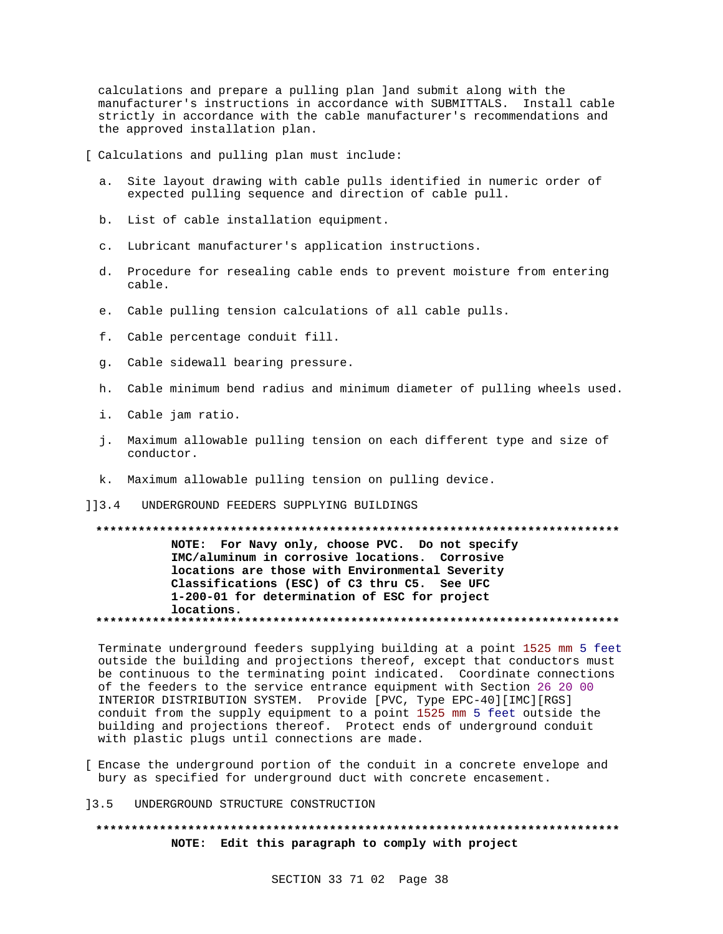calculations and prepare a pulling plan land submit along with the manufacturer's instructions in accordance with SUBMITTALS. Install cable strictly in accordance with the cable manufacturer's recommendations and the approved installation plan.

[ Calculations and pulling plan must include:

- a. Site layout drawing with cable pulls identified in numeric order of expected pulling sequence and direction of cable pull.
- b. List of cable installation equipment.
- c. Lubricant manufacturer's application instructions.
- d. Procedure for resealing cable ends to prevent moisture from entering cable.
- e. Cable pulling tension calculations of all cable pulls.
- f. Cable percentage conduit fill.
- g. Cable sidewall bearing pressure.
- h. Cable minimum bend radius and minimum diameter of pulling wheels used.
- i. Cable jam ratio.
- j. Maximum allowable pulling tension on each different type and size of conductor.
- k. Maximum allowable pulling tension on pulling device.
- UNDERGROUND FEEDERS SUPPLYING BUILDINGS  $113.4$

NOTE: For Navy only, choose PVC. Do not specify IMC/aluminum in corrosive locations. Corrosive locations are those with Environmental Severity Classifications (ESC) of C3 thru C5. See UFC 1-200-01 for determination of ESC for project locations. 

Terminate underground feeders supplying building at a point 1525 mm 5 feet outside the building and projections thereof, except that conductors must be continuous to the terminating point indicated. Coordinate connections of the feeders to the service entrance equipment with Section 26 20 00 INTERIOR DISTRIBUTION SYSTEM. Provide [PVC, Type EPC-40] [IMC] [RGS] conduit from the supply equipment to a point 1525 mm 5 feet outside the building and projections thereof. Protect ends of underground conduit with plastic plugs until connections are made.

- [ Encase the underground portion of the conduit in a concrete envelope and bury as specified for underground duct with concrete encasement.
- $13.5$ UNDERGROUND STRUCTURE CONSTRUCTION

## NOTE: Edit this paragraph to comply with project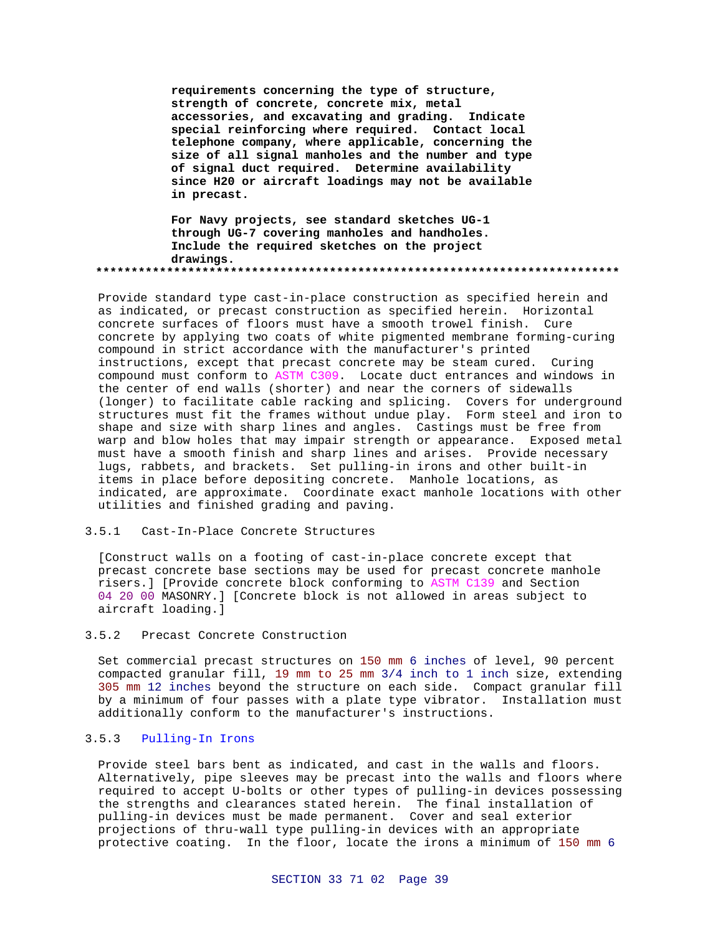**requirements concerning the type of structure, strength of concrete, concrete mix, metal accessories, and excavating and grading. Indicate special reinforcing where required. Contact local telephone company, where applicable, concerning the size of all signal manholes and the number and type of signal duct required. Determine availability since H20 or aircraft loadings may not be available in precast.**

**For Navy projects, see standard sketches UG-1 through UG-7 covering manholes and handholes. Include the required sketches on the project drawings. \*\*\*\*\*\*\*\*\*\*\*\*\*\*\*\*\*\*\*\*\*\*\*\*\*\*\*\*\*\*\*\*\*\*\*\*\*\*\*\*\*\*\*\*\*\*\*\*\*\*\*\*\*\*\*\*\*\*\*\*\*\*\*\*\*\*\*\*\*\*\*\*\*\***

Provide standard type cast-in-place construction as specified herein and as indicated, or precast construction as specified herein. Horizontal concrete surfaces of floors must have a smooth trowel finish. Cure concrete by applying two coats of white pigmented membrane forming-curing compound in strict accordance with the manufacturer's printed instructions, except that precast concrete may be steam cured. Curing compound must conform to ASTM C309. Locate duct entrances and windows in the center of end walls (shorter) and near the corners of sidewalls (longer) to facilitate cable racking and splicing. Covers for underground structures must fit the frames without undue play. Form steel and iron to shape and size with sharp lines and angles. Castings must be free from warp and blow holes that may impair strength or appearance. Exposed metal must have a smooth finish and sharp lines and arises. Provide necessary lugs, rabbets, and brackets. Set pulling-in irons and other built-in items in place before depositing concrete. Manhole locations, as indicated, are approximate. Coordinate exact manhole locations with other utilities and finished grading and paving.

## 3.5.1 Cast-In-Place Concrete Structures

[Construct walls on a footing of cast-in-place concrete except that precast concrete base sections may be used for precast concrete manhole risers.] [Provide concrete block conforming to ASTM C139 and Section 04 20 00 MASONRY.] [Concrete block is not allowed in areas subject to aircraft loading.]

## 3.5.2 Precast Concrete Construction

Set commercial precast structures on 150 mm 6 inches of level, 90 percent compacted granular fill, 19 mm to 25 mm 3/4 inch to 1 inch size, extending 305 mm 12 inches beyond the structure on each side. Compact granular fill by a minimum of four passes with a plate type vibrator. Installation must additionally conform to the manufacturer's instructions.

## 3.5.3 Pulling-In Irons

Provide steel bars bent as indicated, and cast in the walls and floors. Alternatively, pipe sleeves may be precast into the walls and floors where required to accept U-bolts or other types of pulling-in devices possessing the strengths and clearances stated herein. The final installation of pulling-in devices must be made permanent. Cover and seal exterior projections of thru-wall type pulling-in devices with an appropriate protective coating. In the floor, locate the irons a minimum of 150 mm 6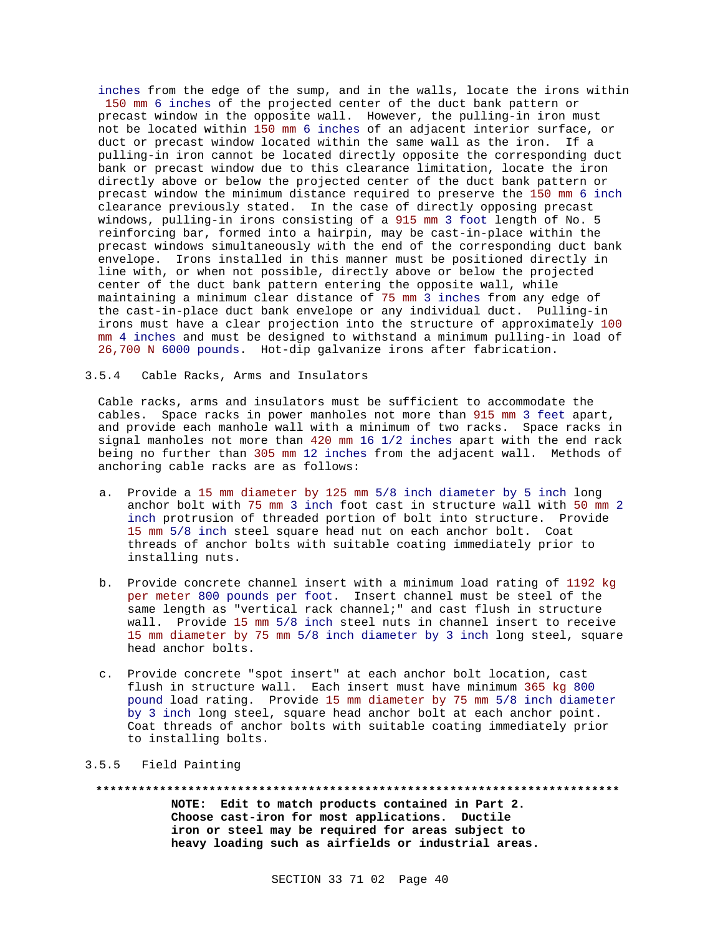inches from the edge of the sump, and in the walls, locate the irons within 150 mm 6 inches of the projected center of the duct bank pattern or precast window in the opposite wall. However, the pulling-in iron must not be located within 150 mm 6 inches of an adjacent interior surface, or duct or precast window located within the same wall as the iron. If a pulling-in iron cannot be located directly opposite the corresponding duct bank or precast window due to this clearance limitation, locate the iron directly above or below the projected center of the duct bank pattern or precast window the minimum distance required to preserve the 150 mm 6 inch clearance previously stated. In the case of directly opposing precast windows, pulling-in irons consisting of a 915 mm 3 foot length of No. 5 reinforcing bar, formed into a hairpin, may be cast-in-place within the precast windows simultaneously with the end of the corresponding duct bank envelope. Irons installed in this manner must be positioned directly in line with, or when not possible, directly above or below the projected center of the duct bank pattern entering the opposite wall, while maintaining a minimum clear distance of 75 mm 3 inches from any edge of the cast-in-place duct bank envelope or any individual duct. Pulling-in irons must have a clear projection into the structure of approximately 100 mm 4 inches and must be designed to withstand a minimum pulling-in load of 26,700 N 6000 pounds. Hot-dip galvanize irons after fabrication.

3.5.4 Cable Racks, Arms and Insulators

Cable racks, arms and insulators must be sufficient to accommodate the cables. Space racks in power manholes not more than 915 mm 3 feet apart, and provide each manhole wall with a minimum of two racks. Space racks in signal manholes not more than 420 mm 16 1/2 inches apart with the end rack being no further than 305 mm 12 inches from the adjacent wall. Methods of anchoring cable racks are as follows:

- a. Provide a 15 mm diameter by 125 mm 5/8 inch diameter by 5 inch long anchor bolt with 75 mm 3 inch foot cast in structure wall with 50 mm 2 inch protrusion of threaded portion of bolt into structure. Provide 15 mm 5/8 inch steel square head nut on each anchor bolt. Coat threads of anchor bolts with suitable coating immediately prior to installing nuts.
- b. Provide concrete channel insert with a minimum load rating of 1192 kg per meter 800 pounds per foot. Insert channel must be steel of the same length as "vertical rack channel;" and cast flush in structure wall. Provide 15 mm 5/8 inch steel nuts in channel insert to receive 15 mm diameter by 75 mm 5/8 inch diameter by 3 inch long steel, square head anchor bolts.
- c. Provide concrete "spot insert" at each anchor bolt location, cast flush in structure wall. Each insert must have minimum 365 kg 800 pound load rating. Provide 15 mm diameter by 75 mm 5/8 inch diameter by 3 inch long steel, square head anchor bolt at each anchor point. Coat threads of anchor bolts with suitable coating immediately prior to installing bolts.

### 3.5.5 Field Painting

**\*\*\*\*\*\*\*\*\*\*\*\*\*\*\*\*\*\*\*\*\*\*\*\*\*\*\*\*\*\*\*\*\*\*\*\*\*\*\*\*\*\*\*\*\*\*\*\*\*\*\*\*\*\*\*\*\*\*\*\*\*\*\*\*\*\*\*\*\*\*\*\*\*\* NOTE: Edit to match products contained in Part 2. Choose cast-iron for most applications. Ductile**

> **iron or steel may be required for areas subject to heavy loading such as airfields or industrial areas.**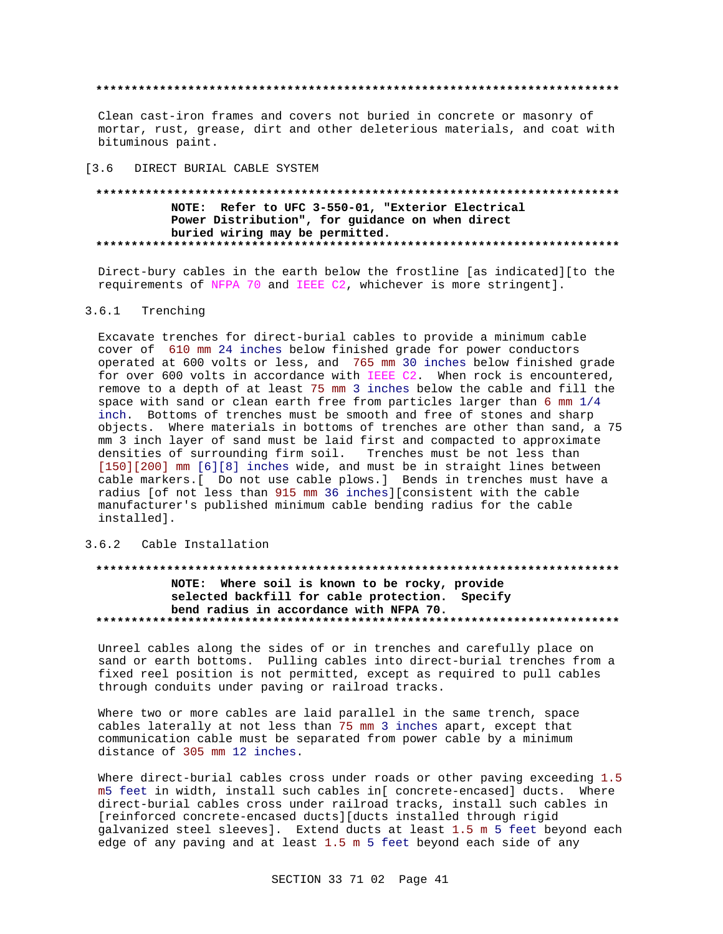Clean cast-iron frames and covers not buried in concrete or masonry of mortar, rust, grease, dirt and other deleterious materials, and coat with bituminous paint.

 $13.6$ DIRECT BURIAL CABLE SYSTEM

### NOTE: Refer to UFC 3-550-01, "Exterior Electrical Power Distribution", for guidance on when direct buried wiring may be permitted. \*\*\*\*\*\*\*\*\*\*\*\*\*\*\*\*\*\*\*\*\*\*\*\*\*\*\*\*\*\*\*\*\*\*\*

Direct-bury cables in the earth below the frostline [as indicated] [to the requirements of NFPA 70 and IEEE C2, whichever is more stringent].

#### $3.6.1$ Trenching

Excavate trenches for direct-burial cables to provide a minimum cable cover of 610 mm 24 inches below finished grade for power conductors operated at 600 volts or less, and 765 mm 30 inches below finished grade for over 600 volts in accordance with IEEE C2. When rock is encountered, remove to a depth of at least 75 mm 3 inches below the cable and fill the space with sand or clean earth free from particles larger than 6 mm  $1/4$ inch. Bottoms of trenches must be smooth and free of stones and sharp objects. Where materials in bottoms of trenches are other than sand, a 75 mm 3 inch layer of sand must be laid first and compacted to approximate densities of surrounding firm soil. Trenches must be not less than [150][200] mm [6][8] inches wide, and must be in straight lines between cable markers. [ Do not use cable plows.] Bends in trenches must have a radius [of not less than 915 mm 36 inches][consistent with the cable manufacturer's published minimum cable bending radius for the cable installed].

## 3.6.2 Cable Installation

### \*\*\*\*\*\*\*\*\*\*\*\*\*\*\*\*\*\*\* NOTE: Where soil is known to be rocky, provide selected backfill for cable protection. Specify bend radius in accordance with NFPA 70.

Unreel cables along the sides of or in trenches and carefully place on sand or earth bottoms. Pulling cables into direct-burial trenches from a fixed reel position is not permitted, except as required to pull cables through conduits under paving or railroad tracks.

Where two or more cables are laid parallel in the same trench, space cables laterally at not less than 75 mm 3 inches apart, except that communication cable must be separated from power cable by a minimum distance of 305 mm 12 inches.

Where direct-burial cables cross under roads or other paving exceeding 1.5 m5 feet in width, install such cables in[ concrete-encased] ducts. Where direct-burial cables cross under railroad tracks, install such cables in [reinforced concrete-encased ducts][ducts installed through rigid galvanized steel sleeves]. Extend ducts at least 1.5 m 5 feet beyond each edge of any paving and at least 1.5 m 5 feet beyond each side of any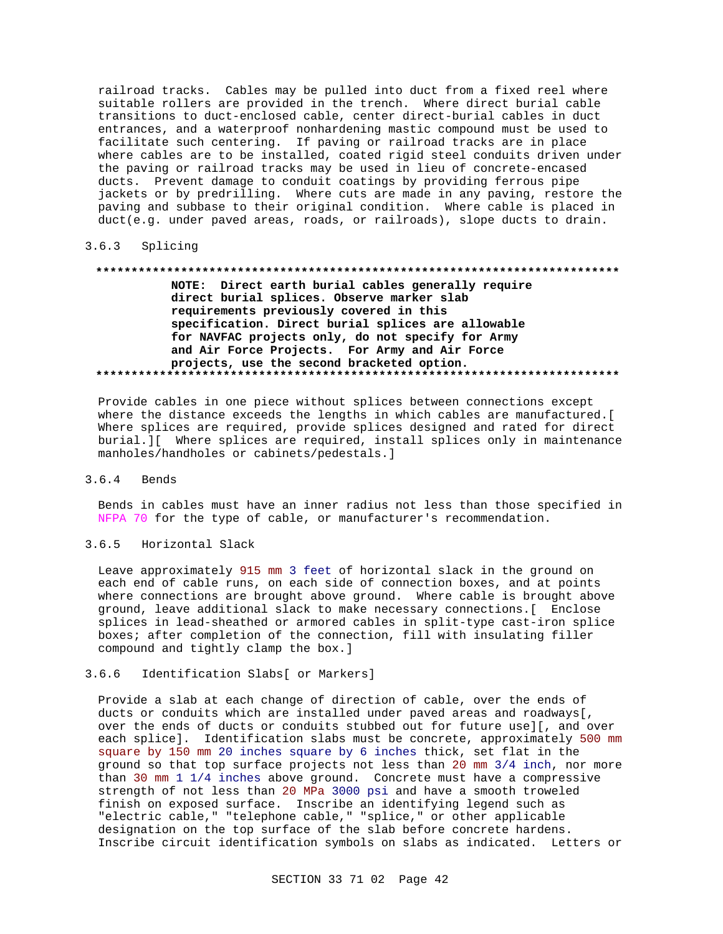railroad tracks. Cables may be pulled into duct from a fixed reel where suitable rollers are provided in the trench. Where direct burial cable transitions to duct-enclosed cable, center direct-burial cables in duct entrances, and a waterproof nonhardening mastic compound must be used to facilitate such centering. If paving or railroad tracks are in place where cables are to be installed, coated rigid steel conduits driven under the paving or railroad tracks may be used in lieu of concrete-encased ducts. Prevent damage to conduit coatings by providing ferrous pipe jackets or by predrilling. Where cuts are made in any paving, restore the paving and subbase to their original condition. Where cable is placed in duct(e.g. under paved areas, roads, or railroads), slope ducts to drain.

#### $3.6.3$ Splicing

## NOTE: Direct earth burial cables generally require direct burial splices. Observe marker slab requirements previously covered in this specification. Direct burial splices are allowable for NAVFAC projects only, do not specify for Army and Air Force Projects. For Army and Air Force projects, use the second bracketed option.

Provide cables in one piece without splices between connections except where the distance exceeds the lengths in which cables are manufactured. [ Where splices are required, provide splices designed and rated for direct burial. I Where splices are required, install splices only in maintenance manholes/handholes or cabinets/pedestals.]

#### $3.6.4$ Bends

Bends in cables must have an inner radius not less than those specified in NFPA 70 for the type of cable, or manufacturer's recommendation.

#### $3.6.5$ Horizontal Slack

Leave approximately 915 mm 3 feet of horizontal slack in the ground on each end of cable runs, on each side of connection boxes, and at points where connections are brought above ground. Where cable is brought above ground, leave additional slack to make necessary connections. [ Enclose splices in lead-sheathed or armored cables in split-type cast-iron splice boxes; after completion of the connection, fill with insulating filler compound and tightly clamp the box.]

#### $3.6.6$ Identification Slabs[ or Markers]

Provide a slab at each change of direction of cable, over the ends of ducts or conduits which are installed under paved areas and roadways [, over the ends of ducts or conduits stubbed out for future use][, and over each splice]. Identification slabs must be concrete, approximately 500 mm square by 150 mm 20 inches square by 6 inches thick, set flat in the ground so that top surface projects not less than 20 mm 3/4 inch, nor more than 30 mm  $1\ 1/4$  inches above ground. Concrete must have a compressive strength of not less than 20 MPa 3000 psi and have a smooth troweled finish on exposed surface. Inscribe an identifying legend such as "electric cable," "telephone cable," "splice," or other applicable designation on the top surface of the slab before concrete hardens. Inscribe circuit identification symbols on slabs as indicated. Letters or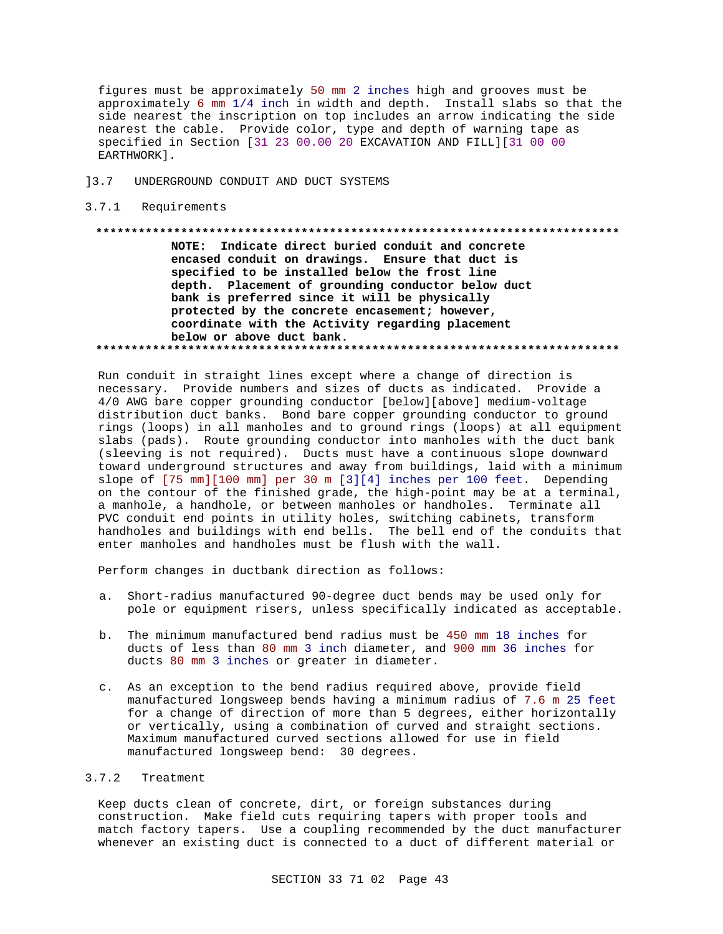figures must be approximately 50 mm 2 inches high and grooves must be approximately 6 mm 1/4 inch in width and depth. Install slabs so that the side nearest the inscription on top includes an arrow indicating the side nearest the cable. Provide color, type and depth of warning tape as specified in Section [31 23 00.00 20 EXCAVATION AND FILL][31 00 00 EARTHWORK].

- ]3.7 UNDERGROUND CONDUIT AND DUCT SYSTEMS
- 3.7.1 Requirements

### **\*\*\*\*\*\*\*\*\*\*\*\*\*\*\*\*\*\*\*\*\*\*\*\*\*\*\*\*\*\*\*\*\*\*\*\*\*\*\*\*\*\*\*\*\*\*\*\*\*\*\*\*\*\*\*\*\*\*\*\*\*\*\*\*\*\*\*\*\*\*\*\*\*\***

**NOTE: Indicate direct buried conduit and concrete encased conduit on drawings. Ensure that duct is specified to be installed below the frost line depth. Placement of grounding conductor below duct bank is preferred since it will be physically protected by the concrete encasement; however, coordinate with the Activity regarding placement below or above duct bank. \*\*\*\*\*\*\*\*\*\*\*\*\*\*\*\*\*\*\*\*\*\*\*\*\*\*\*\*\*\*\*\*\*\*\*\*\*\*\*\*\*\*\*\*\*\*\*\*\*\*\*\*\*\*\*\*\*\*\*\*\*\*\*\*\*\*\*\*\*\*\*\*\*\***

Run conduit in straight lines except where a change of direction is necessary. Provide numbers and sizes of ducts as indicated. Provide a 4/0 AWG bare copper grounding conductor [below][above] medium-voltage distribution duct banks. Bond bare copper grounding conductor to ground rings (loops) in all manholes and to ground rings (loops) at all equipment slabs (pads). Route grounding conductor into manholes with the duct bank (sleeving is not required). Ducts must have a continuous slope downward toward underground structures and away from buildings, laid with a minimum slope of [75 mm][100 mm] per 30 m [3][4] inches per 100 feet. Depending on the contour of the finished grade, the high-point may be at a terminal, a manhole, a handhole, or between manholes or handholes. Terminate all PVC conduit end points in utility holes, switching cabinets, transform handholes and buildings with end bells. The bell end of the conduits that enter manholes and handholes must be flush with the wall.

Perform changes in ductbank direction as follows:

- a. Short-radius manufactured 90-degree duct bends may be used only for pole or equipment risers, unless specifically indicated as acceptable.
- b. The minimum manufactured bend radius must be 450 mm 18 inches for ducts of less than 80 mm 3 inch diameter, and 900 mm 36 inches for ducts 80 mm 3 inches or greater in diameter.
- c. As an exception to the bend radius required above, provide field manufactured longsweep bends having a minimum radius of 7.6 m 25 feet for a change of direction of more than 5 degrees, either horizontally or vertically, using a combination of curved and straight sections. Maximum manufactured curved sections allowed for use in field manufactured longsweep bend: 30 degrees.

## 3.7.2 Treatment

Keep ducts clean of concrete, dirt, or foreign substances during construction. Make field cuts requiring tapers with proper tools and match factory tapers. Use a coupling recommended by the duct manufacturer whenever an existing duct is connected to a duct of different material or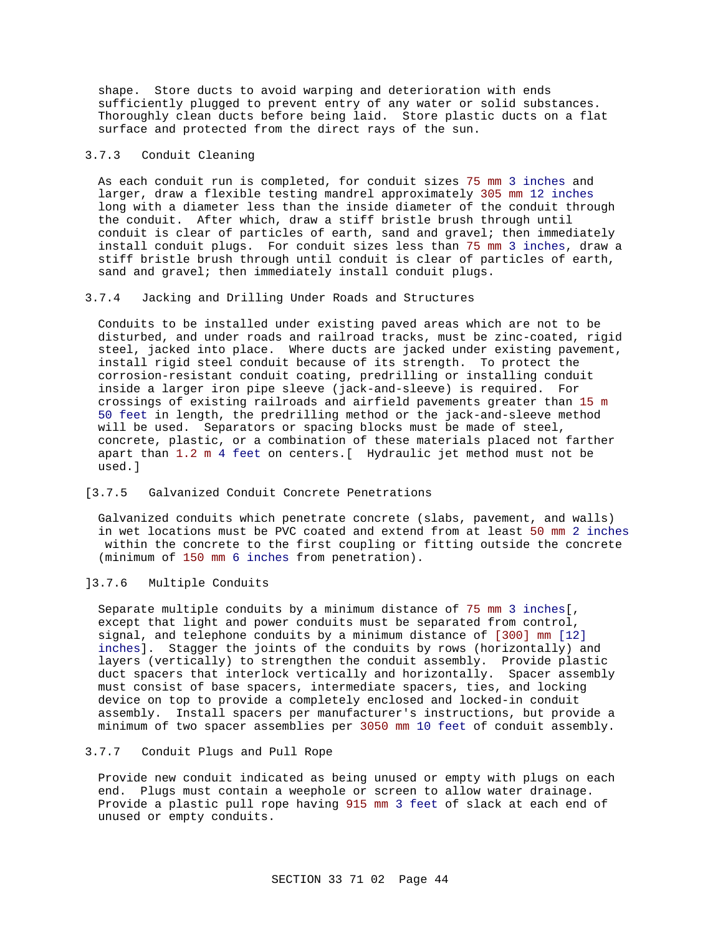shape. Store ducts to avoid warping and deterioration with ends sufficiently plugged to prevent entry of any water or solid substances. Thoroughly clean ducts before being laid. Store plastic ducts on a flat surface and protected from the direct rays of the sun.

## 3.7.3 Conduit Cleaning

As each conduit run is completed, for conduit sizes 75 mm 3 inches and larger, draw a flexible testing mandrel approximately 305 mm 12 inches long with a diameter less than the inside diameter of the conduit through the conduit. After which, draw a stiff bristle brush through until conduit is clear of particles of earth, sand and gravel; then immediately install conduit plugs. For conduit sizes less than 75 mm 3 inches, draw a stiff bristle brush through until conduit is clear of particles of earth, sand and gravel; then immediately install conduit plugs.

## 3.7.4 Jacking and Drilling Under Roads and Structures

Conduits to be installed under existing paved areas which are not to be disturbed, and under roads and railroad tracks, must be zinc-coated, rigid steel, jacked into place. Where ducts are jacked under existing pavement, install rigid steel conduit because of its strength. To protect the corrosion-resistant conduit coating, predrilling or installing conduit inside a larger iron pipe sleeve (jack-and-sleeve) is required. For crossings of existing railroads and airfield pavements greater than 15 m 50 feet in length, the predrilling method or the jack-and-sleeve method will be used. Separators or spacing blocks must be made of steel, concrete, plastic, or a combination of these materials placed not farther apart than 1.2 m 4 feet on centers.[ Hydraulic jet method must not be used.]

## [3.7.5 Galvanized Conduit Concrete Penetrations

Galvanized conduits which penetrate concrete (slabs, pavement, and walls) in wet locations must be PVC coated and extend from at least 50 mm 2 inches within the concrete to the first coupling or fitting outside the concrete (minimum of 150 mm 6 inches from penetration).

## ]3.7.6 Multiple Conduits

Separate multiple conduits by a minimum distance of 75 mm 3 inches[, except that light and power conduits must be separated from control, signal, and telephone conduits by a minimum distance of [300] mm [12] inches]. Stagger the joints of the conduits by rows (horizontally) and layers (vertically) to strengthen the conduit assembly. Provide plastic duct spacers that interlock vertically and horizontally. Spacer assembly must consist of base spacers, intermediate spacers, ties, and locking device on top to provide a completely enclosed and locked-in conduit assembly. Install spacers per manufacturer's instructions, but provide a minimum of two spacer assemblies per 3050 mm 10 feet of conduit assembly.

## 3.7.7 Conduit Plugs and Pull Rope

Provide new conduit indicated as being unused or empty with plugs on each end. Plugs must contain a weephole or screen to allow water drainage. Provide a plastic pull rope having 915 mm 3 feet of slack at each end of unused or empty conduits.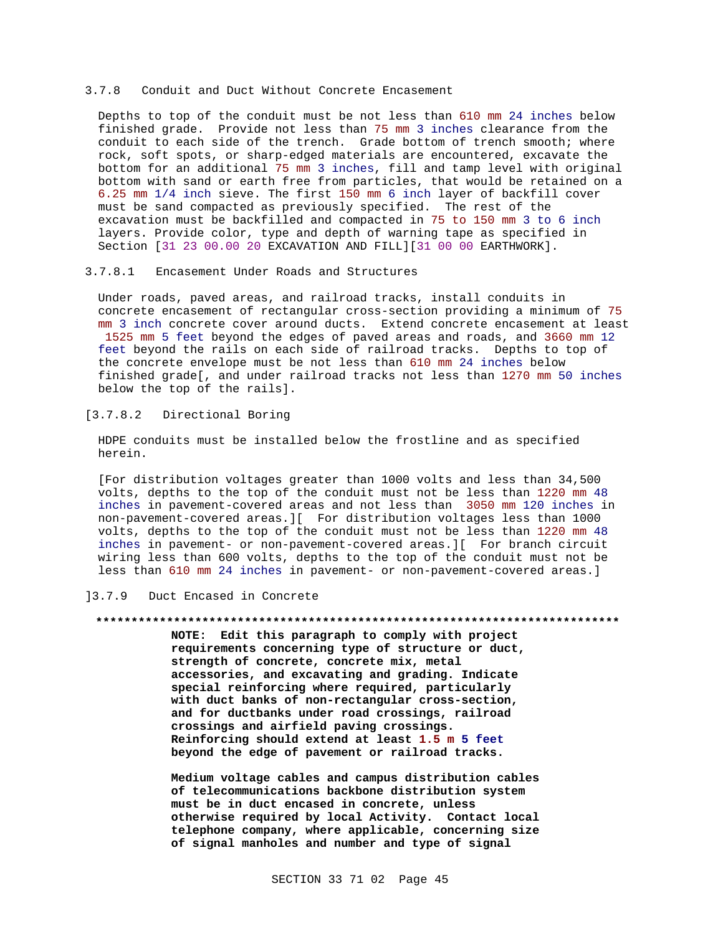### 3.7.8 Conduit and Duct Without Concrete Encasement

Depths to top of the conduit must be not less than 610 mm 24 inches below finished grade. Provide not less than 75 mm 3 inches clearance from the conduit to each side of the trench. Grade bottom of trench smooth; where rock, soft spots, or sharp-edged materials are encountered, excavate the bottom for an additional 75 mm 3 inches, fill and tamp level with original bottom with sand or earth free from particles, that would be retained on a 6.25 mm 1/4 inch sieve. The first 150 mm 6 inch layer of backfill cover must be sand compacted as previously specified. The rest of the excavation must be backfilled and compacted in 75 to 150 mm 3 to 6 inch layers. Provide color, type and depth of warning tape as specified in Section [31 23 00.00 20 EXCAVATION AND FILL][31 00 00 EARTHWORK].

## 3.7.8.1 Encasement Under Roads and Structures

Under roads, paved areas, and railroad tracks, install conduits in concrete encasement of rectangular cross-section providing a minimum of 75 mm 3 inch concrete cover around ducts. Extend concrete encasement at least 1525 mm 5 feet beyond the edges of paved areas and roads, and 3660 mm 12 feet beyond the rails on each side of railroad tracks. Depths to top of the concrete envelope must be not less than 610 mm 24 inches below finished grade[, and under railroad tracks not less than 1270 mm 50 inches below the top of the rails].

## [3.7.8.2 Directional Boring

HDPE conduits must be installed below the frostline and as specified herein.

[For distribution voltages greater than 1000 volts and less than 34,500 volts, depths to the top of the conduit must not be less than 1220 mm 48 inches in pavement-covered areas and not less than 3050 mm 120 inches in non-pavement-covered areas.][ For distribution voltages less than 1000 volts, depths to the top of the conduit must not be less than 1220 mm 48 inches in pavement- or non-pavement-covered areas.][ For branch circuit wiring less than 600 volts, depths to the top of the conduit must not be less than 610 mm 24 inches in pavement- or non-pavement-covered areas.]

## ]3.7.9 Duct Encased in Concrete

## **\*\*\*\*\*\*\*\*\*\*\*\*\*\*\*\*\*\*\*\*\*\*\*\*\*\*\*\*\*\*\*\*\*\*\*\*\*\*\*\*\*\*\*\*\*\*\*\*\*\*\*\*\*\*\*\*\*\*\*\*\*\*\*\*\*\*\*\*\*\*\*\*\*\***

**NOTE: Edit this paragraph to comply with project requirements concerning type of structure or duct, strength of concrete, concrete mix, metal accessories, and excavating and grading. Indicate special reinforcing where required, particularly with duct banks of non-rectangular cross-section, and for ductbanks under road crossings, railroad crossings and airfield paving crossings. Reinforcing should extend at least 1.5 m 5 feet beyond the edge of pavement or railroad tracks.**

**Medium voltage cables and campus distribution cables of telecommunications backbone distribution system must be in duct encased in concrete, unless otherwise required by local Activity. Contact local telephone company, where applicable, concerning size of signal manholes and number and type of signal**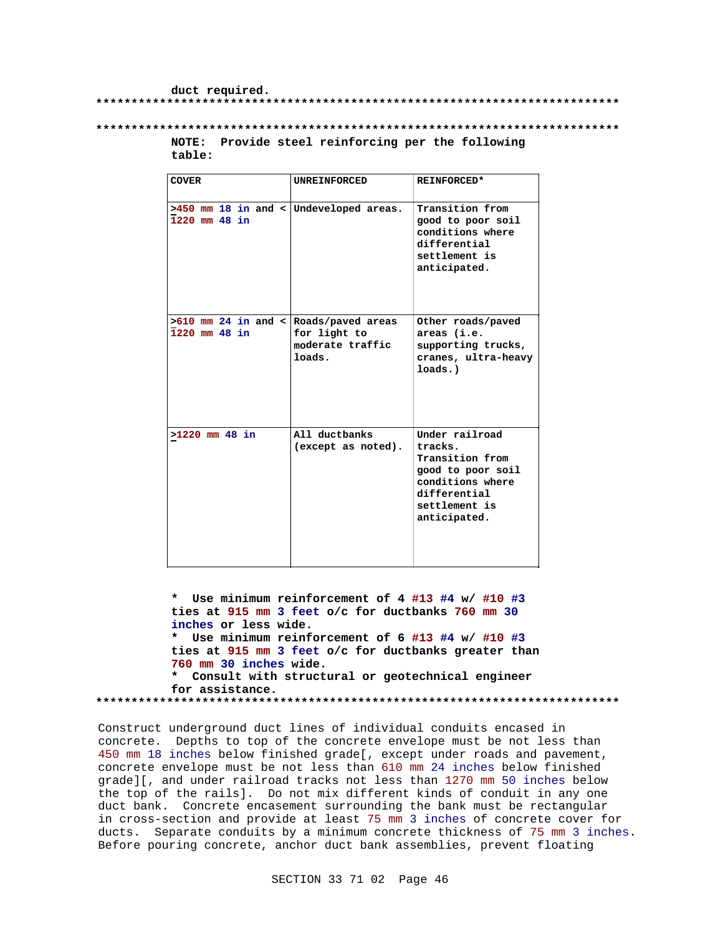### duct required.

### 

## NOTE: Provide steel reinforcing per the following table:

| <b>COVER</b>                                              | <b>UNREINFORCED</b>                        | <b>REINFORCED*</b>                                                                                                                     |
|-----------------------------------------------------------|--------------------------------------------|----------------------------------------------------------------------------------------------------------------------------------------|
| $>450$ mm 18 in and < Undeveloped areas.<br>1220 mm 48 in |                                            | Transition from<br>good to poor soil<br>conditions where<br>differential<br>settlement is<br>anticipated.                              |
| $>610$ mm 24 in and < Roads/paved areas<br>1220 mm 48 in  | for light to<br>moderate traffic<br>loads. | Other roads/paved<br>areas (i.e.<br>supporting trucks,<br>cranes, ultra-heavy<br>loads.)                                               |
| $>1220$ mm 48 in                                          | All ductbanks<br>(except as noted).        | Under railroad<br>tracks.<br>Transition from<br>good to poor soil<br>conditions where<br>differential<br>settlement is<br>anticipated. |

\* Use minimum reinforcement of 4 #13 #4 w/ #10 #3 ties at 915 mm 3 feet o/c for ductbanks 760 mm 30 inches or less wide. \* Use minimum reinforcement of 6 #13 #4 w/ #10 #3 ties at 915 mm 3 feet o/c for ductbanks greater than 760 mm 30 inches wide. \* Consult with structural or geotechnical engineer for assistance. 

Construct underground duct lines of individual conduits encased in concrete. Depths to top of the concrete envelope must be not less than 450 mm 18 inches below finished grade[, except under roads and pavement, concrete envelope must be not less than 610 mm 24 inches below finished grade][, and under railroad tracks not less than 1270 mm 50 inches below the top of the rails]. Do not mix different kinds of conduit in any one duct bank. Concrete encasement surrounding the bank must be rectangular in cross-section and provide at least 75 mm 3 inches of concrete cover for ducts. Separate conduits by a minimum concrete thickness of 75 mm 3 inches. Before pouring concrete, anchor duct bank assemblies, prevent floating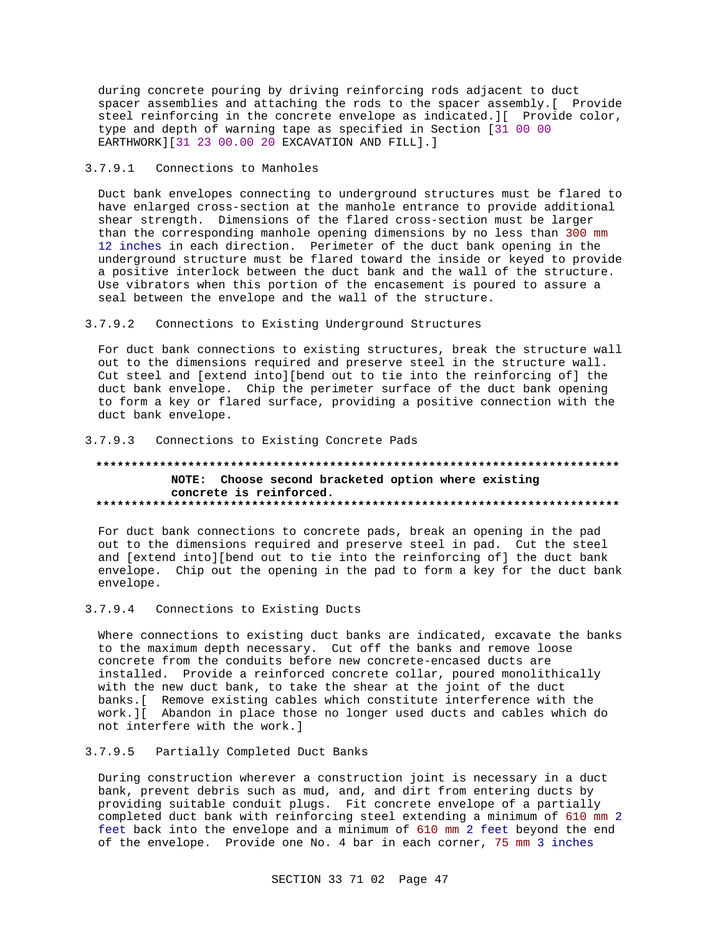during concrete pouring by driving reinforcing rods adjacent to duct spacer assemblies and attaching the rods to the spacer assembly. [ Provide steel reinforcing in the concrete envelope as indicated. I Provide color, type and depth of warning tape as specified in Section [31 00 00 EARTHWORK][31 23 00.00 20 EXCAVATION AND FILL].]

#### $3.7.9.1$ Connections to Manholes

Duct bank envelopes connecting to underground structures must be flared to have enlarged cross-section at the manhole entrance to provide additional shear strength. Dimensions of the flared cross-section must be larger than the corresponding manhole opening dimensions by no less than 300 mm 12 inches in each direction. Perimeter of the duct bank opening in the underground structure must be flared toward the inside or keyed to provide a positive interlock between the duct bank and the wall of the structure. Use vibrators when this portion of the encasement is poured to assure a seal between the envelope and the wall of the structure.

#### $3.7.9.2$ Connections to Existing Underground Structures

For duct bank connections to existing structures, break the structure wall out to the dimensions required and preserve steel in the structure wall. Cut steel and [extend into][bend out to tie into the reinforcing of] the duct bank envelope. Chip the perimeter surface of the duct bank opening to form a key or flared surface, providing a positive connection with the duct bank envelope.

## 3.7.9.3 Connections to Existing Concrete Pads

## NOTE: Choose second bracketed option where existing concrete is reinforced.

For duct bank connections to concrete pads, break an opening in the pad out to the dimensions required and preserve steel in pad. Cut the steel and [extend into][bend out to tie into the reinforcing of] the duct bank envelope. Chip out the opening in the pad to form a key for the duct bank envelope.

#### $3.7.9.4$ Connections to Existing Ducts

Where connections to existing duct banks are indicated, excavate the banks to the maximum depth necessary. Cut off the banks and remove loose concrete from the conduits before new concrete-encased ducts are installed. Provide a reinforced concrete collar, poured monolithically with the new duct bank, to take the shear at the joint of the duct banks. [ Remove existing cables which constitute interference with the work. I Abandon in place those no longer used ducts and cables which do not interfere with the work.]

#### $3.7.9.5$ Partially Completed Duct Banks

During construction wherever a construction joint is necessary in a duct bank, prevent debris such as mud, and, and dirt from entering ducts by providing suitable conduit plugs. Fit concrete envelope of a partially completed duct bank with reinforcing steel extending a minimum of 610 mm 2 feet back into the envelope and a minimum of 610 mm 2 feet beyond the end of the envelope. Provide one No. 4 bar in each corner, 75 mm 3 inches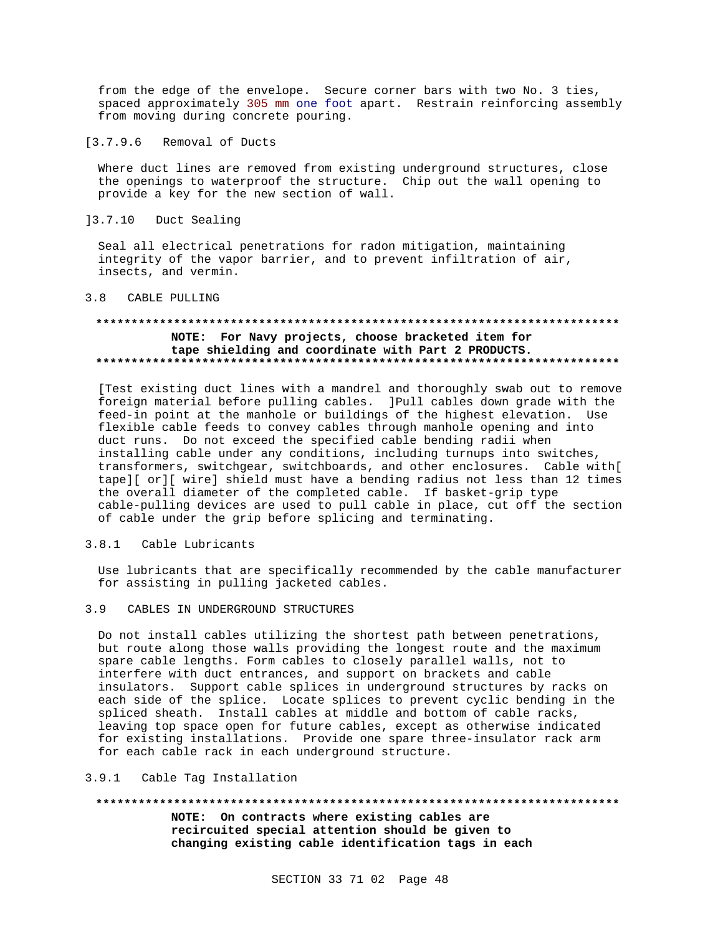from the edge of the envelope. Secure corner bars with two No. 3 ties, spaced approximately 305 mm one foot apart. Restrain reinforcing assembly from moving during concrete pouring.

 $[3.7.9.6]$ Removal of Ducts

Where duct lines are removed from existing underground structures, close the openings to waterproof the structure. Chip out the wall opening to provide a key for the new section of wall.

 $]3.7.10$ Duct Sealing

Seal all electrical penetrations for radon mitigation, maintaining integrity of the vapor barrier, and to prevent infiltration of air, insects, and vermin.

#### CABLE PULLING  $3.8$

## NOTE: For Navy projects, choose bracketed item for tape shielding and coordinate with Part 2 PRODUCTS.

[Test existing duct lines with a mandrel and thoroughly swab out to remove foreign material before pulling cables. JPull cables down grade with the feed-in point at the manhole or buildings of the highest elevation. Use flexible cable feeds to convey cables through manhole opening and into duct runs. Do not exceed the specified cable bending radii when installing cable under any conditions, including turnups into switches, transformers, switchgear, switchboards, and other enclosures. Cable with[ tape][ or][ wire] shield must have a bending radius not less than 12 times the overall diameter of the completed cable. If basket-grip type cable-pulling devices are used to pull cable in place, cut off the section of cable under the grip before splicing and terminating.

#### $3.8.1$ Cable Lubricants

Use lubricants that are specifically recommended by the cable manufacturer for assisting in pulling jacketed cables.

 $3.9$ CABLES IN UNDERGROUND STRUCTURES

Do not install cables utilizing the shortest path between penetrations, but route along those walls providing the longest route and the maximum spare cable lengths. Form cables to closely parallel walls, not to interfere with duct entrances, and support on brackets and cable insulators. Support cable splices in underground structures by racks on each side of the splice. Locate splices to prevent cyclic bending in the spliced sheath. Install cables at middle and bottom of cable racks, leaving top space open for future cables, except as otherwise indicated for existing installations. Provide one spare three-insulator rack arm for each cable rack in each underground structure.

## 3.9.1 Cable Tag Installation

## NOTE: On contracts where existing cables are recircuited special attention should be given to changing existing cable identification tags in each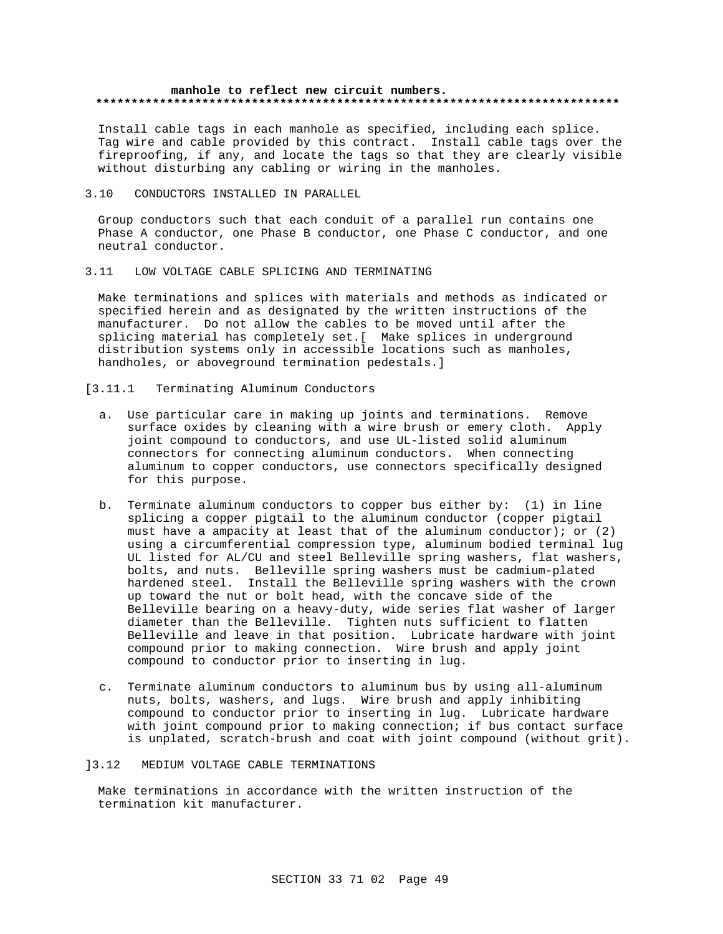### **manhole to reflect new circuit numbers. \*\*\*\*\*\*\*\*\*\*\*\*\*\*\*\*\*\*\*\*\*\*\*\*\*\*\*\*\*\*\*\*\*\*\*\*\*\*\*\*\*\*\*\*\*\*\*\*\*\*\*\*\*\*\*\*\*\*\*\*\*\*\*\*\*\*\*\*\*\*\*\*\*\***

Install cable tags in each manhole as specified, including each splice. Tag wire and cable provided by this contract. Install cable tags over the fireproofing, if any, and locate the tags so that they are clearly visible without disturbing any cabling or wiring in the manholes.

## 3.10 CONDUCTORS INSTALLED IN PARALLEL

Group conductors such that each conduit of a parallel run contains one Phase A conductor, one Phase B conductor, one Phase C conductor, and one neutral conductor.

## 3.11 LOW VOLTAGE CABLE SPLICING AND TERMINATING

Make terminations and splices with materials and methods as indicated or specified herein and as designated by the written instructions of the manufacturer. Do not allow the cables to be moved until after the splicing material has completely set.[ Make splices in underground distribution systems only in accessible locations such as manholes, handholes, or aboveground termination pedestals.]

## [3.11.1 Terminating Aluminum Conductors

- a. Use particular care in making up joints and terminations. Remove surface oxides by cleaning with a wire brush or emery cloth. Apply joint compound to conductors, and use UL-listed solid aluminum connectors for connecting aluminum conductors. When connecting aluminum to copper conductors, use connectors specifically designed for this purpose.
- b. Terminate aluminum conductors to copper bus either by: (1) in line splicing a copper pigtail to the aluminum conductor (copper pigtail must have a ampacity at least that of the aluminum conductor); or (2) using a circumferential compression type, aluminum bodied terminal lug UL listed for AL/CU and steel Belleville spring washers, flat washers, bolts, and nuts. Belleville spring washers must be cadmium-plated hardened steel. Install the Belleville spring washers with the crown up toward the nut or bolt head, with the concave side of the Belleville bearing on a heavy-duty, wide series flat washer of larger diameter than the Belleville. Tighten nuts sufficient to flatten Belleville and leave in that position. Lubricate hardware with joint compound prior to making connection. Wire brush and apply joint compound to conductor prior to inserting in lug.
- c. Terminate aluminum conductors to aluminum bus by using all-aluminum nuts, bolts, washers, and lugs. Wire brush and apply inhibiting compound to conductor prior to inserting in lug. Lubricate hardware with joint compound prior to making connection; if bus contact surface is unplated, scratch-brush and coat with joint compound (without grit).

### ]3.12 MEDIUM VOLTAGE CABLE TERMINATIONS

Make terminations in accordance with the written instruction of the termination kit manufacturer.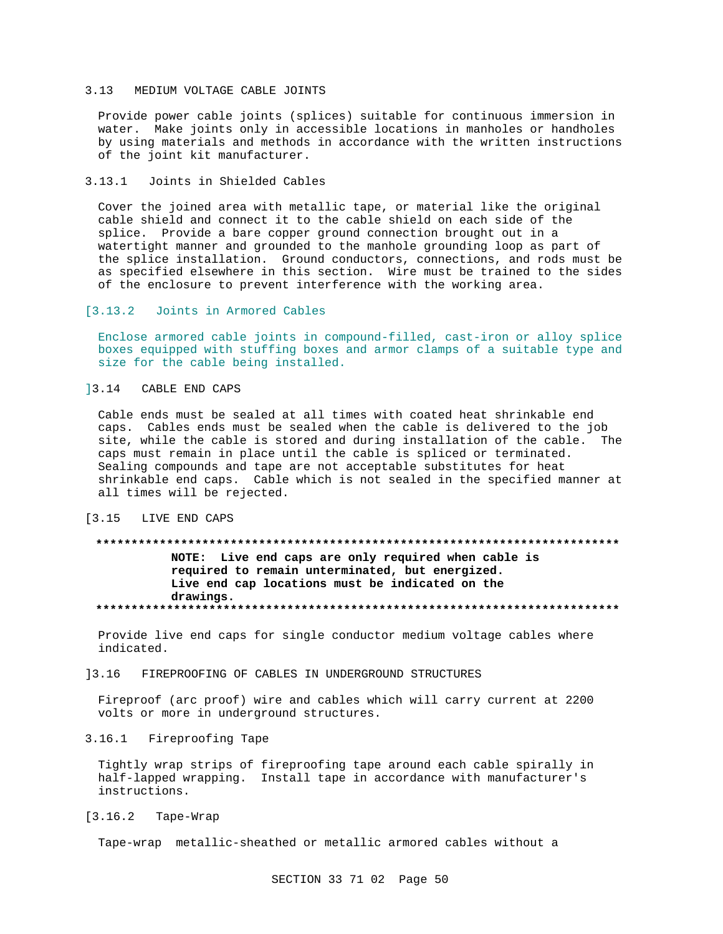## 3.13 MEDIUM VOLTAGE CABLE JOINTS

Provide power cable joints (splices) suitable for continuous immersion in water. Make joints only in accessible locations in manholes or handholes by using materials and methods in accordance with the written instructions of the joint kit manufacturer.

#### $3.13.1$ Joints in Shielded Cables

Cover the joined area with metallic tape, or material like the original cable shield and connect it to the cable shield on each side of the splice. Provide a bare copper ground connection brought out in a watertight manner and grounded to the manhole grounding loop as part of the splice installation. Ground conductors, connections, and rods must be as specified elsewhere in this section. Wire must be trained to the sides of the enclosure to prevent interference with the working area.

#### $[3.13.2]$ Joints in Armored Cables

Enclose armored cable joints in compound-filled, cast-iron or alloy splice boxes equipped with stuffing boxes and armor clamps of a suitable type and size for the cable being installed.

## 13.14 CABLE END CAPS

Cable ends must be sealed at all times with coated heat shrinkable end caps. Cables ends must be sealed when the cable is delivered to the job site, while the cable is stored and during installation of the cable. The caps must remain in place until the cable is spliced or terminated. Sealing compounds and tape are not acceptable substitutes for heat shrinkable end caps. Cable which is not sealed in the specified manner at all times will be rejected.

#### $13.15$ LIVE END CAPS

## NOTE: Live end caps are only required when cable is required to remain unterminated, but energized. Live end cap locations must be indicated on the drawings.

Provide live end caps for single conductor medium voltage cables where indicated.

#### FIREPROOFING OF CABLES IN UNDERGROUND STRUCTURES 13.16

Fireproof (arc proof) wire and cables which will carry current at 2200 volts or more in underground structures.

## 3.16.1 Fireproofing Tape

Tightly wrap strips of fireproofing tape around each cable spirally in half-lapped wrapping. Install tape in accordance with manufacturer's instructions.

#### $[3.16.2]$ Tape-Wrap

Tape-wrap metallic-sheathed or metallic armored cables without a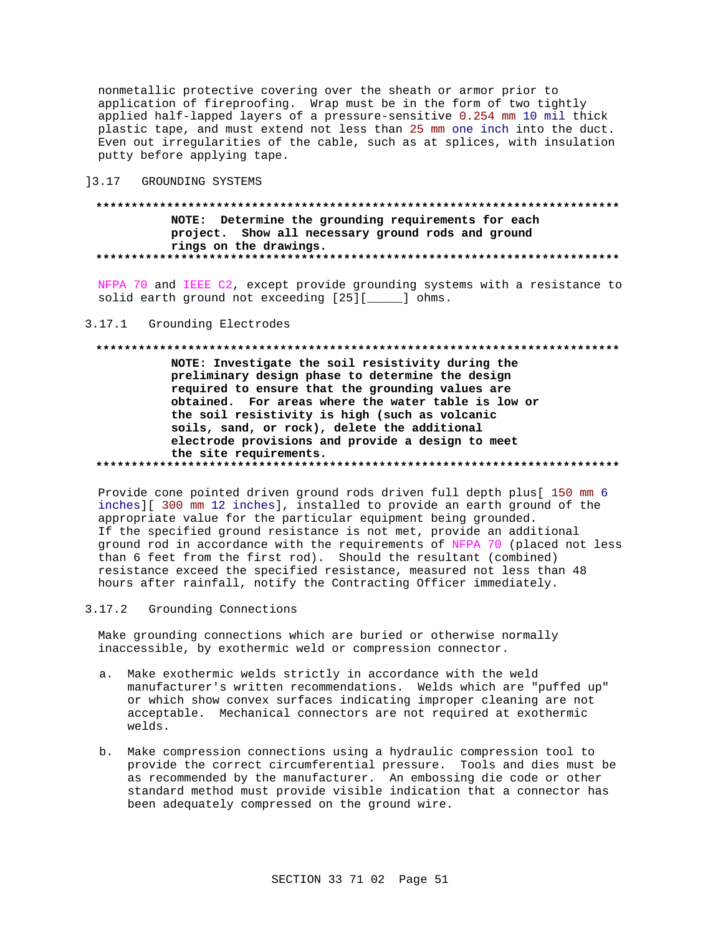nonmetallic protective covering over the sheath or armor prior to application of fireproofing. Wrap must be in the form of two tightly applied half-lapped layers of a pressure-sensitive 0.254 mm 10 mil thick plastic tape, and must extend not less than 25 mm one inch into the duct. Even out irregularities of the cable, such as at splices, with insulation putty before applying tape.

13.17 GROUNDING SYSTEMS

## NOTE: Determine the grounding requirements for each project. Show all necessary ground rods and ground rings on the drawings.

NFPA 70 and IEEE C2, except provide grounding systems with a resistance to solid earth ground not exceeding [25][\_\_\_\_\_] ohms.

## 3.17.1 Grounding Electrodes

### 

NOTE: Investigate the soil resistivity during the preliminary design phase to determine the design required to ensure that the grounding values are obtained. For areas where the water table is low or the soil resistivity is high (such as volcanic soils, sand, or rock), delete the additional electrode provisions and provide a design to meet the site requirements. 

Provide cone pointed driven ground rods driven full depth plus[ 150 mm 6 inches][ 300 mm 12 inches], installed to provide an earth ground of the appropriate value for the particular equipment being grounded. If the specified ground resistance is not met, provide an additional ground rod in accordance with the requirements of NFPA 70 (placed not less than 6 feet from the first rod). Should the resultant (combined) resistance exceed the specified resistance, measured not less than 48 hours after rainfall, notify the Contracting Officer immediately.

 $3.17.2$ Grounding Connections

Make grounding connections which are buried or otherwise normally inaccessible, by exothermic weld or compression connector.

- a. Make exothermic welds strictly in accordance with the weld manufacturer's written recommendations. Welds which are "puffed up" or which show convex surfaces indicating improper cleaning are not acceptable. Mechanical connectors are not required at exothermic welds.
- b. Make compression connections using a hydraulic compression tool to provide the correct circumferential pressure. Tools and dies must be as recommended by the manufacturer. An embossing die code or other standard method must provide visible indication that a connector has been adequately compressed on the ground wire.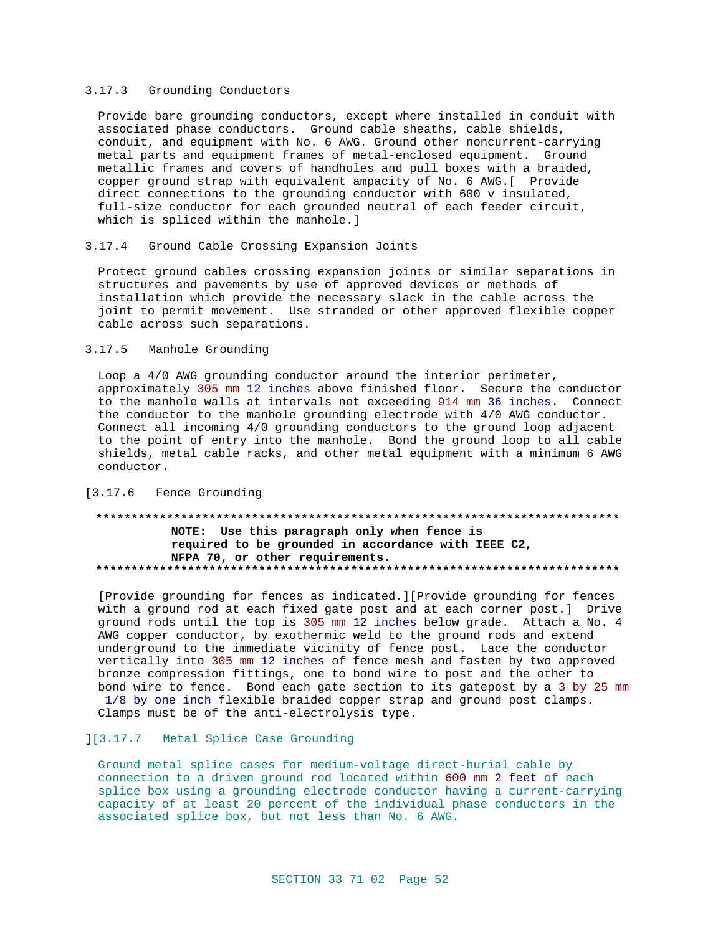## 3.17.3 Grounding Conductors

Provide bare grounding conductors, except where installed in conduit with associated phase conductors. Ground cable sheaths, cable shields, conduit, and equipment with No. 6 AWG. Ground other noncurrent-carrying metal parts and equipment frames of metal-enclosed equipment. Ground metallic frames and covers of handholes and pull boxes with a braided, copper ground strap with equivalent ampacity of No. 6 AWG. [ Provide direct connections to the grounding conductor with 600 v insulated, full-size conductor for each grounded neutral of each feeder circuit, which is spliced within the manhole.]

#### $3.17.4$ Ground Cable Crossing Expansion Joints

Protect ground cables crossing expansion joints or similar separations in structures and pavements by use of approved devices or methods of installation which provide the necessary slack in the cable across the joint to permit movement. Use stranded or other approved flexible copper cable across such separations.

## 3.17.5 Manhole Grounding

Loop a 4/0 AWG grounding conductor around the interior perimeter, approximately 305 mm 12 inches above finished floor. Secure the conductor to the manhole walls at intervals not exceeding 914 mm 36 inches. Connect the conductor to the manhole grounding electrode with 4/0 AWG conductor. Connect all incoming 4/0 grounding conductors to the ground loop adjacent to the point of entry into the manhole. Bond the ground loop to all cable shields, metal cable racks, and other metal equipment with a minimum 6 AWG conductor.

## [3.17.6 Fence Grounding

## NOTE: Use this paragraph only when fence is required to be grounded in accordance with IEEE C2, NFPA 70, or other requirements.

[Provide grounding for fences as indicated.][Provide grounding for fences with a ground rod at each fixed gate post and at each corner post.] Drive ground rods until the top is 305 mm 12 inches below grade. Attach a No. 4 AWG copper conductor, by exothermic weld to the ground rods and extend underground to the immediate vicinity of fence post. Lace the conductor vertically into 305 mm 12 inches of fence mesh and fasten by two approved bronze compression fittings, one to bond wire to post and the other to bond wire to fence. Bond each gate section to its gatepost by a 3 by 25 mm 1/8 by one inch flexible braided copper strap and ground post clamps. Clamps must be of the anti-electrolysis type.

## ][3.17.7 Metal Splice Case Grounding

Ground metal splice cases for medium-voltage direct-burial cable by connection to a driven ground rod located within 600 mm 2 feet of each splice box using a grounding electrode conductor having a current-carrying capacity of at least 20 percent of the individual phase conductors in the associated splice box, but not less than No. 6 AWG.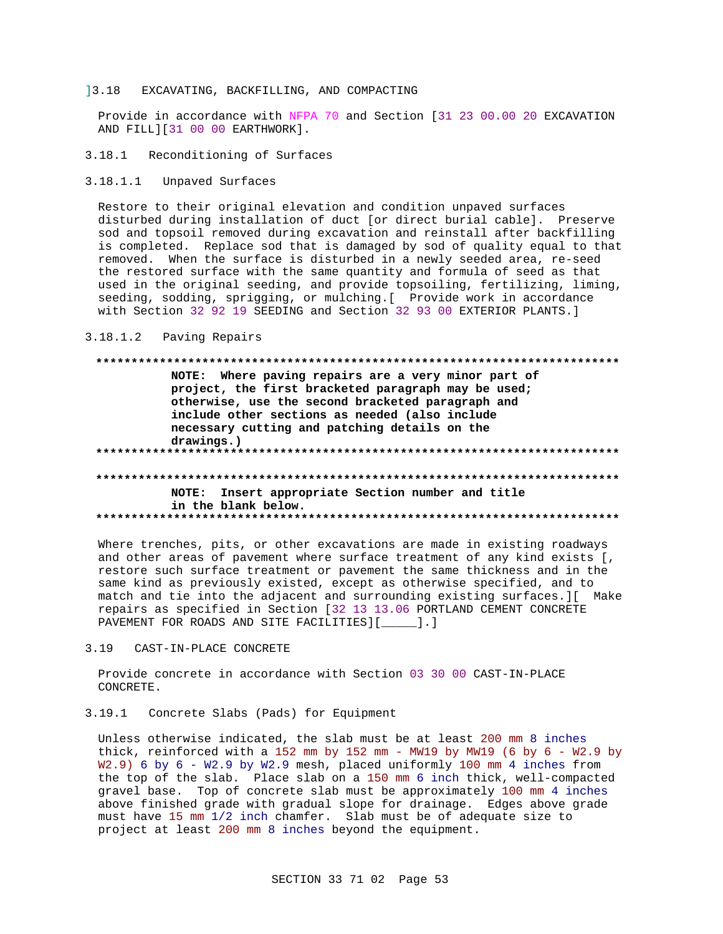#### 13.18 EXCAVATING, BACKFILLING, AND COMPACTING

Provide in accordance with NFPA 70 and Section [31 23 00.00 20 EXCAVATION AND FILL][31 00 00 EARTHWORK].

3.18.1 Reconditioning of Surfaces

 $3.18.1.1$ Unpaved Surfaces

Restore to their original elevation and condition unpaved surfaces disturbed during installation of duct [or direct burial cable]. Preserve sod and topsoil removed during excavation and reinstall after backfilling is completed. Replace sod that is damaged by sod of quality equal to that removed. When the surface is disturbed in a newly seeded area, re-seed the restored surface with the same quantity and formula of seed as that used in the original seeding, and provide topsoiling, fertilizing, liming, seeding, sodding, sprigging, or mulching. [ Provide work in accordance with Section 32 92 19 SEEDING and Section 32 93 00 EXTERIOR PLANTS.]

 $3.18.1.2$ Paving Repairs

## 

NOTE: Where paving repairs are a very minor part of project, the first bracketed paragraph may be used; otherwise, use the second bracketed paragraph and include other sections as needed (also include necessary cutting and patching details on the drawings.) 

## NOTE: Insert appropriate Section number and title in the blank below.

Where trenches, pits, or other excavations are made in existing roadways and other areas of pavement where surface treatment of any kind exists [, restore such surface treatment or pavement the same thickness and in the same kind as previously existed, except as otherwise specified, and to match and tie into the adjacent and surrounding existing surfaces. I Make repairs as specified in Section [32 13 13.06 PORTLAND CEMENT CONCRETE PAVEMENT FOR ROADS AND SITE FACILITIES][\_\_\_\_\_].]

#### $3.19$ CAST-IN-PLACE CONCRETE

Provide concrete in accordance with Section 03 30 00 CAST-IN-PLACE CONCRETE.

3.19.1 Concrete Slabs (Pads) for Equipment

Unless otherwise indicated, the slab must be at least 200 mm 8 inches thick, reinforced with a 152 mm by 152 mm - MW19 by MW19 (6 by  $6 - W2.9$  by W2.9) 6 by 6 - W2.9 by W2.9 mesh, placed uniformly 100 mm 4 inches from the top of the slab. Place slab on a 150 mm 6 inch thick, well-compacted gravel base. Top of concrete slab must be approximately 100 mm 4 inches above finished grade with gradual slope for drainage. Edges above grade must have 15 mm 1/2 inch chamfer. Slab must be of adequate size to project at least 200 mm 8 inches beyond the equipment.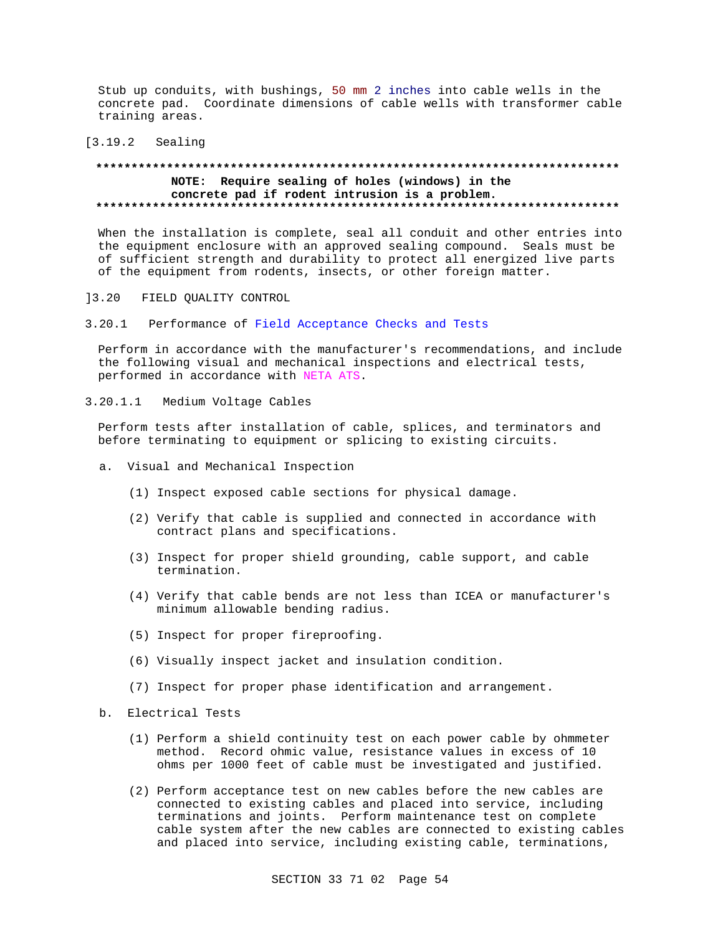Stub up conduits, with bushings, 50 mm 2 inches into cable wells in the concrete pad. Coordinate dimensions of cable wells with transformer cable training areas.

### [3.19.2 Sealing

## **\*\*\*\*\*\*\*\*\*\*\*\*\*\*\*\*\*\*\*\*\*\*\*\*\*\*\*\*\*\*\*\*\*\*\*\*\*\*\*\*\*\*\*\*\*\*\*\*\*\*\*\*\*\*\*\*\*\*\*\*\*\*\*\*\*\*\*\*\*\*\*\*\*\* NOTE: Require sealing of holes (windows) in the concrete pad if rodent intrusion is a problem. \*\*\*\*\*\*\*\*\*\*\*\*\*\*\*\*\*\*\*\*\*\*\*\*\*\*\*\*\*\*\*\*\*\*\*\*\*\*\*\*\*\*\*\*\*\*\*\*\*\*\*\*\*\*\*\*\*\*\*\*\*\*\*\*\*\*\*\*\*\*\*\*\*\***

When the installation is complete, seal all conduit and other entries into the equipment enclosure with an approved sealing compound. Seals must be of sufficient strength and durability to protect all energized live parts of the equipment from rodents, insects, or other foreign matter.

- ]3.20 FIELD QUALITY CONTROL
- 3.20.1 Performance of Field Acceptance Checks and Tests

Perform in accordance with the manufacturer's recommendations, and include the following visual and mechanical inspections and electrical tests, performed in accordance with NETA ATS.

3.20.1.1 Medium Voltage Cables

Perform tests after installation of cable, splices, and terminators and before terminating to equipment or splicing to existing circuits.

- a. Visual and Mechanical Inspection
	- (1) Inspect exposed cable sections for physical damage.
	- (2) Verify that cable is supplied and connected in accordance with contract plans and specifications.
	- (3) Inspect for proper shield grounding, cable support, and cable termination.
	- (4) Verify that cable bends are not less than ICEA or manufacturer's minimum allowable bending radius.
	- (5) Inspect for proper fireproofing.
	- (6) Visually inspect jacket and insulation condition.
	- (7) Inspect for proper phase identification and arrangement.
- b. Electrical Tests
	- (1) Perform a shield continuity test on each power cable by ohmmeter method. Record ohmic value, resistance values in excess of 10 ohms per 1000 feet of cable must be investigated and justified.
	- (2) Perform acceptance test on new cables before the new cables are connected to existing cables and placed into service, including terminations and joints. Perform maintenance test on complete cable system after the new cables are connected to existing cables and placed into service, including existing cable, terminations,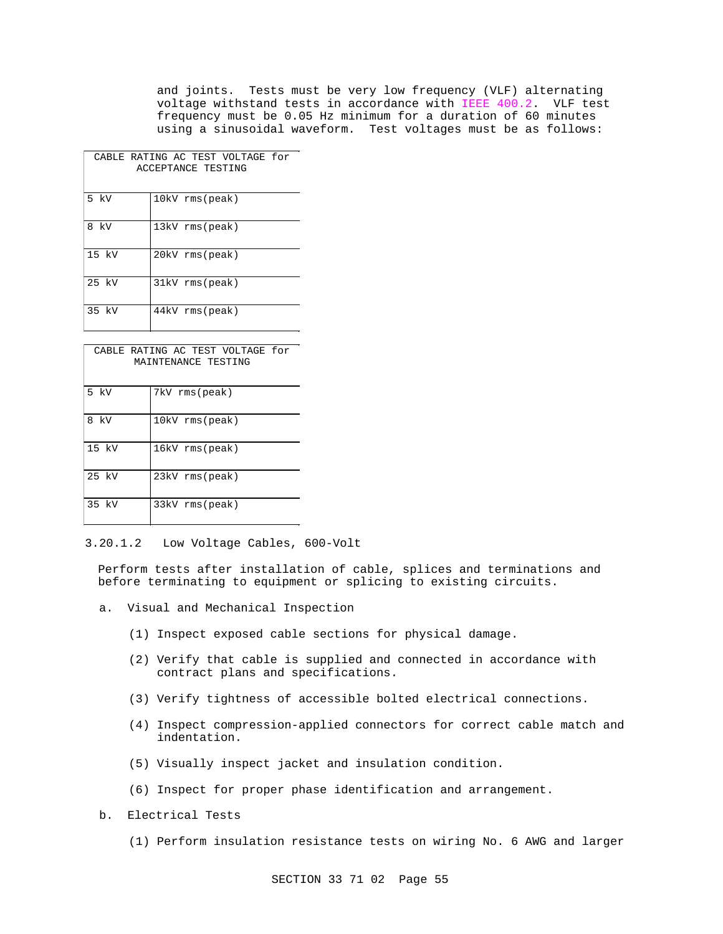and joints. Tests must be very low frequency (VLF) alternating voltage withstand tests in accordance with IEEE 400.2. VLF test frequency must be 0.05 Hz minimum for a duration of 60 minutes using a sinusoidal waveform. Test voltages must be as follows:

|         | CABLE RATING AC TEST VOLTAGE for<br>ACCEPTANCE TESTING |
|---------|--------------------------------------------------------|
| 5 kV    | 10kV rms(peak)                                         |
| kV<br>8 | 13kV rms(peak)                                         |
| 15 kV   | 20kV rms(peak)                                         |
| 25 kV   | 31kV rms(peak)                                         |
| 35 kV   | 44kV rms(peak)                                         |

| CABLE RATING AC TEST VOLTAGE for<br>MAINTENANCE TESTING |                |  |
|---------------------------------------------------------|----------------|--|
| 5 kV                                                    | 7kV rms(peak)  |  |
| 8<br>kV                                                 | 10kV rms(peak) |  |
| $15 \; \text{kV}$                                       | 16kV rms(peak) |  |
| 25 kV                                                   | 23kV rms(peak) |  |
| 35 kV                                                   | 33kV rms(peak) |  |

<sup>3.20.1.2</sup> Low Voltage Cables, 600-Volt

Perform tests after installation of cable, splices and terminations and before terminating to equipment or splicing to existing circuits.

- a. Visual and Mechanical Inspection
	- (1) Inspect exposed cable sections for physical damage.
	- (2) Verify that cable is supplied and connected in accordance with contract plans and specifications.
	- (3) Verify tightness of accessible bolted electrical connections.
	- (4) Inspect compression-applied connectors for correct cable match and indentation.
	- (5) Visually inspect jacket and insulation condition.
	- (6) Inspect for proper phase identification and arrangement.
- b. Electrical Tests
	- (1) Perform insulation resistance tests on wiring No. 6 AWG and larger